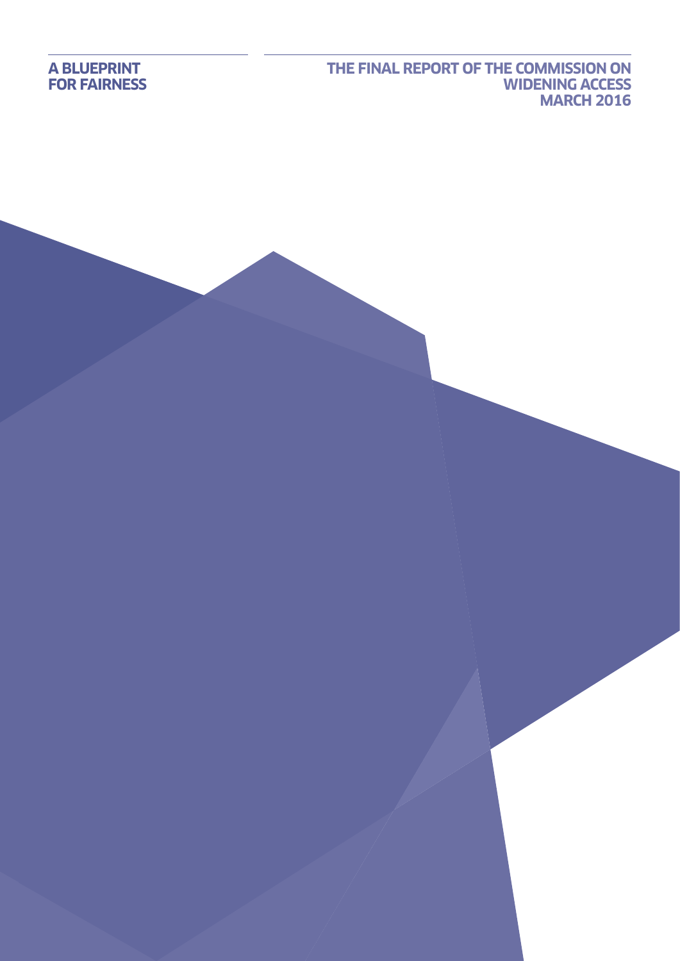## **A BLUEPRINT FOR FAIRNESS**

## **THE FINAL REPORT OF THE COMMISSION ON WIDENING ACCESS MARCH 2016**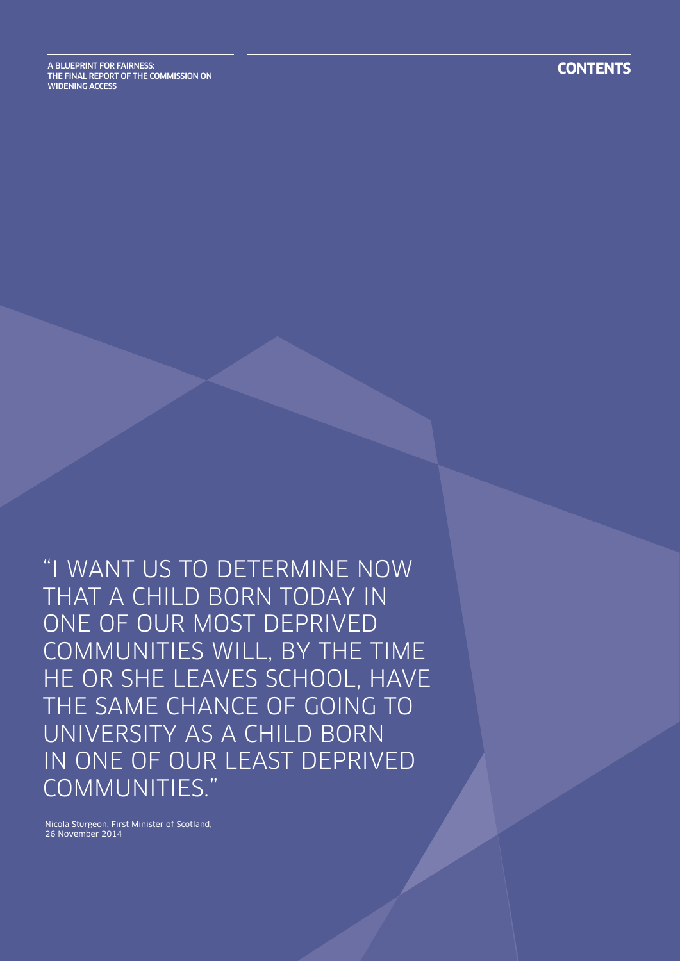"I WANT US TO DETERMINE NOW THAT A CHILD BORN TODAY IN ONE OF OUR MOST DEPRIVED COMMUNITIES WILL, BY THE TIME HE OR SHE LEAVES SCHOOL, HAVE THE SAME CHANCE OF GOING TO UNIVERSITY AS A CHILD BORN IN ONE OF OUR LEAST DEPRIVED COMMUNITIES."

Nicola Sturgeon, First Minister of Scotland, 26 November 2014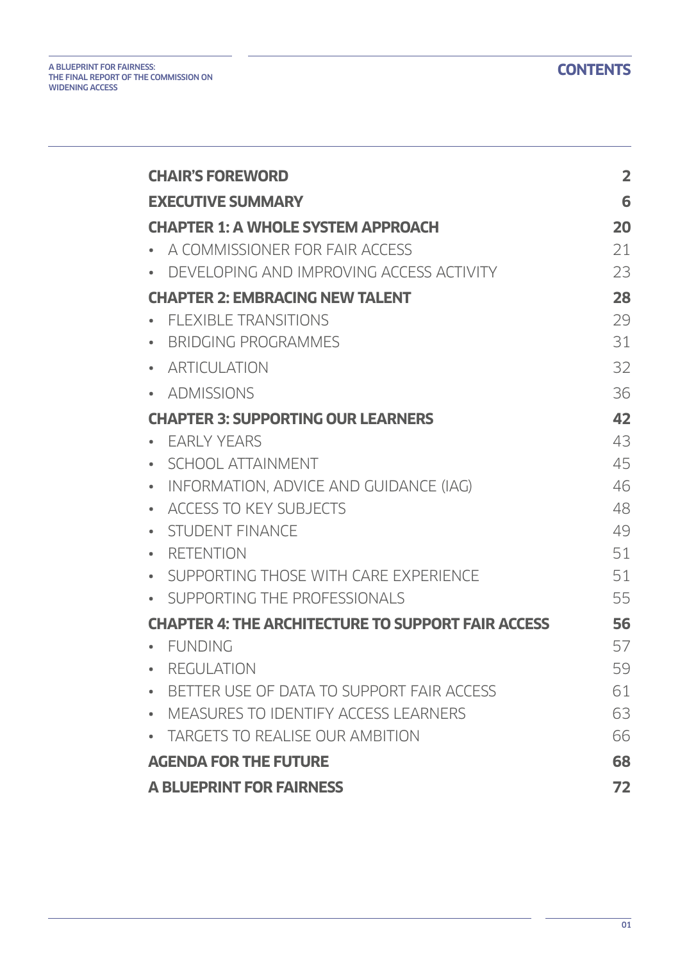| <b>CHAIR'S FOREWORD</b>                                                        | $\overline{2}$ |
|--------------------------------------------------------------------------------|----------------|
| <b>EXECUTIVE SUMMARY</b>                                                       | 6              |
| <b>CHAPTER 1: A WHOLE SYSTEM APPROACH</b>                                      | 20             |
| A COMMISSIONER FOR FAIR ACCESS                                                 | 21             |
| DEVELOPING AND IMPROVING ACCESS ACTIVITY                                       | 23             |
| <b>CHAPTER 2: EMBRACING NEW TALENT</b>                                         | 28             |
| <b>FLEXIBLE TRANSITIONS</b>                                                    | 29             |
| <b>BRIDGING PROGRAMMES</b>                                                     | 31             |
| <b>ARTICULATION</b>                                                            | 32             |
| <b>ADMISSIONS</b>                                                              | 36             |
| <b>CHAPTER 3: SUPPORTING OUR LEARNERS</b>                                      | 42             |
| <b>EARLY YEARS</b>                                                             | 43             |
| <b>SCHOOL ATTAINMENT</b>                                                       | 45             |
| INFORMATION, ADVICE AND GUIDANCE (IAG)<br>$\bullet$                            | 46             |
| ACCESS TO KEY SUBJECTS                                                         | 48             |
| <b>STUDENT FINANCE</b>                                                         | 49             |
| <b>RETENTION</b>                                                               | 51             |
| SUPPORTING THOSE WITH CARE EXPERIENCE                                          | 51             |
| SUPPORTING THE PROFESSIONALS                                                   | 55             |
| <b>CHAPTER 4: THE ARCHITECTURE TO SUPPORT FAIR ACCESS</b>                      | 56             |
| <b>FUNDING</b>                                                                 | 57             |
| <b>REGULATION</b>                                                              | 59             |
| BETTER USE OF DATA TO SUPPORT FAIR ACCESS                                      | 61             |
| MEASURES TO IDENTIFY ACCESS LEARNERS<br><b>TARGETS TO REALISE OUR AMBITION</b> | 63<br>66       |
|                                                                                |                |
| <b>AGENDA FOR THE FUTURE</b>                                                   | 68             |
| <b>A BLUEPRINT FOR FAIRNESS</b>                                                | 72             |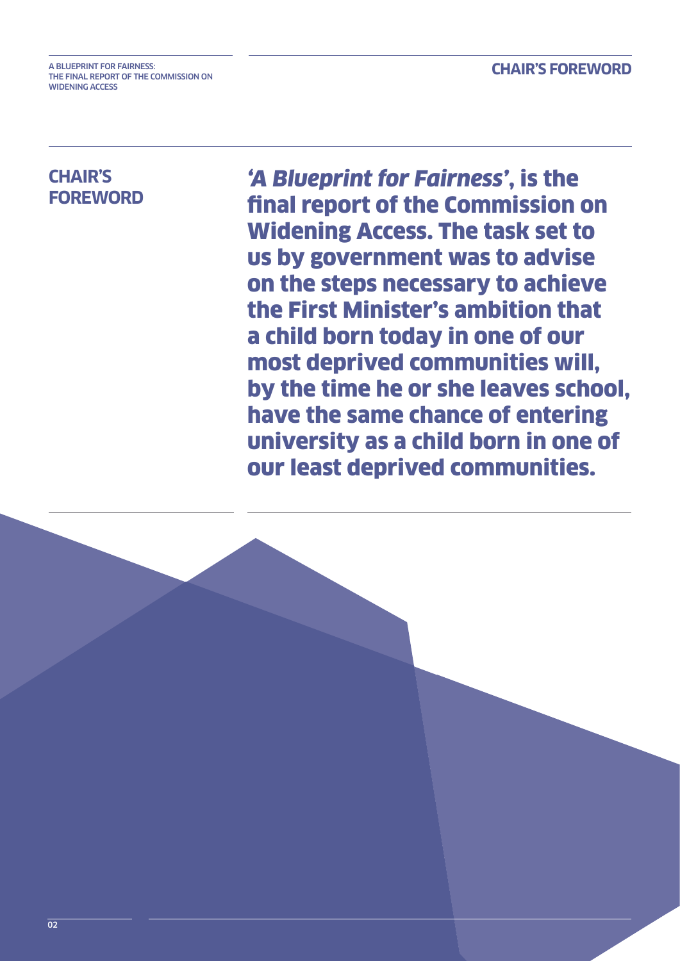# **CHAIR'S FOREWORD**

'A Blueprint for Fairness', is the final report of the Commission on Widening Access. The task set to us by government was to advise on the steps necessary to achieve the First Minister's ambition that a child born today in one of our most deprived communities will, by the time he or she leaves school, have the same chance of entering university as a child born in one of our least deprived communities.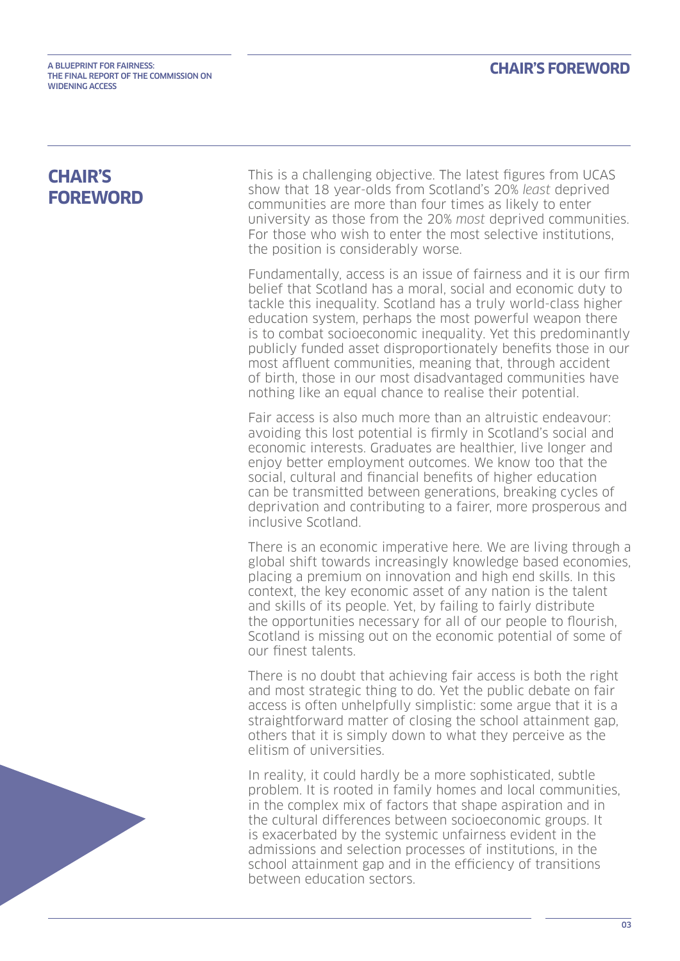A BLUEPRINT FOR FAIRNESS: A BLUEPRINT FOR FAIRNESS:<br>
THE FINAL REPORT OF THE COMMISSION ON WIDENING ACCESS

# **CHAIR'S FOREWORD**

This is a challenging objective. The latest figures from UCAS show that 18 year-olds from Scotland's 20% least deprived communities are more than four times as likely to enter university as those from the 20% most deprived communities. For those who wish to enter the most selective institutions, the position is considerably worse.

Fundamentally, access is an issue of fairness and it is our firm belief that Scotland has a moral, social and economic duty to tackle this inequality. Scotland has a truly world-class higher education system, perhaps the most powerful weapon there is to combat socioeconomic inequality. Yet this predominantly publicly funded asset disproportionately benefits those in our most affluent communities, meaning that, through accident of birth, those in our most disadvantaged communities have nothing like an equal chance to realise their potential.

Fair access is also much more than an altruistic endeavour: avoiding this lost potential is firmly in Scotland's social and economic interests. Graduates are healthier, live longer and enjoy better employment outcomes. We know too that the social, cultural and financial benefits of higher education can be transmitted between generations, breaking cycles of deprivation and contributing to a fairer, more prosperous and inclusive Scotland.

There is an economic imperative here. We are living through a global shift towards increasingly knowledge based economies, placing a premium on innovation and high end skills. In this context, the key economic asset of any nation is the talent and skills of its people. Yet, by failing to fairly distribute the opportunities necessary for all of our people to flourish, Scotland is missing out on the economic potential of some of our finest talents.

There is no doubt that achieving fair access is both the right and most strategic thing to do. Yet the public debate on fair access is often unhelpfully simplistic: some argue that it is a straightforward matter of closing the school attainment gap, others that it is simply down to what they perceive as the elitism of universities.

In reality, it could hardly be a more sophisticated, subtle problem. It is rooted in family homes and local communities, in the complex mix of factors that shape aspiration and in the cultural differences between socioeconomic groups. It is exacerbated by the systemic unfairness evident in the admissions and selection processes of institutions, in the school attainment gap and in the efficiency of transitions between education sectors.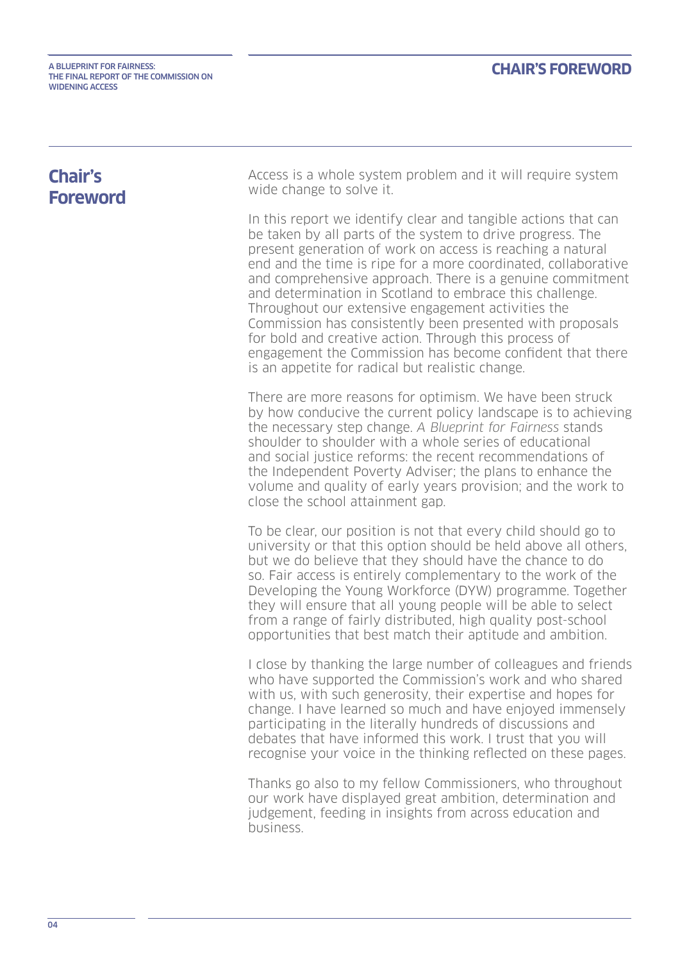## **CHAIR'S FOREWORD**

A BLUEPRINT FOR FAIRNESS:<br>THE FINAL REPORT OF THE COMMISSION ON WIDENING ACCESS

# **Chair's Foreword**

Access is a whole system problem and it will require system wide change to solve it.

In this report we identify clear and tangible actions that can be taken by all parts of the system to drive progress. The present generation of work on access is reaching a natural end and the time is ripe for a more coordinated, collaborative and comprehensive approach. There is a genuine commitment and determination in Scotland to embrace this challenge. Throughout our extensive engagement activities the Commission has consistently been presented with proposals for bold and creative action. Through this process of engagement the Commission has become confident that there is an appetite for radical but realistic change.

There are more reasons for optimism. We have been struck by how conducive the current policy landscape is to achieving the necessary step change. A Blueprint for Fairness stands shoulder to shoulder with a whole series of educational and social justice reforms: the recent recommendations of the Independent Poverty Adviser; the plans to enhance the volume and quality of early years provision; and the work to close the school attainment gap.

To be clear, our position is not that every child should go to university or that this option should be held above all others, but we do believe that they should have the chance to do so. Fair access is entirely complementary to the work of the Developing the Young Workforce (DYW) programme. Together they will ensure that all young people will be able to select from a range of fairly distributed, high quality post-school opportunities that best match their aptitude and ambition.

I close by thanking the large number of colleagues and friends who have supported the Commission's work and who shared with us, with such generosity, their expertise and hopes for change. I have learned so much and have enjoyed immensely participating in the literally hundreds of discussions and debates that have informed this work. I trust that you will recognise your voice in the thinking reflected on these pages.

Thanks go also to my fellow Commissioners, who throughout our work have displayed great ambition, determination and judgement, feeding in insights from across education and business.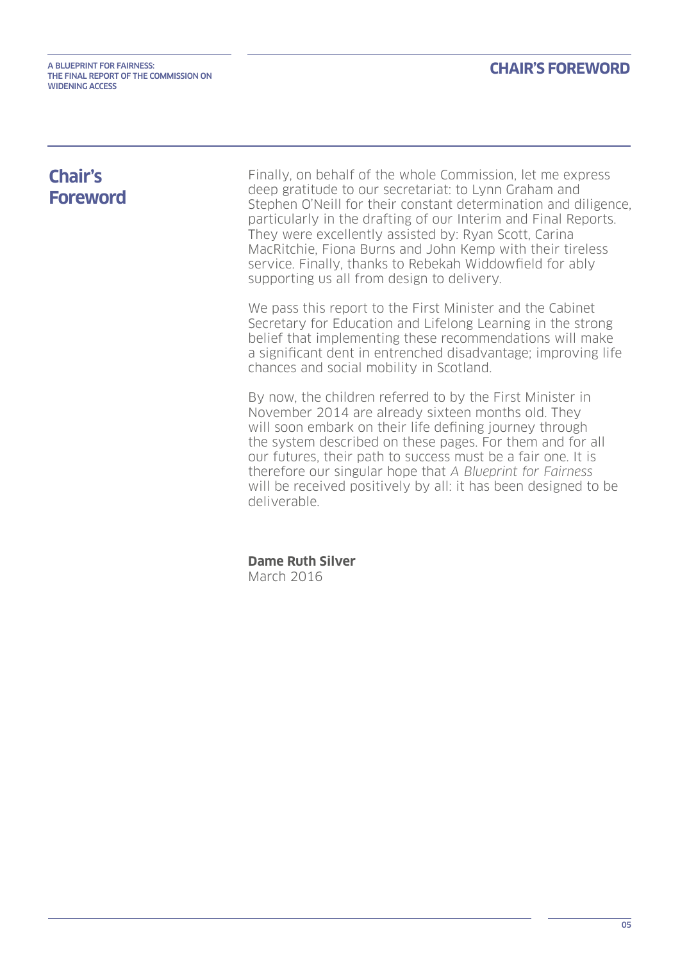A BLUEPRINT FOR FAIRNESS: A BLUEPRINT FOR FAIRNESS:<br>
THE FINAL REPORT OF THE COMMISSION ON WIDENING ACCESS

# **Chair's Foreword**

Finally, on behalf of the whole Commission, let me express deep gratitude to our secretariat: to Lynn Graham and Stephen O'Neill for their constant determination and diligence, particularly in the drafting of our Interim and Final Reports. They were excellently assisted by: Ryan Scott, Carina MacRitchie, Fiona Burns and John Kemp with their tireless service. Finally, thanks to Rebekah Widdowfield for ably supporting us all from design to delivery.

We pass this report to the First Minister and the Cabinet Secretary for Education and Lifelong Learning in the strong belief that implementing these recommendations will make a significant dent in entrenched disadvantage; improving life chances and social mobility in Scotland.

By now, the children referred to by the First Minister in November 2014 are already sixteen months old. They will soon embark on their life defining journey through the system described on these pages. For them and for all our futures, their path to success must be a fair one. It is therefore our singular hope that A Blueprint for Fairness will be received positively by all: it has been designed to be deliverable.

**Dame Ruth Silver**  March 2016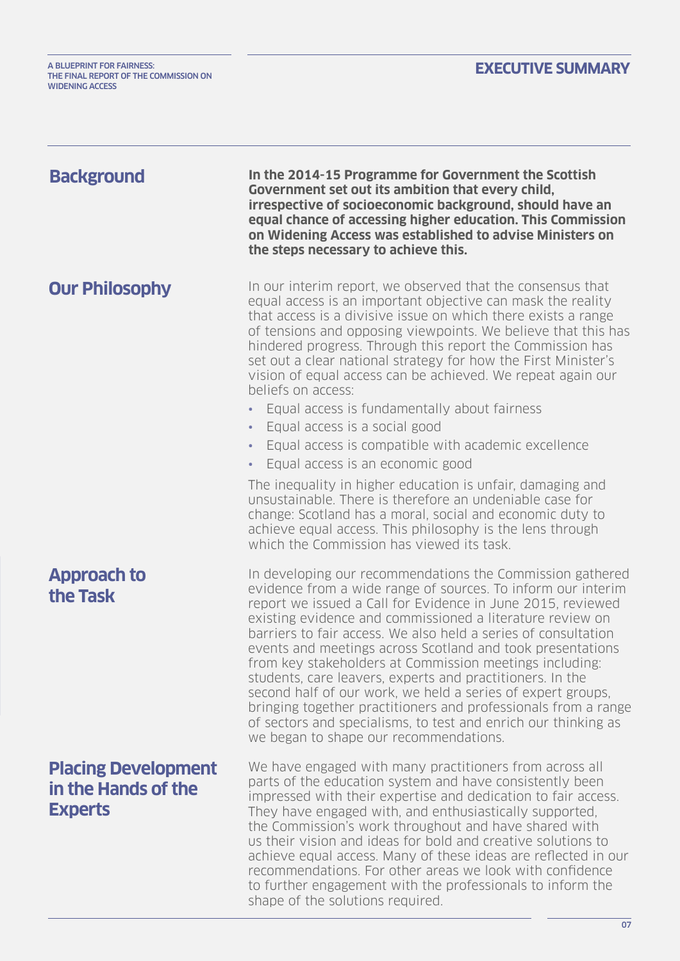## A BLUEPRINT FOR FAIRNESS:<br>
THE ENIM REPORT OF THE COMMICION ON **EXECUTIVE SUMMARY**

THE FINAL REPORT OF THE COMMISSION ON WIDENING ACCESS

| <b>Background</b>                                                   | In the 2014-15 Programme for Government the Scottish<br>Government set out its ambition that every child,<br>irrespective of socioeconomic background, should have an<br>equal chance of accessing higher education. This Commission<br>on Widening Access was established to advise Ministers on<br>the steps necessary to achieve this.                                                                                                                                                                                                                                                                                                                                                                                                                  |
|---------------------------------------------------------------------|------------------------------------------------------------------------------------------------------------------------------------------------------------------------------------------------------------------------------------------------------------------------------------------------------------------------------------------------------------------------------------------------------------------------------------------------------------------------------------------------------------------------------------------------------------------------------------------------------------------------------------------------------------------------------------------------------------------------------------------------------------|
| <b>Our Philosophy</b>                                               | In our interim report, we observed that the consensus that<br>equal access is an important objective can mask the reality<br>that access is a divisive issue on which there exists a range<br>of tensions and opposing viewpoints. We believe that this has<br>hindered progress. Through this report the Commission has<br>set out a clear national strategy for how the First Minister's<br>vision of equal access can be achieved. We repeat again our<br>beliefs on access:                                                                                                                                                                                                                                                                            |
|                                                                     | Equal access is fundamentally about fairness                                                                                                                                                                                                                                                                                                                                                                                                                                                                                                                                                                                                                                                                                                               |
|                                                                     | Equal access is a social good                                                                                                                                                                                                                                                                                                                                                                                                                                                                                                                                                                                                                                                                                                                              |
|                                                                     | Equal access is compatible with academic excellence<br>$\bullet$                                                                                                                                                                                                                                                                                                                                                                                                                                                                                                                                                                                                                                                                                           |
|                                                                     | Equal access is an economic good<br>$\bullet$                                                                                                                                                                                                                                                                                                                                                                                                                                                                                                                                                                                                                                                                                                              |
|                                                                     | The inequality in higher education is unfair, damaging and<br>unsustainable. There is therefore an undeniable case for<br>change: Scotland has a moral, social and economic duty to<br>achieve equal access. This philosophy is the lens through<br>which the Commission has viewed its task.                                                                                                                                                                                                                                                                                                                                                                                                                                                              |
| <b>Approach to</b><br>the Task                                      | In developing our recommendations the Commission gathered<br>evidence from a wide range of sources. To inform our interim<br>report we issued a Call for Evidence in June 2015, reviewed<br>existing evidence and commissioned a literature review on<br>barriers to fair access. We also held a series of consultation<br>events and meetings across Scotland and took presentations<br>from key stakeholders at Commission meetings including:<br>students, care leavers, experts and practitioners. In the<br>second half of our work, we held a series of expert groups,<br>bringing together practitioners and professionals from a range<br>of sectors and specialisms, to test and enrich our thinking as<br>we began to shape our recommendations. |
| <b>Placing Development</b><br>in the Hands of the<br><b>Experts</b> | We have engaged with many practitioners from across all<br>parts of the education system and have consistently been<br>impressed with their expertise and dedication to fair access.<br>They have engaged with, and enthusiastically supported,<br>the Commission's work throughout and have shared with<br>us their vision and ideas for bold and creative solutions to<br>achieve equal access. Many of these ideas are reflected in our<br>recommendations. For other areas we look with confidence<br>to further engagement with the professionals to inform the<br>shape of the solutions required.                                                                                                                                                   |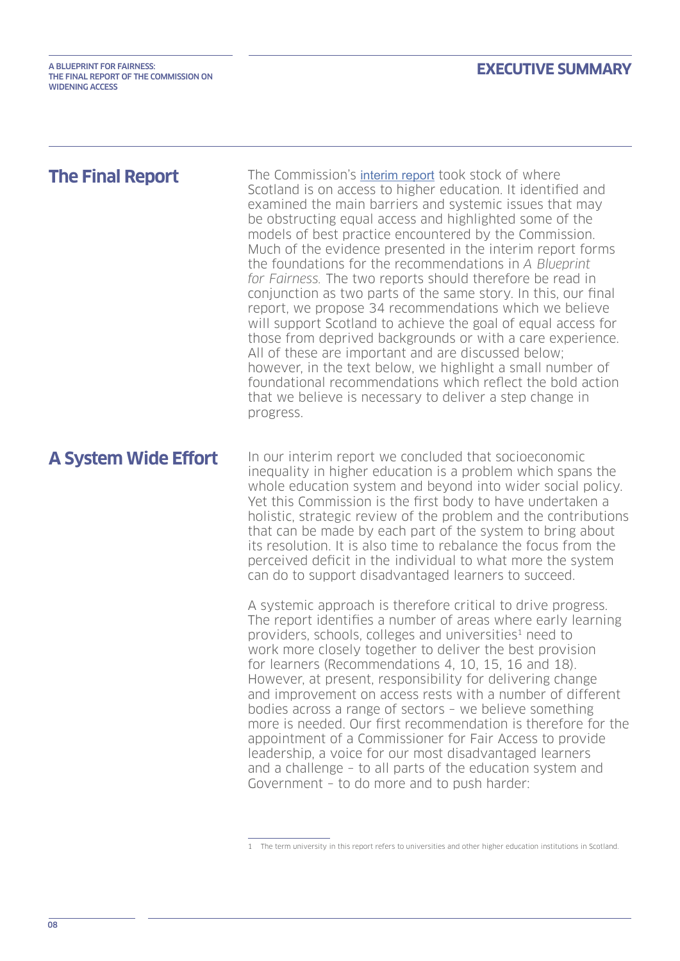A BLUEPRINT FOR FAIRNESS:<br> **EXECUTIVE SUMMARY** THE FINAL REPORT OF THE COMMISSION ON WIDENING ACCESS

# **The Final Report**

The Commission's [interim report](http://www.gov.scot/Publications/2015/11/9302) took stock of where Scotland is on access to higher education. It identified and examined the main barriers and systemic issues that may be obstructing equal access and highlighted some of the models of best practice encountered by the Commission. Much of the evidence presented in the interim report forms the foundations for the recommendations in A Blueprint for Fairness. The two reports should therefore be read in conjunction as two parts of the same story. In this, our final report, we propose 34 recommendations which we believe will support Scotland to achieve the goal of equal access for those from deprived backgrounds or with a care experience. All of these are important and are discussed below; however, in the text below, we highlight a small number of foundational recommendations which reflect the bold action that we believe is necessary to deliver a step change in progress.

# **A System Wide Effort**

In our interim report we concluded that socioeconomic inequality in higher education is a problem which spans the whole education system and beyond into wider social policy. Yet this Commission is the first body to have undertaken a holistic, strategic review of the problem and the contributions that can be made by each part of the system to bring about its resolution. It is also time to rebalance the focus from the perceived deficit in the individual to what more the system can do to support disadvantaged learners to succeed.

A systemic approach is therefore critical to drive progress. The report identifies a number of areas where early learning providers, schools, colleges and universities<sup>1</sup> need to work more closely together to deliver the best provision for learners (Recommendations 4, 10, 15, 16 and 18). However, at present, responsibility for delivering change and improvement on access rests with a number of different bodies across a range of sectors – we believe something more is needed. Our first recommendation is therefore for the appointment of a Commissioner for Fair Access to provide leadership, a voice for our most disadvantaged learners and a challenge – to all parts of the education system and Government – to do more and to push harder:

<sup>1</sup> The term university in this report refers to universities and other higher education institutions in Scotland.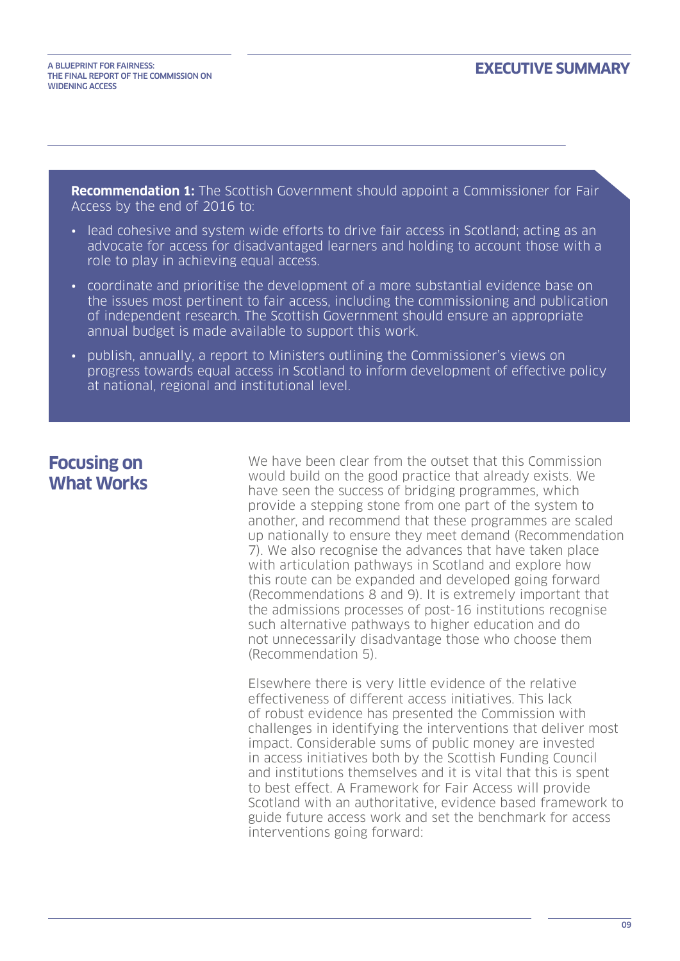**Recommendation 1:** The Scottish Government should appoint a Commissioner for Fair Access by the end of 2016 to:

- lead cohesive and system wide efforts to drive fair access in Scotland: acting as an advocate for access for disadvantaged learners and holding to account those with a role to play in achieving equal access.
- coordinate and prioritise the development of a more substantial evidence base on the issues most pertinent to fair access, including the commissioning and publication of independent research. The Scottish Government should ensure an appropriate annual budget is made available to support this work.
- publish, annually, a report to Ministers outlining the Commissioner's views on progress towards equal access in Scotland to inform development of effective policy at national, regional and institutional level.

# **Focusing on What Works**

We have been clear from the outset that this Commission would build on the good practice that already exists. We have seen the success of bridging programmes, which provide a stepping stone from one part of the system to another, and recommend that these programmes are scaled up nationally to ensure they meet demand (Recommendation 7). We also recognise the advances that have taken place with articulation pathways in Scotland and explore how this route can be expanded and developed going forward (Recommendations 8 and 9). It is extremely important that the admissions processes of post-16 institutions recognise such alternative pathways to higher education and do not unnecessarily disadvantage those who choose them (Recommendation 5).

Elsewhere there is very little evidence of the relative effectiveness of different access initiatives. This lack of robust evidence has presented the Commission with challenges in identifying the interventions that deliver most impact. Considerable sums of public money are invested in access initiatives both by the Scottish Funding Council and institutions themselves and it is vital that this is spent to best effect. A Framework for Fair Access will provide Scotland with an authoritative, evidence based framework to guide future access work and set the benchmark for access interventions going forward: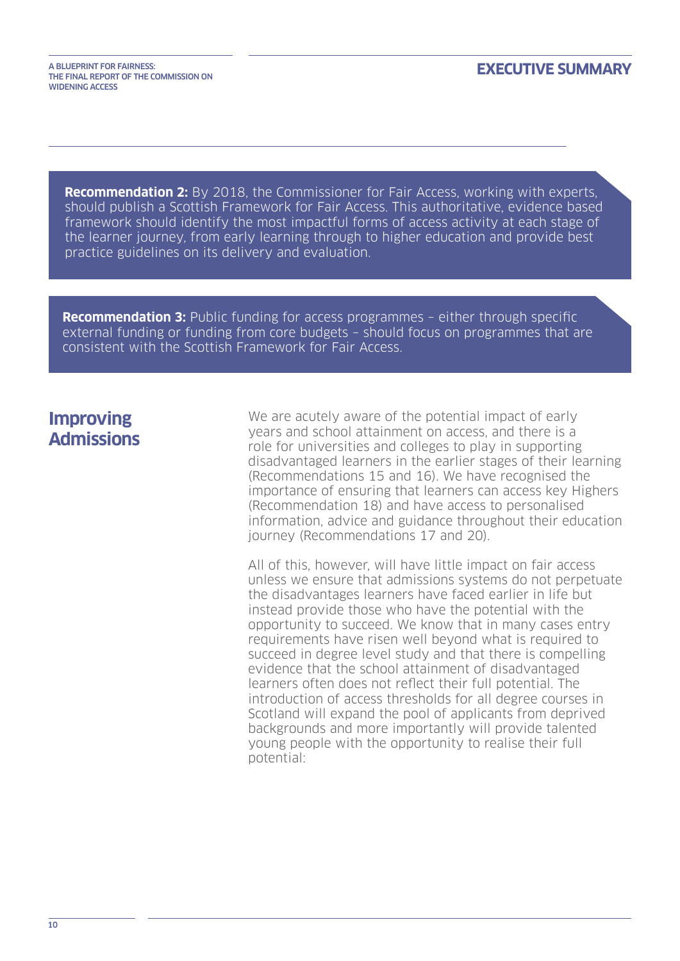**Recommendation 2:** By 2018, the Commissioner for Fair Access, working with experts, should publish a Scottish Framework for Fair Access. This authoritative, evidence based framework should identify the most impactful forms of access activity at each stage of the learner journey, from early learning through to higher education and provide best practice guidelines on its delivery and evaluation.

**Recommendation 3:** Public funding for access programmes - either through specific external funding or funding from core budgets – should focus on programmes that are consistent with the Scottish Framework for Fair Access.

# **Improving Admissions**

We are acutely aware of the potential impact of early years and school attainment on access, and there is a role for universities and colleges to play in supporting disadvantaged learners in the earlier stages of their learning (Recommendations 15 and 16). We have recognised the importance of ensuring that learners can access key Highers (Recommendation 18) and have access to personalised information, advice and guidance throughout their education journey (Recommendations 17 and 20).

All of this, however, will have little impact on fair access unless we ensure that admissions systems do not perpetuate the disadvantages learners have faced earlier in life but instead provide those who have the potential with the opportunity to succeed. We know that in many cases entry requirements have risen well beyond what is required to succeed in degree level study and that there is compelling evidence that the school attainment of disadvantaged learners often does not reflect their full potential. The introduction of access thresholds for all degree courses in Scotland will expand the pool of applicants from deprived backgrounds and more importantly will provide talented young people with the opportunity to realise their full potential: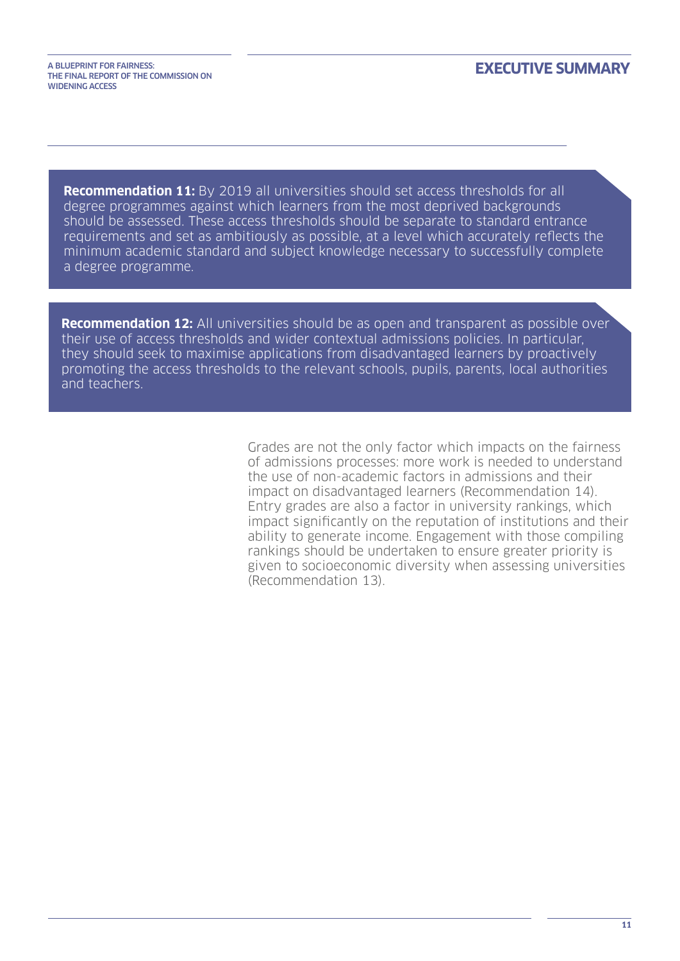**Recommendation 11:** By 2019 all universities should set access thresholds for all degree programmes against which learners from the most deprived backgrounds should be assessed. These access thresholds should be separate to standard entrance requirements and set as ambitiously as possible, at a level which accurately reflects the minimum academic standard and subject knowledge necessary to successfully complete a degree programme.

**Recommendation 12:** All universities should be as open and transparent as possible over their use of access thresholds and wider contextual admissions policies. In particular, they should seek to maximise applications from disadvantaged learners by proactively promoting the access thresholds to the relevant schools, pupils, parents, local authorities and teachers.

> Grades are not the only factor which impacts on the fairness of admissions processes: more work is needed to understand the use of non-academic factors in admissions and their impact on disadvantaged learners (Recommendation 14). Entry grades are also a factor in university rankings, which impact significantly on the reputation of institutions and their ability to generate income. Engagement with those compiling rankings should be undertaken to ensure greater priority is given to socioeconomic diversity when assessing universities (Recommendation 13).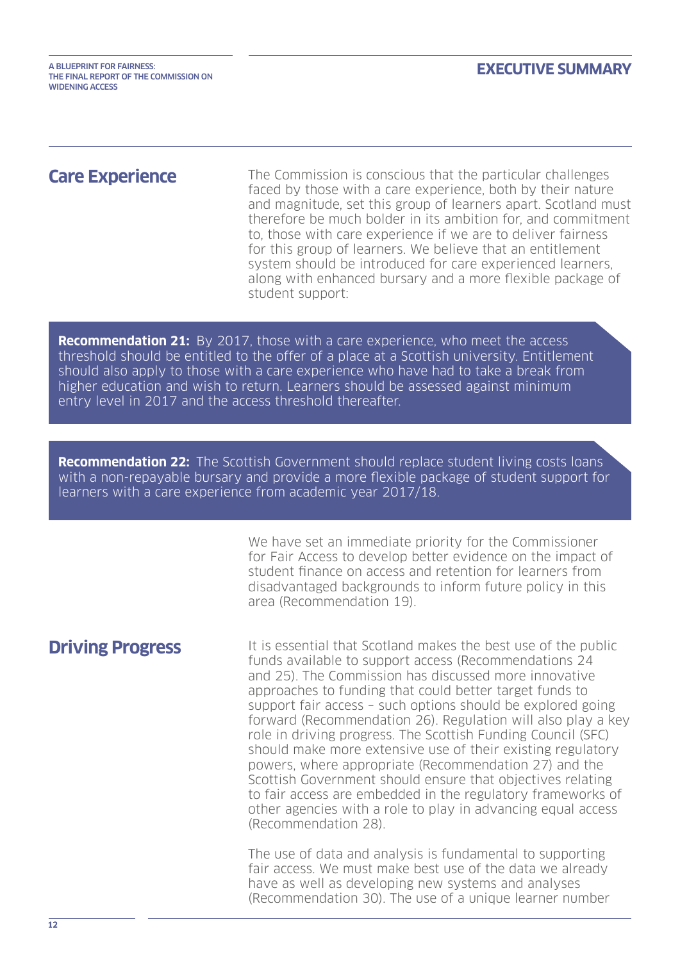## A BLUEPRINT FOR FAIRNESS:<br> **EXECUTIVE SUMMARY**

THE FINAL REPORT OF THE COMMISSION ON WIDENING ACCESS

# **Care Experience**

The Commission is conscious that the particular challenges faced by those with a care experience, both by their nature and magnitude, set this group of learners apart. Scotland must therefore be much bolder in its ambition for, and commitment to, those with care experience if we are to deliver fairness for this group of learners. We believe that an entitlement system should be introduced for care experienced learners, along with enhanced bursary and a more flexible package of student support:

**Recommendation 21:** By 2017, those with a care experience, who meet the access threshold should be entitled to the offer of a place at a Scottish university. Entitlement should also apply to those with a care experience who have had to take a break from higher education and wish to return. Learners should be assessed against minimum entry level in 2017 and the access threshold thereafter.

**Recommendation 22:** The Scottish Government should replace student living costs loans with a non-repayable bursary and provide a more flexible package of student support for learners with a care experience from academic year 2017/18.

> We have set an immediate priority for the Commissioner for Fair Access to develop better evidence on the impact of student finance on access and retention for learners from disadvantaged backgrounds to inform future policy in this area (Recommendation 19).

It is essential that Scotland makes the best use of the public funds available to support access (Recommendations 24 and 25). The Commission has discussed more innovative approaches to funding that could better target funds to support fair access – such options should be explored going forward (Recommendation 26). Regulation will also play a key role in driving progress. The Scottish Funding Council (SFC) should make more extensive use of their existing regulatory powers, where appropriate (Recommendation 27) and the Scottish Government should ensure that objectives relating to fair access are embedded in the regulatory frameworks of other agencies with a role to play in advancing equal access (Recommendation 28). **Driving Progress**

> The use of data and analysis is fundamental to supporting fair access. We must make best use of the data we already have as well as developing new systems and analyses (Recommendation 30). The use of a unique learner number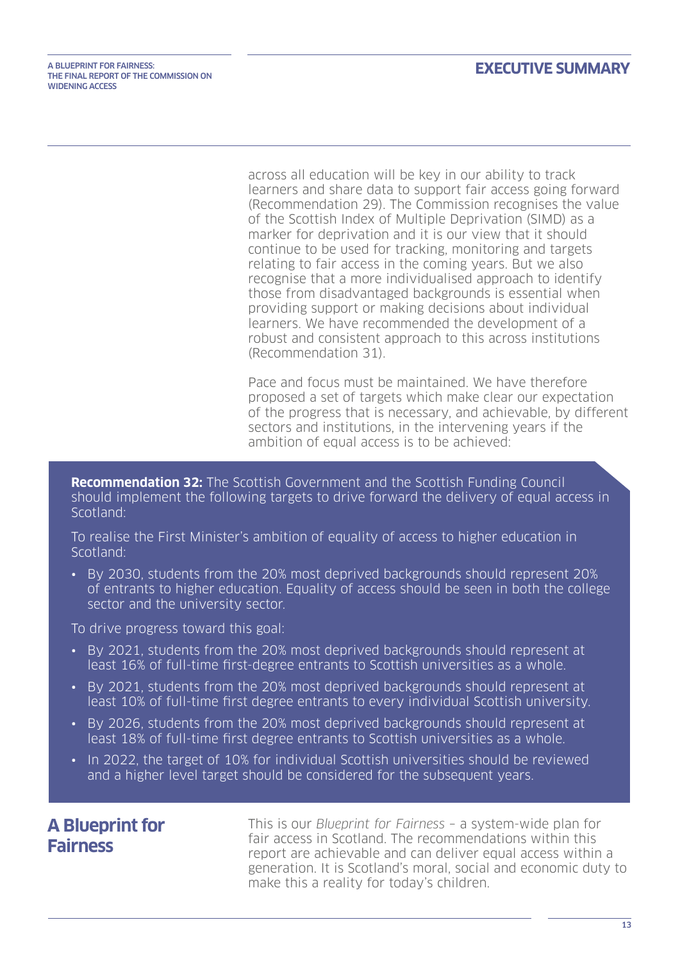## A BLUEPRINT FOR FAIRNESS:<br> **EXECUTIVE SUMMARY**

THE FINAL REPORT OF THE COMMISSION ON WIDENING ACCESS

> across all education will be key in our ability to track learners and share data to support fair access going forward (Recommendation 29). The Commission recognises the value of the Scottish Index of Multiple Deprivation (SIMD) as a marker for deprivation and it is our view that it should continue to be used for tracking, monitoring and targets relating to fair access in the coming years. But we also recognise that a more individualised approach to identify those from disadvantaged backgrounds is essential when providing support or making decisions about individual learners. We have recommended the development of a robust and consistent approach to this across institutions (Recommendation 31).

Pace and focus must be maintained. We have therefore proposed a set of targets which make clear our expectation of the progress that is necessary, and achievable, by different sectors and institutions, in the intervening years if the ambition of equal access is to be achieved:

**Recommendation 32:** The Scottish Government and the Scottish Funding Council should implement the following targets to drive forward the delivery of equal access in Scotland:

To realise the First Minister's ambition of equality of access to higher education in Scotland:

• By 2030, students from the 20% most deprived backgrounds should represent 20% of entrants to higher education. Equality of access should be seen in both the college sector and the university sector.

To drive progress toward this goal:

- By 2021, students from the 20% most deprived backgrounds should represent at least 16% of full-time first-degree entrants to Scottish universities as a whole.
- By 2021, students from the 20% most deprived backgrounds should represent at least 10% of full-time first degree entrants to every individual Scottish university.
- By 2026, students from the 20% most deprived backgrounds should represent at least 18% of full-time first degree entrants to Scottish universities as a whole.
- In 2022, the target of 10% for individual Scottish universities should be reviewed and a higher level target should be considered for the subsequent years.

# **A Blueprint for Fairness**

This is our Blueprint for Fairness – a system-wide plan for fair access in Scotland. The recommendations within this report are achievable and can deliver equal access within a generation. It is Scotland's moral, social and economic duty to make this a reality for today's children.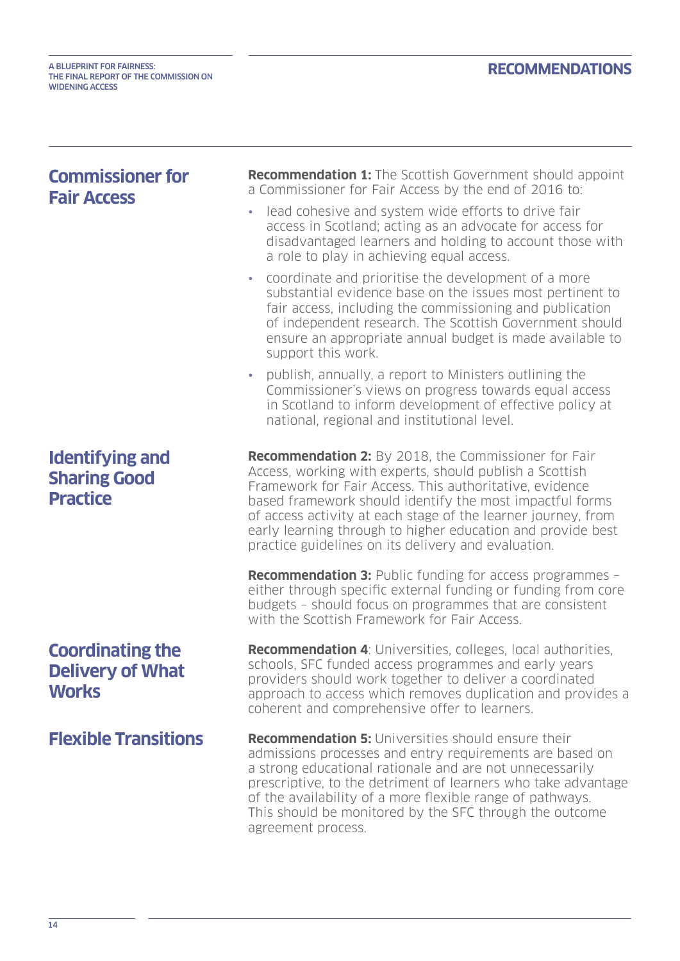# **Commissioner for Fair Access**

# **Identifying and Sharing Good Practice**

# **Coordinating the Delivery of What Works**

# **Flexible Transitions**

**Recommendation 1:** The Scottish Government should appoint a Commissioner for Fair Access by the end of 2016 to:

- lead cohesive and system wide efforts to drive fair access in Scotland; acting as an advocate for access for disadvantaged learners and holding to account those with a role to play in achieving equal access.
- coordinate and prioritise the development of a more substantial evidence base on the issues most pertinent to fair access, including the commissioning and publication of independent research. The Scottish Government should ensure an appropriate annual budget is made available to support this work.
- publish, annually, a report to Ministers outlining the Commissioner's views on progress towards equal access in Scotland to inform development of effective policy at national, regional and institutional level.

**Recommendation 2:** By 2018, the Commissioner for Fair Access, working with experts, should publish a Scottish Framework for Fair Access. This authoritative, evidence based framework should identify the most impactful forms of access activity at each stage of the learner journey, from early learning through to higher education and provide best practice guidelines on its delivery and evaluation.

**Recommendation 3:** Public funding for access programmes – either through specific external funding or funding from core budgets – should focus on programmes that are consistent with the Scottish Framework for Fair Access.

**Recommendation 4**: Universities, colleges, local authorities, schools, SFC funded access programmes and early years providers should work together to deliver a coordinated approach to access which removes duplication and provides a coherent and comprehensive offer to learners.

**Recommendation 5:** Universities should ensure their admissions processes and entry requirements are based on a strong educational rationale and are not unnecessarily prescriptive, to the detriment of learners who take advantage of the availability of a more flexible range of pathways. This should be monitored by the SFC through the outcome agreement process.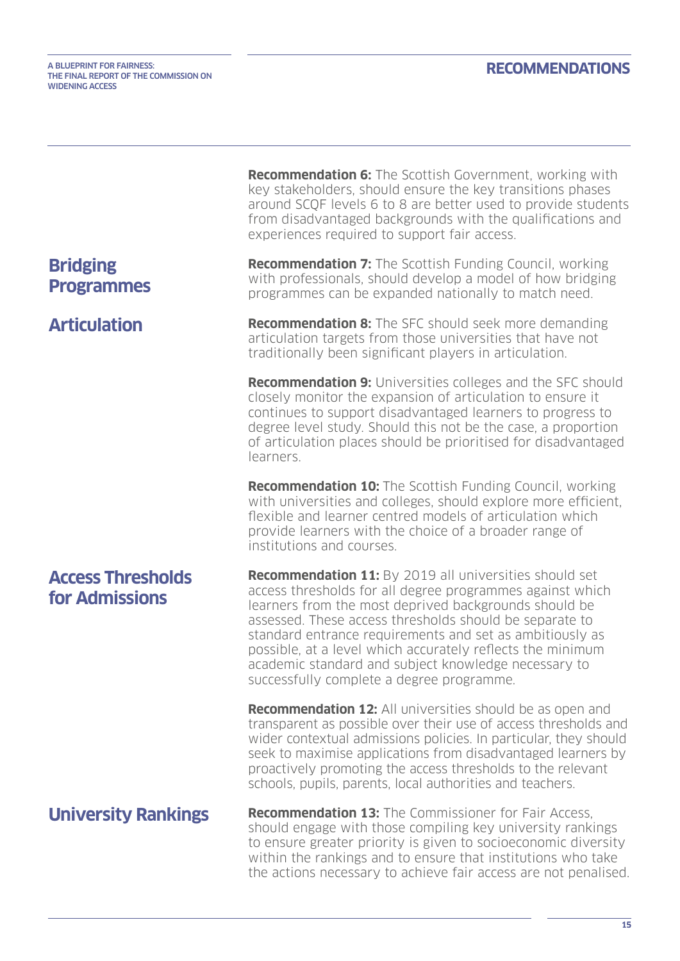|                                            | <b>Recommendation 6:</b> The Scottish Government, working with<br>key stakeholders, should ensure the key transitions phases<br>around SCQF levels 6 to 8 are better used to provide students<br>from disadvantaged backgrounds with the qualifications and<br>experiences required to support fair access.                                                                                                                                                                   |
|--------------------------------------------|-------------------------------------------------------------------------------------------------------------------------------------------------------------------------------------------------------------------------------------------------------------------------------------------------------------------------------------------------------------------------------------------------------------------------------------------------------------------------------|
| <b>Bridging</b><br><b>Programmes</b>       | <b>Recommendation 7:</b> The Scottish Funding Council, working<br>with professionals, should develop a model of how bridging<br>programmes can be expanded nationally to match need.                                                                                                                                                                                                                                                                                          |
| <b>Articulation</b>                        | <b>Recommendation 8:</b> The SFC should seek more demanding<br>articulation targets from those universities that have not<br>traditionally been significant players in articulation.                                                                                                                                                                                                                                                                                          |
|                                            | <b>Recommendation 9:</b> Universities colleges and the SFC should<br>closely monitor the expansion of articulation to ensure it<br>continues to support disadvantaged learners to progress to<br>degree level study. Should this not be the case, a proportion<br>of articulation places should be prioritised for disadvantaged<br>learners.                                                                                                                                 |
|                                            | <b>Recommendation 10:</b> The Scottish Funding Council, working<br>with universities and colleges, should explore more efficient,<br>flexible and learner centred models of articulation which<br>provide learners with the choice of a broader range of<br>institutions and courses.                                                                                                                                                                                         |
| <b>Access Thresholds</b><br>for Admissions | <b>Recommendation 11:</b> By 2019 all universities should set<br>access thresholds for all degree programmes against which<br>learners from the most deprived backgrounds should be<br>assessed. These access thresholds should be separate to<br>standard entrance requirements and set as ambitiously as<br>possible, at a level which accurately reflects the minimum<br>academic standard and subject knowledge necessary to<br>successfully complete a degree programme. |
|                                            | <b>Recommendation 12:</b> All universities should be as open and<br>transparent as possible over their use of access thresholds and<br>wider contextual admissions policies. In particular, they should<br>seek to maximise applications from disadvantaged learners by<br>proactively promoting the access thresholds to the relevant<br>schools, pupils, parents, local authorities and teachers.                                                                           |
| <b>University Rankings</b>                 | <b>Recommendation 13:</b> The Commissioner for Fair Access,<br>should engage with those compiling key university rankings<br>to ensure greater priority is given to socioeconomic diversity<br>within the rankings and to ensure that institutions who take<br>the actions necessary to achieve fair access are not penalised.                                                                                                                                                |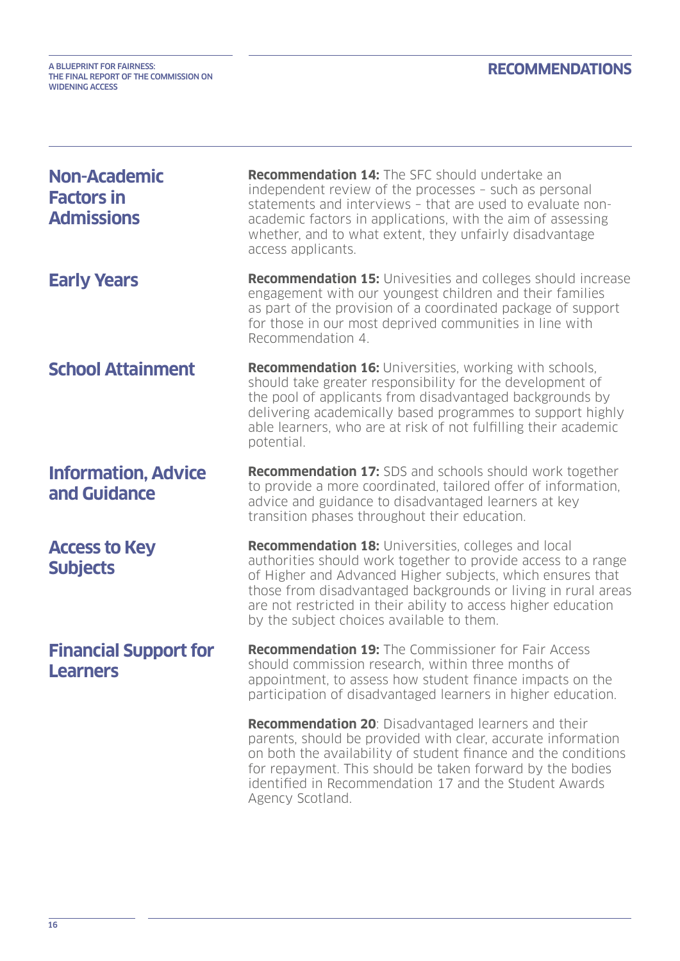| <b>Non-Academic</b><br><b>Factors in</b><br><b>Admissions</b> | <b>Recommendation 14:</b> The SFC should undertake an<br>independent review of the processes - such as personal<br>statements and interviews - that are used to evaluate non-<br>academic factors in applications, with the aim of assessing<br>whether, and to what extent, they unfairly disadvantage<br>access applicants.                                             |
|---------------------------------------------------------------|---------------------------------------------------------------------------------------------------------------------------------------------------------------------------------------------------------------------------------------------------------------------------------------------------------------------------------------------------------------------------|
| <b>Early Years</b>                                            | <b>Recommendation 15:</b> Univesities and colleges should increase<br>engagement with our youngest children and their families<br>as part of the provision of a coordinated package of support<br>for those in our most deprived communities in line with<br>Recommendation 4.                                                                                            |
| <b>School Attainment</b>                                      | <b>Recommendation 16:</b> Universities, working with schools,<br>should take greater responsibility for the development of<br>the pool of applicants from disadvantaged backgrounds by<br>delivering academically based programmes to support highly<br>able learners, who are at risk of not fulfilling their academic<br>potential.                                     |
| <b>Information, Advice</b><br>and Guidance                    | <b>Recommendation 17:</b> SDS and schools should work together<br>to provide a more coordinated, tailored offer of information,<br>advice and guidance to disadvantaged learners at key<br>transition phases throughout their education.                                                                                                                                  |
| <b>Access to Key</b><br><b>Subjects</b>                       | <b>Recommendation 18:</b> Universities, colleges and local<br>authorities should work together to provide access to a range<br>of Higher and Advanced Higher subjects, which ensures that<br>those from disadvantaged backgrounds or living in rural areas<br>are not restricted in their ability to access higher education<br>by the subject choices available to them. |
| <b>Financial Support for</b><br><b>Learners</b>               | <b>Recommendation 19:</b> The Commissioner for Fair Access<br>should commission research, within three months of<br>appointment, to assess how student finance impacts on the<br>participation of disadvantaged learners in higher education.                                                                                                                             |
|                                                               | <b>Recommendation 20:</b> Disadvantaged learners and their<br>parents, should be provided with clear, accurate information<br>on both the availability of student finance and the conditions                                                                                                                                                                              |

Agency Scotland.

for repayment. This should be taken forward by the bodies identified in Recommendation 17 and the Student Awards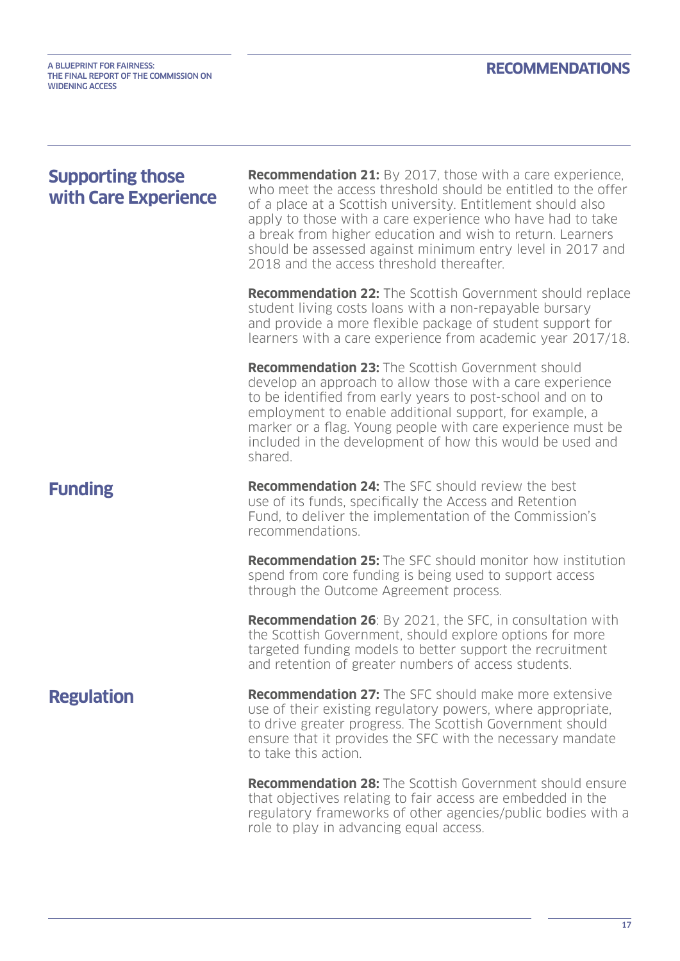# **Supporting those with Care Experience**

**Recommendation 21:** By 2017, those with a care experience, who meet the access threshold should be entitled to the offer of a place at a Scottish university. Entitlement should also apply to those with a care experience who have had to take a break from higher education and wish to return. Learners should be assessed against minimum entry level in 2017 and 2018 and the access threshold thereafter.

**Recommendation 22:** The Scottish Government should replace student living costs loans with a non-repayable bursary and provide a more flexible package of student support for learners with a care experience from academic year 2017/18.

**Recommendation 23:** The Scottish Government should develop an approach to allow those with a care experience to be identified from early years to post-school and on to employment to enable additional support, for example, a marker or a flag. Young people with care experience must be included in the development of how this would be used and shared.

**Recommendation 24:** The SFC should review the best use of its funds, specifically the Access and Retention Fund, to deliver the implementation of the Commission's recommendations.

**Recommendation 25:** The SFC should monitor how institution spend from core funding is being used to support access through the Outcome Agreement process.

**Recommendation 26**: By 2021, the SFC, in consultation with the Scottish Government, should explore options for more targeted funding models to better support the recruitment and retention of greater numbers of access students.

# **Regulation**

**Funding**

**Recommendation 27:** The SFC should make more extensive use of their existing regulatory powers, where appropriate, to drive greater progress. The Scottish Government should ensure that it provides the SFC with the necessary mandate to take this action.

**Recommendation 28:** The Scottish Government should ensure that objectives relating to fair access are embedded in the regulatory frameworks of other agencies/public bodies with a role to play in advancing equal access.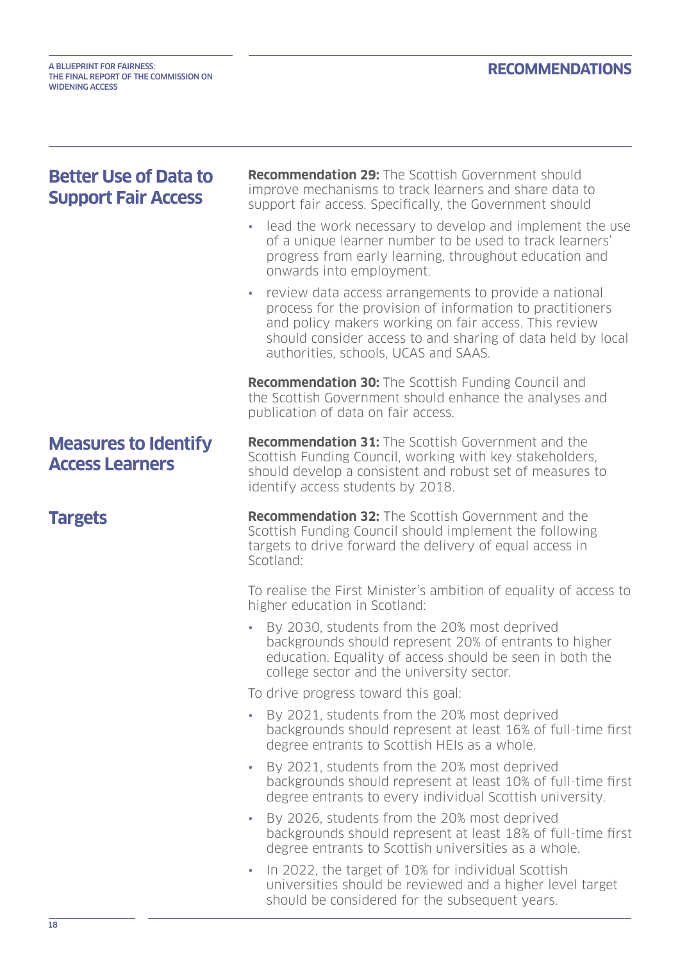# **Better Use of Data to Support Fair Access**

**Recommendation 29:** The Scottish Government should improve mechanisms to track learners and share data to support fair access. Specifically, the Government should

- lead the work necessary to develop and implement the use of a unique learner number to be used to track learners' progress from early learning, throughout education and onwards into employment.
- review data access arrangements to provide a national process for the provision of information to practitioners and policy makers working on fair access. This review should consider access to and sharing of data held by local authorities, schools, UCAS and SAAS.

**Recommendation 30:** The Scottish Funding Council and the Scottish Government should enhance the analyses and publication of data on fair access.

**Recommendation 31:** The Scottish Government and the Scottish Funding Council, working with key stakeholders, should develop a consistent and robust set of measures to identify access students by 2018.

**Recommendation 32:** The Scottish Government and the Scottish Funding Council should implement the following targets to drive forward the delivery of equal access in Scotland:

To realise the First Minister's ambition of equality of access to higher education in Scotland:

• By 2030, students from the 20% most deprived backgrounds should represent 20% of entrants to higher education. Equality of access should be seen in both the college sector and the university sector.

To drive progress toward this goal:

- By 2021, students from the 20% most deprived backgrounds should represent at least 16% of full-time first degree entrants to Scottish HEIs as a whole.
- By 2021, students from the 20% most deprived backgrounds should represent at least 10% of full-time first degree entrants to every individual Scottish university.
- By 2026, students from the 20% most deprived backgrounds should represent at least 18% of full-time first degree entrants to Scottish universities as a whole.
- In 2022, the target of 10% for individual Scottish universities should be reviewed and a higher level target should be considered for the subsequent years.

**Measures to Identify Access Learners**

# **Targets**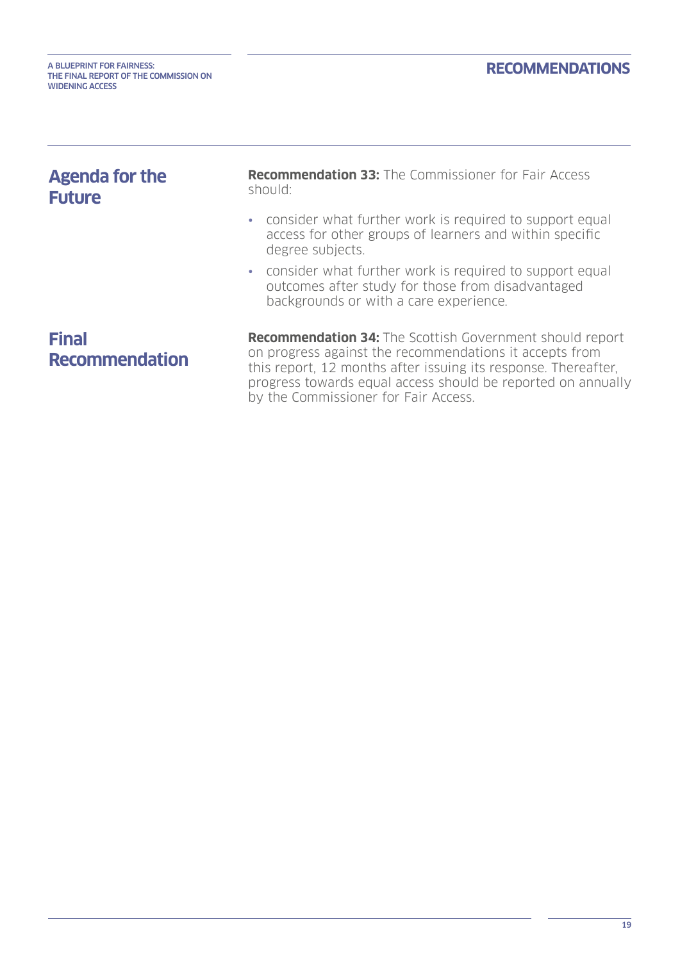# **Agenda for the Future**

**Recommendation 33:** The Commissioner for Fair Access should:

- consider what further work is required to support equal access for other groups of learners and within specific degree subjects.
- consider what further work is required to support equal outcomes after study for those from disadvantaged backgrounds or with a care experience.

# **Final Recommendation**

**Recommendation 34:** The Scottish Government should report on progress against the recommendations it accepts from this report, 12 months after issuing its response. Thereafter, progress towards equal access should be reported on annually by the Commissioner for Fair Access.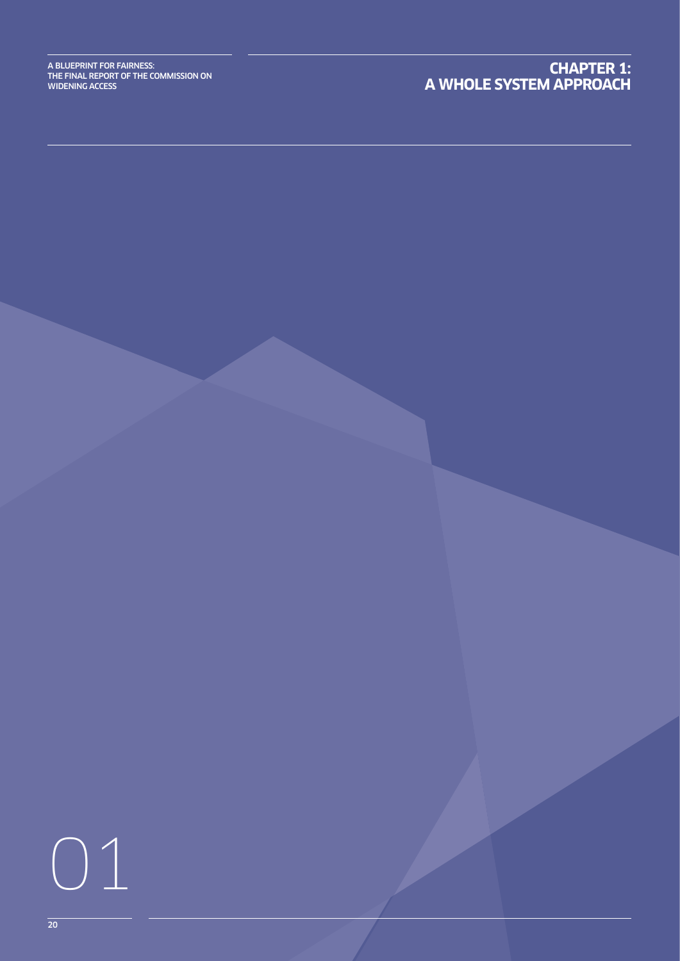## **CHAPTER 1: A WHOLE SYSTEM APPROACH**

# 01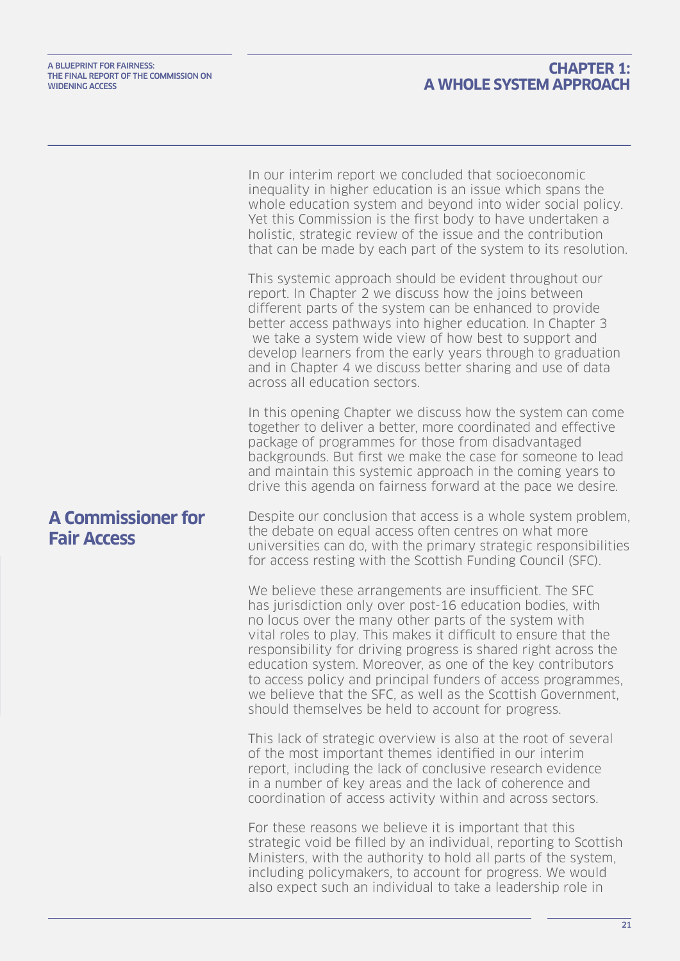#### **CHAPTER 1: A WHOLE SYSTEM APPROACH**

In our interim report we concluded that socioeconomic inequality in higher education is an issue which spans the whole education system and beyond into wider social policy. Yet this Commission is the first body to have undertaken a holistic, strategic review of the issue and the contribution that can be made by each part of the system to its resolution.

This systemic approach should be evident throughout our report. In Chapter 2 we discuss how the joins between different parts of the system can be enhanced to provide better access pathways into higher education. In Chapter 3 we take a system wide view of how best to support and develop learners from the early years through to graduation and in Chapter 4 we discuss better sharing and use of data across all education sectors.

In this opening Chapter we discuss how the system can come together to deliver a better, more coordinated and effective package of programmes for those from disadvantaged backgrounds. But first we make the case for someone to lead and maintain this systemic approach in the coming years to drive this agenda on fairness forward at the pace we desire.

**A Commissioner for Fair Access**

Despite our conclusion that access is a whole system problem, the debate on equal access often centres on what more universities can do, with the primary strategic responsibilities for access resting with the Scottish Funding Council (SFC).

We believe these arrangements are insufficient. The SFC has jurisdiction only over post-16 education bodies, with no locus over the many other parts of the system with vital roles to play. This makes it difficult to ensure that the responsibility for driving progress is shared right across the education system. Moreover, as one of the key contributors to access policy and principal funders of access programmes, we believe that the SFC, as well as the Scottish Government, should themselves be held to account for progress.

This lack of strategic overview is also at the root of several of the most important themes identified in our interim report, including the lack of conclusive research evidence in a number of key areas and the lack of coherence and coordination of access activity within and across sectors.

For these reasons we believe it is important that this strategic void be filled by an individual, reporting to Scottish Ministers, with the authority to hold all parts of the system, including policymakers, to account for progress. We would also expect such an individual to take a leadership role in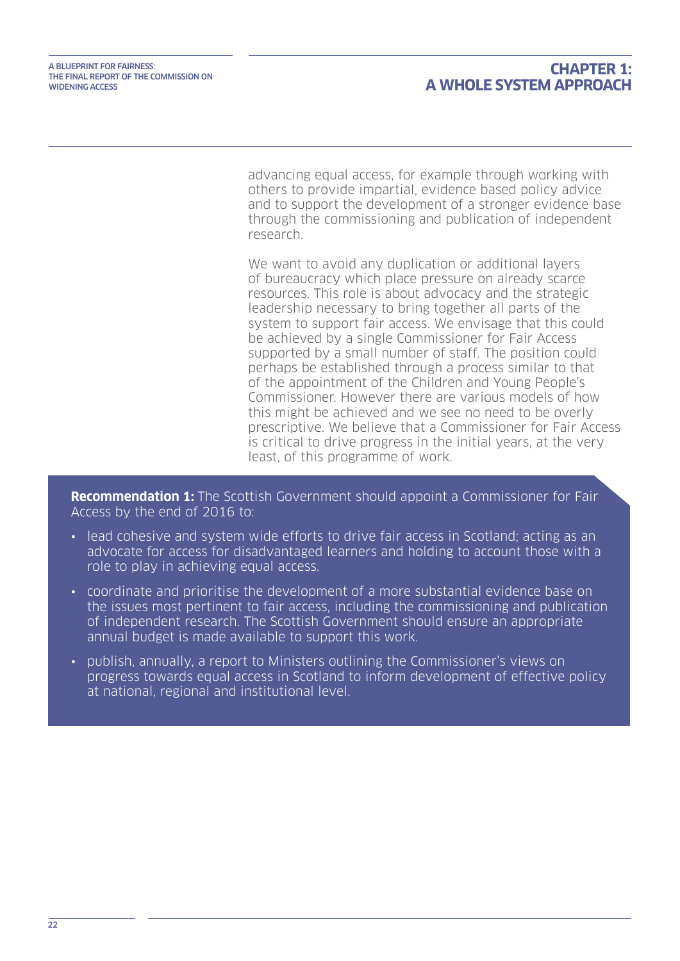**CHAPTER 1: A WHOLE SYSTEM APPROACH**

A BLUEPRINT FOR FAIRNESS: THE FINAL REPORT OF THE COMMISSION ON WIDENING ACCESS

> advancing equal access, for example through working with others to provide impartial, evidence based policy advice and to support the development of a stronger evidence base through the commissioning and publication of independent research.

> We want to avoid any duplication or additional layers of bureaucracy which place pressure on already scarce resources. This role is about advocacy and the strategic leadership necessary to bring together all parts of the system to support fair access. We envisage that this could be achieved by a single Commissioner for Fair Access supported by a small number of staff. The position could perhaps be established through a process similar to that of the appointment of the Children and Young People's Commissioner. However there are various models of how this might be achieved and we see no need to be overly prescriptive. We believe that a Commissioner for Fair Access is critical to drive progress in the initial years, at the very least, of this programme of work.

**Recommendation 1:** The Scottish Government should appoint a Commissioner for Fair Access by the end of 2016 to:

- lead cohesive and system wide efforts to drive fair access in Scotland; acting as an advocate for access for disadvantaged learners and holding to account those with a role to play in achieving equal access.
- coordinate and prioritise the development of a more substantial evidence base on the issues most pertinent to fair access, including the commissioning and publication of independent research. The Scottish Government should ensure an appropriate annual budget is made available to support this work.
- publish, annually, a report to Ministers outlining the Commissioner's views on progress towards equal access in Scotland to inform development of effective policy at national, regional and institutional level.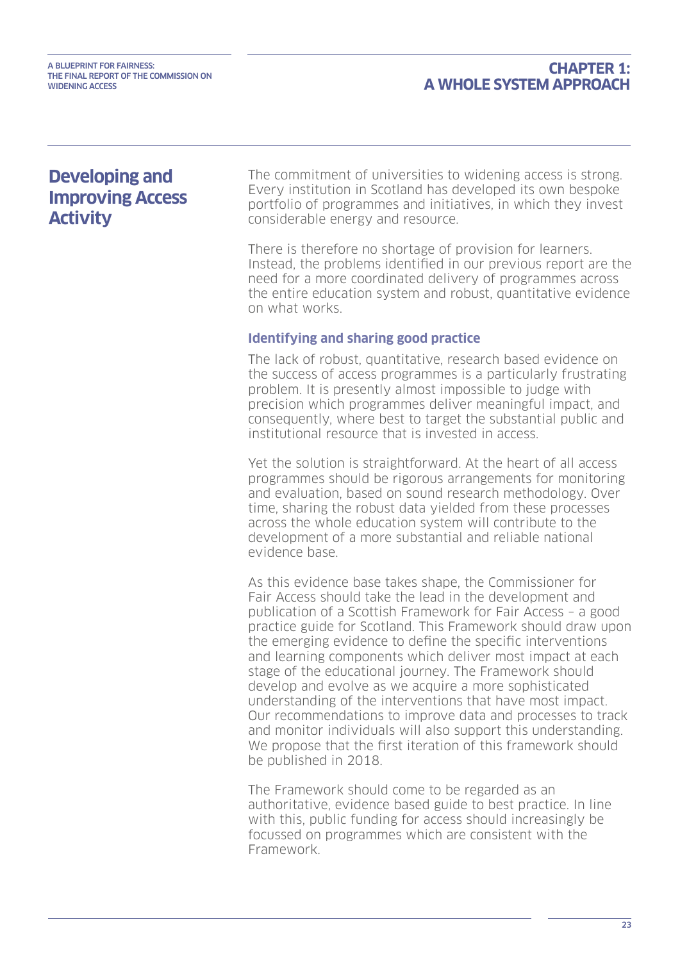#### **CHAPTER 1: A WHOLE SYSTEM APPROACH**

A BLUEPRINT FOR FAIRNESS: THE FINAL REPORT OF THE COMMISSION ON WIDENING ACCESS

# **Developing and Improving Access Activity**

The commitment of universities to widening access is strong. Every institution in Scotland has developed its own bespoke portfolio of programmes and initiatives, in which they invest considerable energy and resource.

There is therefore no shortage of provision for learners. Instead, the problems identified in our previous report are the need for a more coordinated delivery of programmes across the entire education system and robust, quantitative evidence on what works.

#### **Identifying and sharing good practice**

The lack of robust, quantitative, research based evidence on the success of access programmes is a particularly frustrating problem. It is presently almost impossible to judge with precision which programmes deliver meaningful impact, and consequently, where best to target the substantial public and institutional resource that is invested in access.

Yet the solution is straightforward. At the heart of all access programmes should be rigorous arrangements for monitoring and evaluation, based on sound research methodology. Over time, sharing the robust data yielded from these processes across the whole education system will contribute to the development of a more substantial and reliable national evidence base.

As this evidence base takes shape, the Commissioner for Fair Access should take the lead in the development and publication of a Scottish Framework for Fair Access – a good practice guide for Scotland. This Framework should draw upon the emerging evidence to define the specific interventions and learning components which deliver most impact at each stage of the educational journey. The Framework should develop and evolve as we acquire a more sophisticated understanding of the interventions that have most impact. Our recommendations to improve data and processes to track and monitor individuals will also support this understanding. We propose that the first iteration of this framework should be published in 2018.

The Framework should come to be regarded as an authoritative, evidence based guide to best practice. In line with this, public funding for access should increasingly be focussed on programmes which are consistent with the Framework.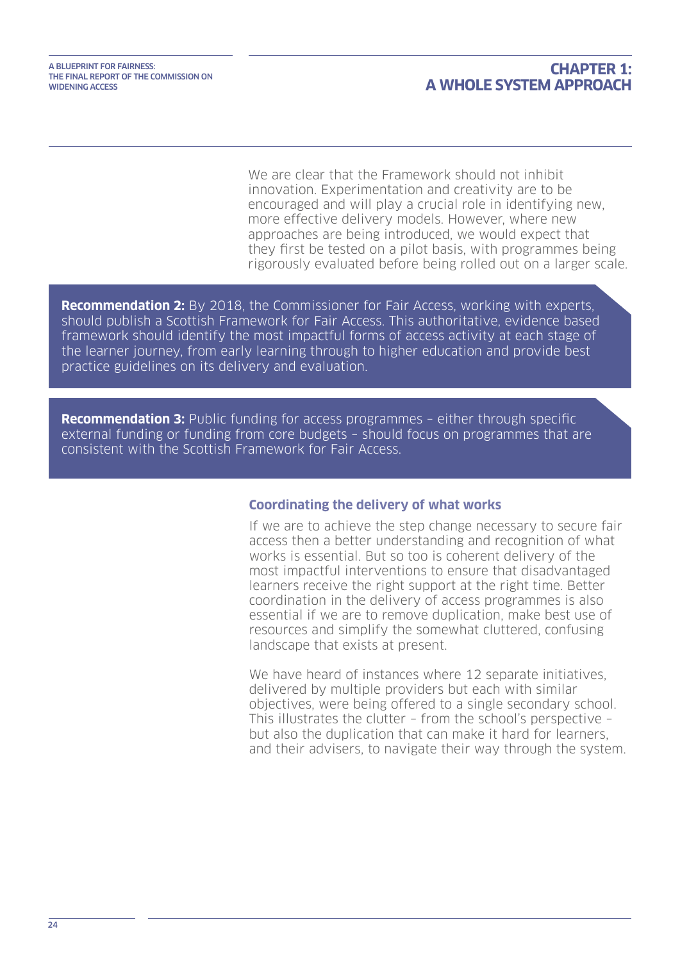#### **CHAPTER 1: A WHOLE SYSTEM APPROACH**

We are clear that the Framework should not inhibit innovation. Experimentation and creativity are to be encouraged and will play a crucial role in identifying new, more effective delivery models. However, where new approaches are being introduced, we would expect that they first be tested on a pilot basis, with programmes being rigorously evaluated before being rolled out on a larger scale.

**Recommendation 2:** By 2018, the Commissioner for Fair Access, working with experts, should publish a Scottish Framework for Fair Access. This authoritative, evidence based framework should identify the most impactful forms of access activity at each stage of the learner journey, from early learning through to higher education and provide best practice guidelines on its delivery and evaluation.

**Recommendation 3:** Public funding for access programmes - either through specific external funding or funding from core budgets – should focus on programmes that are consistent with the Scottish Framework for Fair Access.

#### **Coordinating the delivery of what works**

If we are to achieve the step change necessary to secure fair access then a better understanding and recognition of what works is essential. But so too is coherent delivery of the most impactful interventions to ensure that disadvantaged learners receive the right support at the right time. Better coordination in the delivery of access programmes is also essential if we are to remove duplication, make best use of resources and simplify the somewhat cluttered, confusing landscape that exists at present.

We have heard of instances where 12 separate initiatives, delivered by multiple providers but each with similar objectives, were being offered to a single secondary school. This illustrates the clutter – from the school's perspective – but also the duplication that can make it hard for learners, and their advisers, to navigate their way through the system.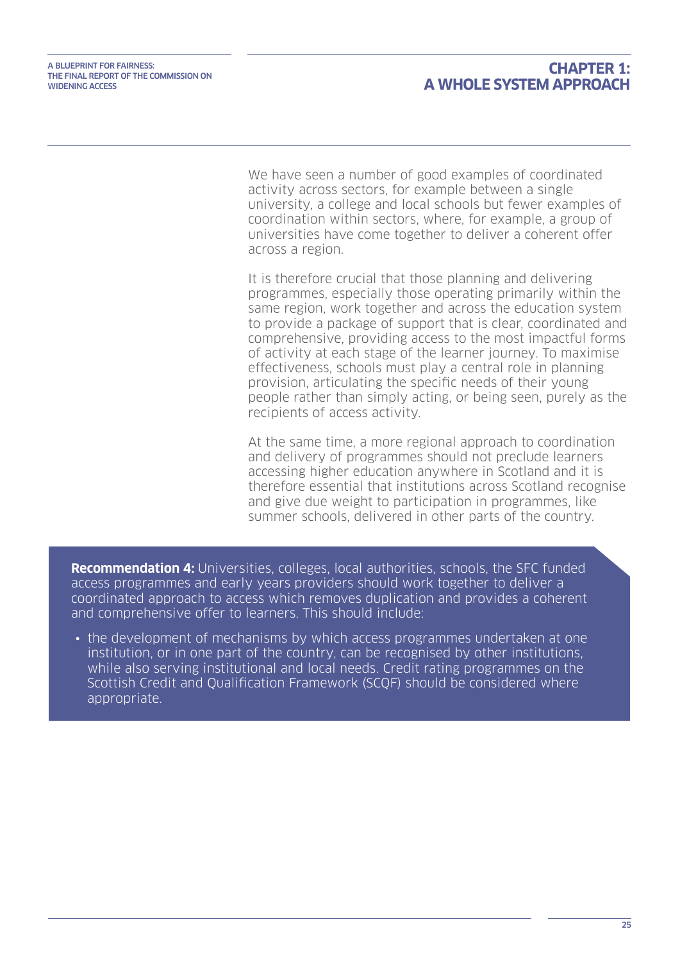#### **CHAPTER 1: A WHOLE SYSTEM APPROACH**

A BLUEPRINT FOR FAIRNESS: THE FINAL REPORT OF THE COMMISSION ON WIDENING ACCESS

> We have seen a number of good examples of coordinated activity across sectors, for example between a single university, a college and local schools but fewer examples of coordination within sectors, where, for example, a group of universities have come together to deliver a coherent offer across a region.

It is therefore crucial that those planning and delivering programmes, especially those operating primarily within the same region, work together and across the education system to provide a package of support that is clear, coordinated and comprehensive, providing access to the most impactful forms of activity at each stage of the learner journey. To maximise effectiveness, schools must play a central role in planning provision, articulating the specific needs of their young people rather than simply acting, or being seen, purely as the recipients of access activity.

At the same time, a more regional approach to coordination and delivery of programmes should not preclude learners accessing higher education anywhere in Scotland and it is therefore essential that institutions across Scotland recognise and give due weight to participation in programmes, like summer schools, delivered in other parts of the country.

**Recommendation 4:** Universities, colleges, local authorities, schools, the SFC funded access programmes and early years providers should work together to deliver a coordinated approach to access which removes duplication and provides a coherent and comprehensive offer to learners. This should include:

 • the development of mechanisms by which access programmes undertaken at one institution, or in one part of the country, can be recognised by other institutions, while also serving institutional and local needs. Credit rating programmes on the Scottish Credit and Qualification Framework (SCQF) should be considered where appropriate.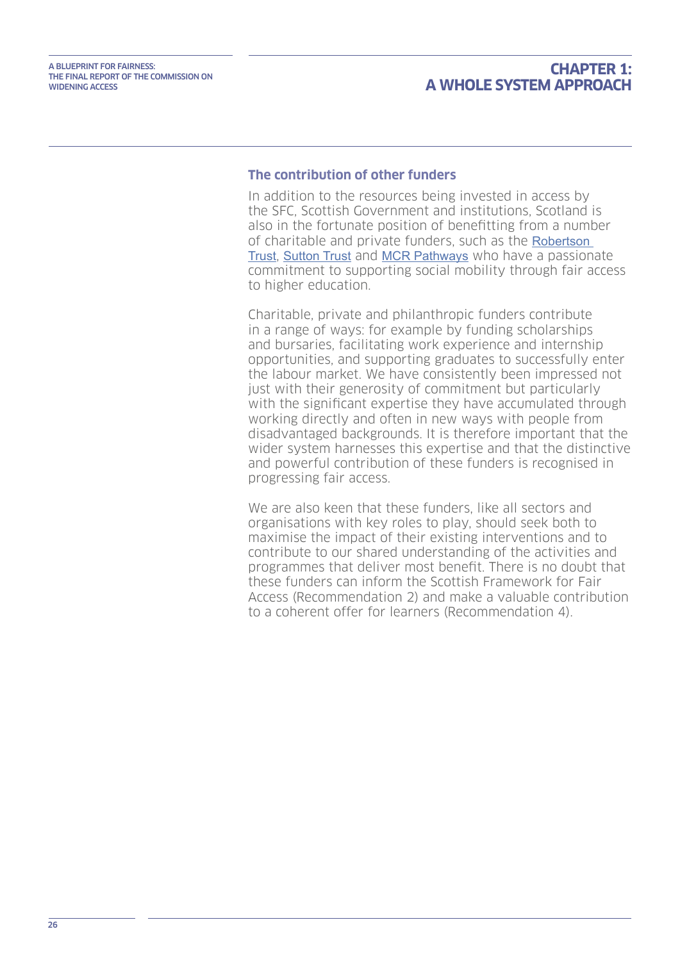#### **CHAPTER 1: A WHOLE SYSTEM APPROACH**

#### **The contribution of other funders**

In addition to the resources being invested in access by the SFC, Scottish Government and institutions, Scotland is also in the fortunate position of benefitting from a number of charitable and private funders, such as the [Robertson](http://www.therobertsontrust.org.uk/)  [Trust](http://www.therobertsontrust.org.uk/), [Sutton Trust](http://www.suttontrust.com/) and [MCR Pathways](http://mcrpathways.org/) who have a passionate commitment to supporting social mobility through fair access to higher education.

Charitable, private and philanthropic funders contribute in a range of ways: for example by funding scholarships and bursaries, facilitating work experience and internship opportunities, and supporting graduates to successfully enter the labour market. We have consistently been impressed not just with their generosity of commitment but particularly with the significant expertise they have accumulated through working directly and often in new ways with people from disadvantaged backgrounds. It is therefore important that the wider system harnesses this expertise and that the distinctive and powerful contribution of these funders is recognised in progressing fair access.

We are also keen that these funders, like all sectors and organisations with key roles to play, should seek both to maximise the impact of their existing interventions and to contribute to our shared understanding of the activities and programmes that deliver most benefit. There is no doubt that these funders can inform the Scottish Framework for Fair Access (Recommendation 2) and make a valuable contribution to a coherent offer for learners (Recommendation 4).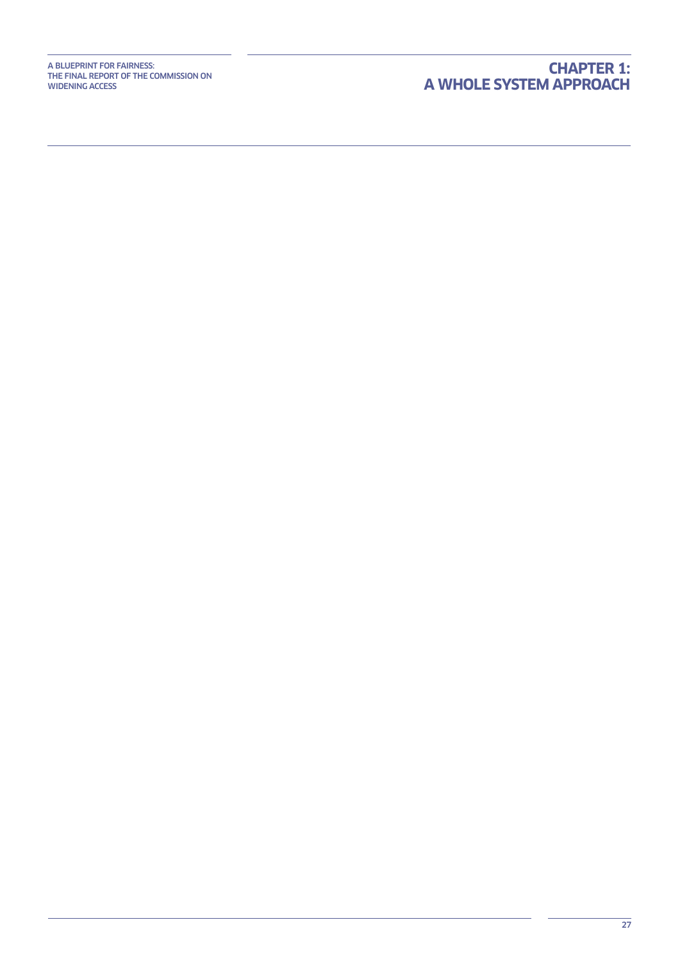## **CHAPTER 1: A WHOLE SYSTEM APPROACH**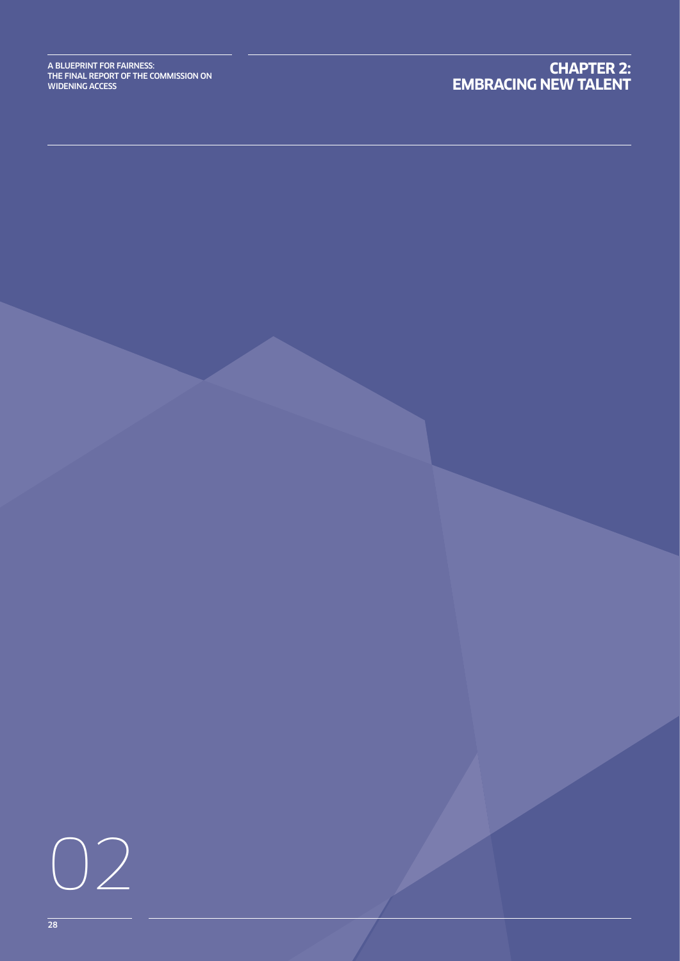## **CHAPTER 2: EMBRACING NEW TALENT**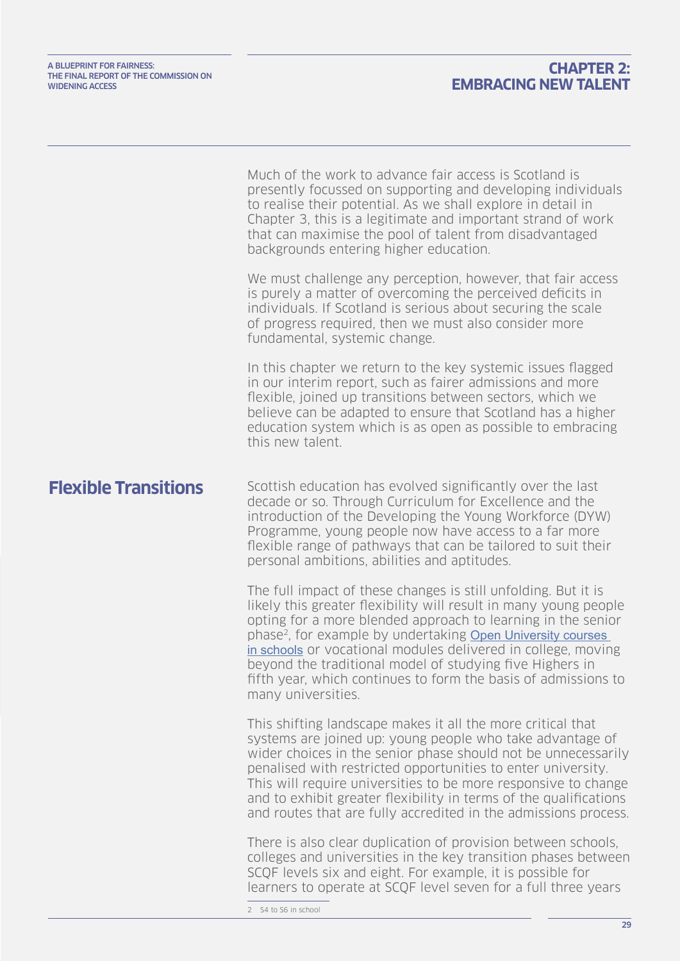> Much of the work to advance fair access is Scotland is presently focussed on supporting and developing individuals to realise their potential. As we shall explore in detail in Chapter 3, this is a legitimate and important strand of work that can maximise the pool of talent from disadvantaged backgrounds entering higher education.

We must challenge any perception, however, that fair access is purely a matter of overcoming the perceived deficits in individuals. If Scotland is serious about securing the scale of progress required, then we must also consider more fundamental, systemic change.

In this chapter we return to the key systemic issues flagged in our interim report, such as fairer admissions and more flexible, joined up transitions between sectors, which we believe can be adapted to ensure that Scotland has a higher education system which is as open as possible to embracing this new talent.

Scottish education has evolved significantly over the last decade or so. Through Curriculum for Excellence and the introduction of the Developing the Young Workforce (DYW) Programme, young people now have access to a far more flexible range of pathways that can be tailored to suit their personal ambitions, abilities and aptitudes. **Flexible Transitions**

> The full impact of these changes is still unfolding. But it is likely this greater flexibility will result in many young people opting for a more blended approach to learning in the senior phase2, for example by undertaking [Open University courses](http://www.open.ac.uk/scotland/study/young-applicants-schools)  in schools or vocational modules delivered in college, moving beyond the traditional model of studying five Highers in fifth year, which continues to form the basis of admissions to many universities.

This shifting landscape makes it all the more critical that systems are joined up: young people who take advantage of wider choices in the senior phase should not be unnecessarily penalised with restricted opportunities to enter university. This will require universities to be more responsive to change and to exhibit greater flexibility in terms of the qualifications and routes that are fully accredited in the admissions process.

There is also clear duplication of provision between schools, colleges and universities in the key transition phases between SCQF levels six and eight. For example, it is possible for learners to operate at SCQF level seven for a full three years

2 S4 to S6 in school

#### **CHAPTER 2: EMBRACING NEW TALENT**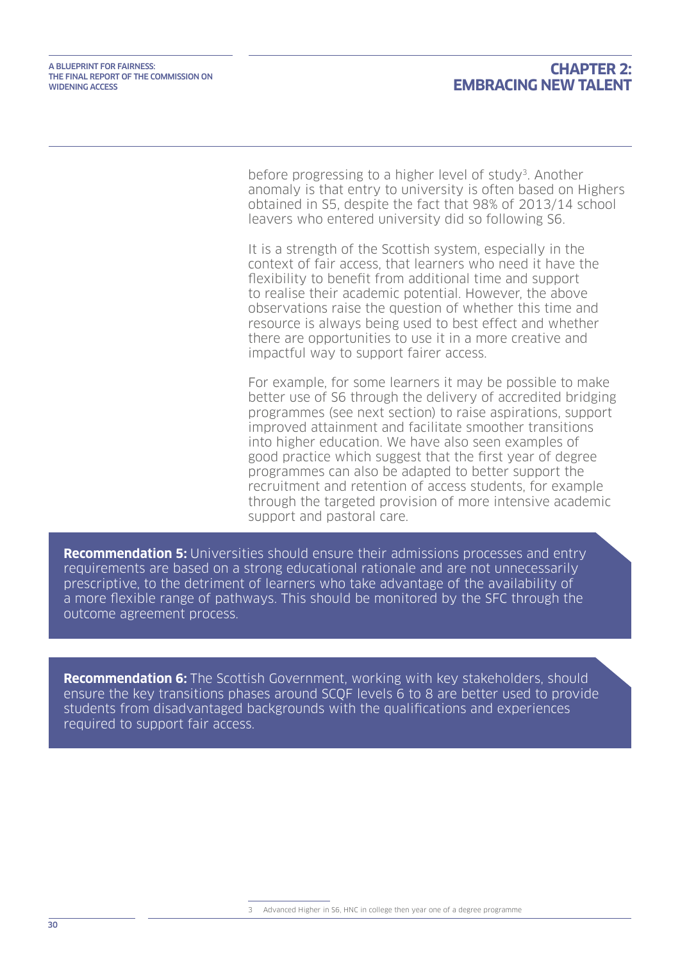#### **CHAPTER 2: EMBRACING NEW TALENT**

before progressing to a higher level of study<sup>3</sup>. Another anomaly is that entry to university is often based on Highers obtained in S5, despite the fact that 98% of 2013/14 school leavers who entered university did so following S6.

It is a strength of the Scottish system, especially in the context of fair access, that learners who need it have the flexibility to benefit from additional time and support to realise their academic potential. However, the above observations raise the question of whether this time and resource is always being used to best effect and whether there are opportunities to use it in a more creative and impactful way to support fairer access.

For example, for some learners it may be possible to make better use of S6 through the delivery of accredited bridging programmes (see next section) to raise aspirations, support improved attainment and facilitate smoother transitions into higher education. We have also seen examples of good practice which suggest that the first year of degree programmes can also be adapted to better support the recruitment and retention of access students, for example through the targeted provision of more intensive academic support and pastoral care.

**Recommendation 5:** Universities should ensure their admissions processes and entry requirements are based on a strong educational rationale and are not unnecessarily prescriptive, to the detriment of learners who take advantage of the availability of a more flexible range of pathways. This should be monitored by the SFC through the outcome agreement process.

**Recommendation 6:** The Scottish Government, working with key stakeholders, should ensure the key transitions phases around SCQF levels 6 to 8 are better used to provide students from disadvantaged backgrounds with the qualifications and experiences required to support fair access.

<sup>3</sup> Advanced Higher in S6, HNC in college then year one of a degree programme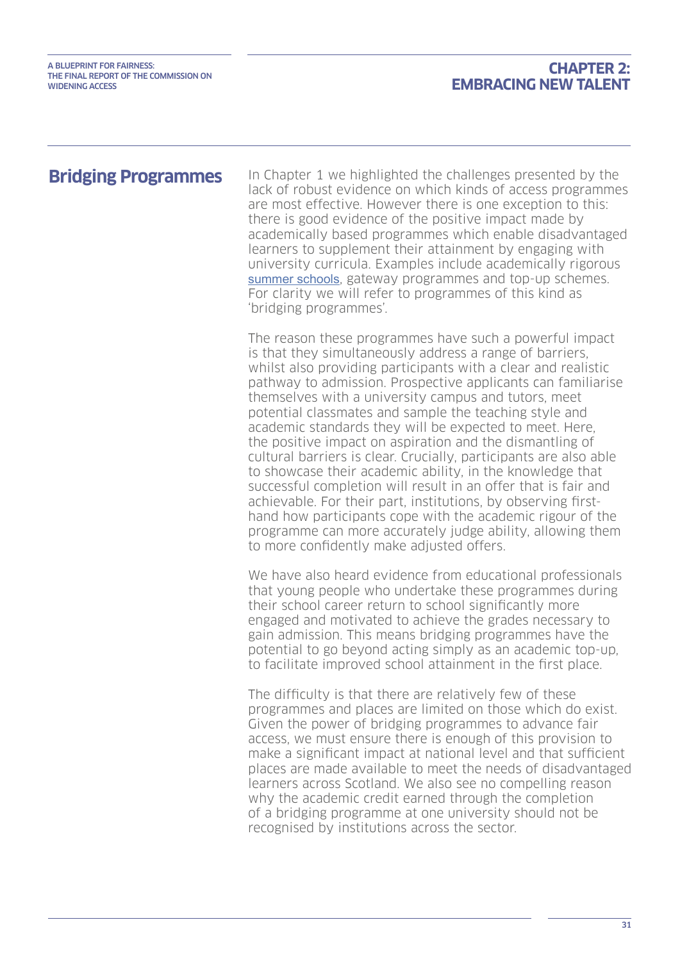#### **CHAPTER 2: EMBRACING NEW TALENT**

A BLUEPRINT FOR FAIRNESS: THE FINAL REPORT OF THE COMMISSION ON WIDENING ACCESS

## **Bridging Programmes**

In Chapter 1 we highlighted the challenges presented by the lack of robust evidence on which kinds of access programmes are most effective. However there is one exception to this: there is good evidence of the positive impact made by academically based programmes which enable disadvantaged learners to supplement their attainment by engaging with university curricula. Examples include academically rigorous [summer schools](http://www.gla.ac.uk/about/wideningparticipation/supportingaccesstogeneralsubjects/summerschool/), gateway programmes and top-up schemes. For clarity we will refer to programmes of this kind as 'bridging programmes'.

The reason these programmes have such a powerful impact is that they simultaneously address a range of barriers, whilst also providing participants with a clear and realistic pathway to admission. Prospective applicants can familiarise themselves with a university campus and tutors, meet potential classmates and sample the teaching style and academic standards they will be expected to meet. Here, the positive impact on aspiration and the dismantling of cultural barriers is clear. Crucially, participants are also able to showcase their academic ability, in the knowledge that successful completion will result in an offer that is fair and achievable. For their part, institutions, by observing firsthand how participants cope with the academic rigour of the programme can more accurately judge ability, allowing them to more confidently make adjusted offers.

We have also heard evidence from educational professionals that young people who undertake these programmes during their school career return to school significantly more engaged and motivated to achieve the grades necessary to gain admission. This means bridging programmes have the potential to go beyond acting simply as an academic top-up, to facilitate improved school attainment in the first place.

The difficulty is that there are relatively few of these programmes and places are limited on those which do exist. Given the power of bridging programmes to advance fair access, we must ensure there is enough of this provision to make a significant impact at national level and that sufficient places are made available to meet the needs of disadvantaged learners across Scotland. We also see no compelling reason why the academic credit earned through the completion of a bridging programme at one university should not be recognised by institutions across the sector.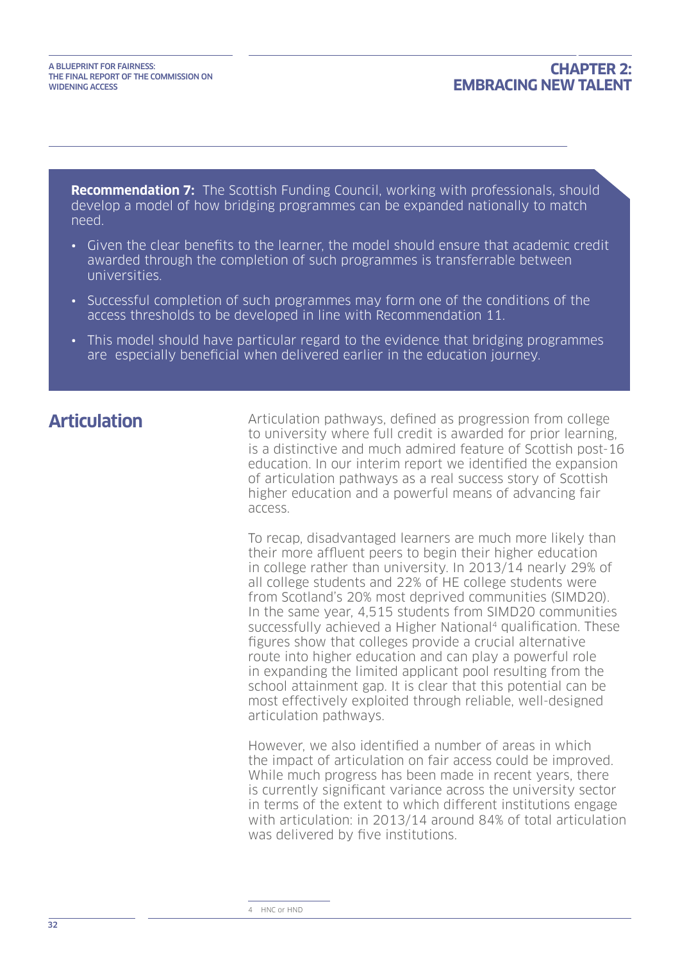**Recommendation 7:** The Scottish Funding Council, working with professionals, should develop a model of how bridging programmes can be expanded nationally to match need.

- Given the clear benefits to the learner, the model should ensure that academic credit awarded through the completion of such programmes is transferrable between universities.
- Successful completion of such programmes may form one of the conditions of the access thresholds to be developed in line with Recommendation 11.
- This model should have particular regard to the evidence that bridging programmes are especially beneficial when delivered earlier in the education journey.

# **Articulation**

Articulation pathways, defined as progression from college to university where full credit is awarded for prior learning, is a distinctive and much admired feature of Scottish post-16 education. In our interim report we identified the expansion of articulation pathways as a real success story of Scottish higher education and a powerful means of advancing fair access.

To recap, disadvantaged learners are much more likely than their more affluent peers to begin their higher education in college rather than university. In 2013/14 nearly 29% of all college students and 22% of HE college students were from Scotland's 20% most deprived communities (SIMD20). In the same year, 4,515 students from SIMD20 communities successfully achieved a Higher National<sup>4</sup> qualification. These figures show that colleges provide a crucial alternative route into higher education and can play a powerful role in expanding the limited applicant pool resulting from the school attainment gap. It is clear that this potential can be most effectively exploited through reliable, well-designed articulation pathways.

However, we also identified a number of areas in which the impact of articulation on fair access could be improved. While much progress has been made in recent years, there is currently significant variance across the university sector in terms of the extent to which different institutions engage with articulation: in 2013/14 around 84% of total articulation was delivered by five institutions.

4 HNC or HND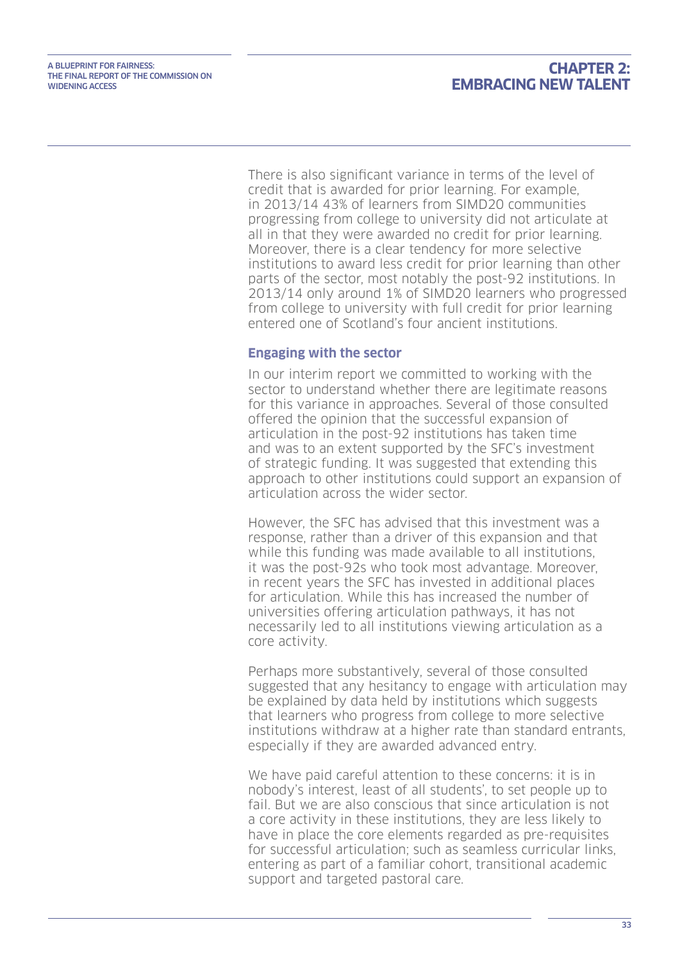#### **CHAPTER 2: EMBRACING NEW TALENT**

There is also significant variance in terms of the level of credit that is awarded for prior learning. For example, in 2013/14 43% of learners from SIMD20 communities progressing from college to university did not articulate at all in that they were awarded no credit for prior learning. Moreover, there is a clear tendency for more selective institutions to award less credit for prior learning than other parts of the sector, most notably the post-92 institutions. In 2013/14 only around 1% of SIMD20 learners who progressed from college to university with full credit for prior learning entered one of Scotland's four ancient institutions.

#### **Engaging with the sector**

In our interim report we committed to working with the sector to understand whether there are legitimate reasons for this variance in approaches. Several of those consulted offered the opinion that the successful expansion of articulation in the post-92 institutions has taken time and was to an extent supported by the SFC's investment of strategic funding. It was suggested that extending this approach to other institutions could support an expansion of articulation across the wider sector.

However, the SFC has advised that this investment was a response, rather than a driver of this expansion and that while this funding was made available to all institutions. it was the post-92s who took most advantage. Moreover, in recent years the SFC has invested in additional places for articulation. While this has increased the number of universities offering articulation pathways, it has not necessarily led to all institutions viewing articulation as a core activity.

Perhaps more substantively, several of those consulted suggested that any hesitancy to engage with articulation may be explained by data held by institutions which suggests that learners who progress from college to more selective institutions withdraw at a higher rate than standard entrants, especially if they are awarded advanced entry.

We have paid careful attention to these concerns: it is in nobody's interest, least of all students', to set people up to fail. But we are also conscious that since articulation is not a core activity in these institutions, they are less likely to have in place the core elements regarded as pre-requisites for successful articulation; such as seamless curricular links, entering as part of a familiar cohort, transitional academic support and targeted pastoral care.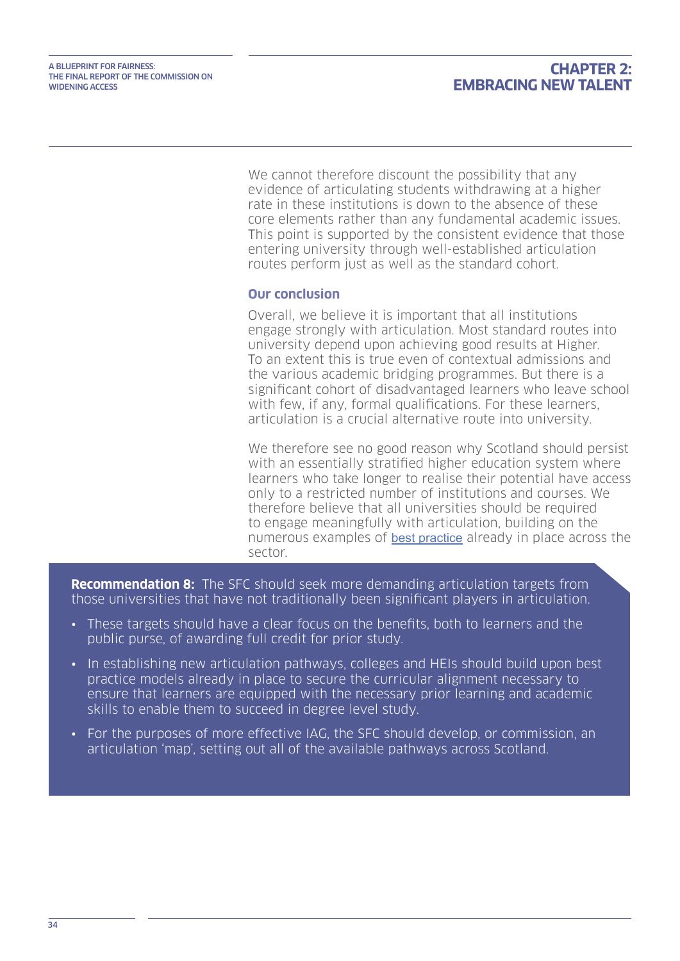**CHAPTER 2: EMBRACING NEW TALENT**

We cannot therefore discount the possibility that any evidence of articulating students withdrawing at a higher rate in these institutions is down to the absence of these core elements rather than any fundamental academic issues. This point is supported by the consistent evidence that those entering university through well-established articulation routes perform just as well as the standard cohort.

#### **Our conclusion**

Overall, we believe it is important that all institutions engage strongly with articulation. Most standard routes into university depend upon achieving good results at Higher. To an extent this is true even of contextual admissions and the various academic bridging programmes. But there is a significant cohort of disadvantaged learners who leave school with few, if any, formal qualifications. For these learners, articulation is a crucial alternative route into university.

We therefore see no good reason why Scotland should persist with an essentially stratified higher education system where learners who take longer to realise their potential have access only to a restricted number of institutions and courses. We therefore believe that all universities should be required to engage meaningfully with articulation, building on the numerous examples of [best practice](https://www.stir.ac.uk/news/2015/09/integrated-degree-students-enrol/) already in place across the sector.

**Recommendation 8:** The SFC should seek more demanding articulation targets from those universities that have not traditionally been significant players in articulation.

- These targets should have a clear focus on the benefits, both to learners and the public purse, of awarding full credit for prior study.
- In establishing new articulation pathways, colleges and HEIs should build upon best practice models already in place to secure the curricular alignment necessary to ensure that learners are equipped with the necessary prior learning and academic skills to enable them to succeed in degree level study.
- For the purposes of more effective IAG, the SFC should develop, or commission, an articulation 'map', setting out all of the available pathways across Scotland.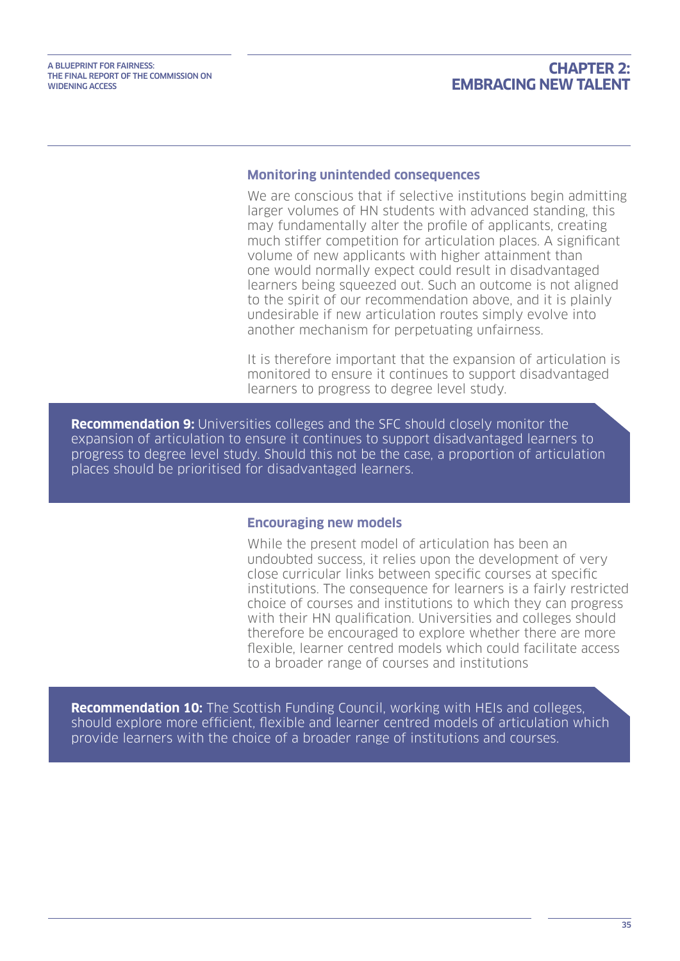# **CHAPTER 2: EMBRACING NEW TALENT**

### **Monitoring unintended consequences**

We are conscious that if selective institutions begin admitting larger volumes of HN students with advanced standing, this may fundamentally alter the profile of applicants, creating much stiffer competition for articulation places. A significant volume of new applicants with higher attainment than one would normally expect could result in disadvantaged learners being squeezed out. Such an outcome is not aligned to the spirit of our recommendation above, and it is plainly undesirable if new articulation routes simply evolve into another mechanism for perpetuating unfairness.

It is therefore important that the expansion of articulation is monitored to ensure it continues to support disadvantaged learners to progress to degree level study.

**Recommendation 9:** Universities colleges and the SFC should closely monitor the expansion of articulation to ensure it continues to support disadvantaged learners to progress to degree level study. Should this not be the case, a proportion of articulation places should be prioritised for disadvantaged learners.

### **Encouraging new models**

While the present model of articulation has been an undoubted success, it relies upon the development of very close curricular links between specific courses at specific institutions. The consequence for learners is a fairly restricted choice of courses and institutions to which they can progress with their HN qualification. Universities and colleges should therefore be encouraged to explore whether there are more flexible, learner centred models which could facilitate access to a broader range of courses and institutions

**Recommendation 10:** The Scottish Funding Council, working with HEIs and colleges, should explore more efficient, flexible and learner centred models of articulation which provide learners with the choice of a broader range of institutions and courses.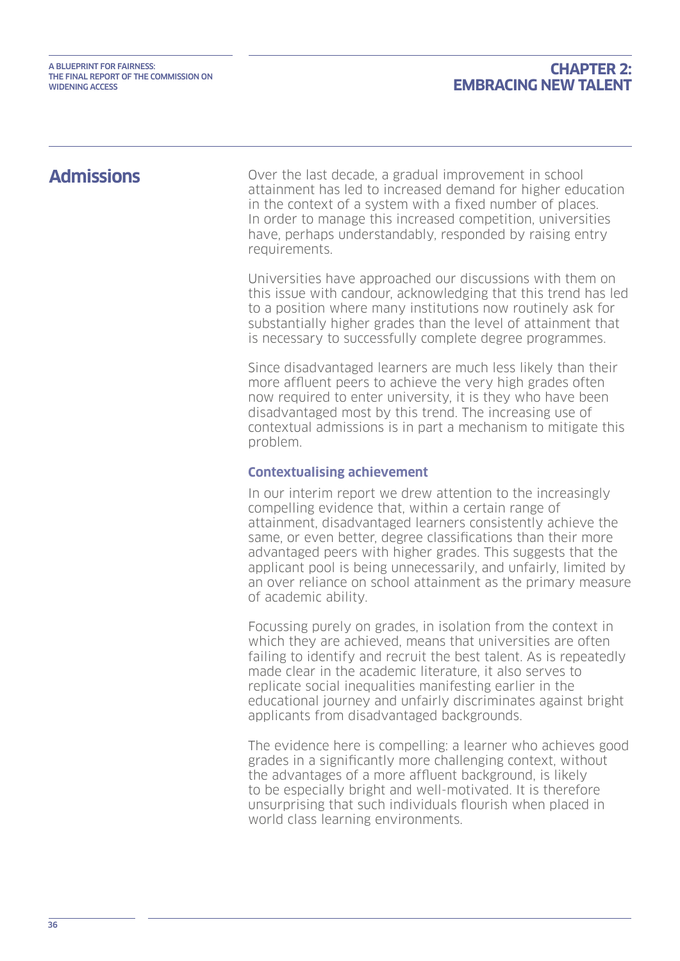### **CHAPTER 2: EMBRACING NEW TALENT**

A BLUEPRINT FOR FAIRNESS: THE FINAL REPORT OF THE COMMISSION ON WIDENING ACCESS

# **Admissions**

Over the last decade, a gradual improvement in school attainment has led to increased demand for higher education in the context of a system with a fixed number of places. In order to manage this increased competition, universities have, perhaps understandably, responded by raising entry requirements.

Universities have approached our discussions with them on this issue with candour, acknowledging that this trend has led to a position where many institutions now routinely ask for substantially higher grades than the level of attainment that is necessary to successfully complete degree programmes.

Since disadvantaged learners are much less likely than their more affluent peers to achieve the very high grades often now required to enter university, it is they who have been disadvantaged most by this trend. The increasing use of contextual admissions is in part a mechanism to mitigate this problem.

# **Contextualising achievement**

In our interim report we drew attention to the increasingly compelling evidence that, within a certain range of attainment, disadvantaged learners consistently achieve the same, or even better, degree classifications than their more advantaged peers with higher grades. This suggests that the applicant pool is being unnecessarily, and unfairly, limited by an over reliance on school attainment as the primary measure of academic ability.

Focussing purely on grades, in isolation from the context in which they are achieved, means that universities are often failing to identify and recruit the best talent. As is repeatedly made clear in the academic literature, it also serves to replicate social inequalities manifesting earlier in the educational journey and unfairly discriminates against bright applicants from disadvantaged backgrounds.

The evidence here is compelling: a learner who achieves good grades in a significantly more challenging context, without the advantages of a more affluent background, is likely to be especially bright and well-motivated. It is therefore unsurprising that such individuals flourish when placed in world class learning environments.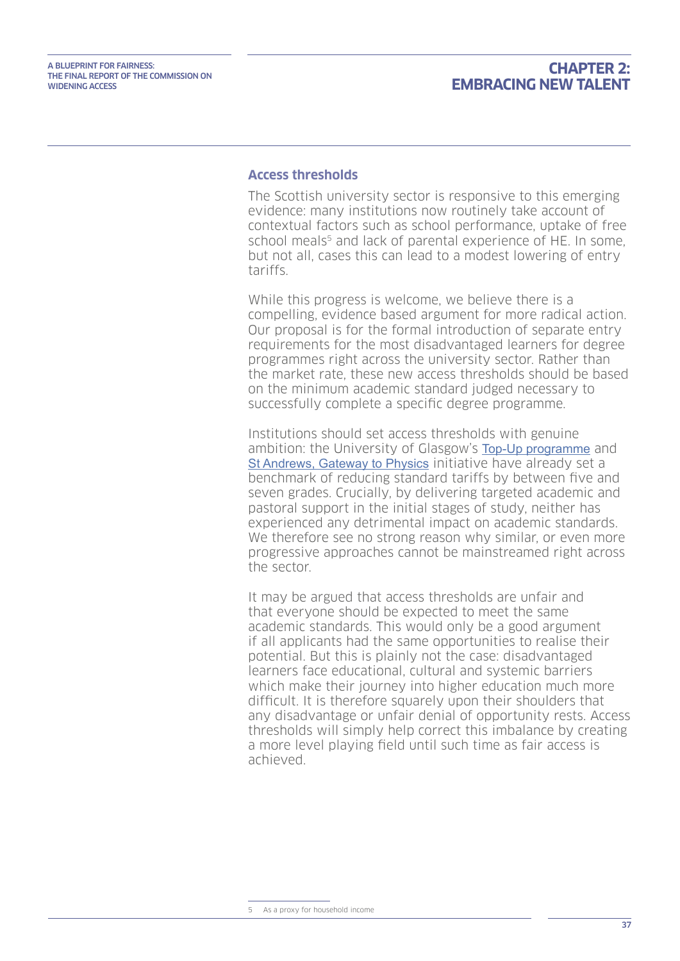# **CHAPTER 2: EMBRACING NEW TALENT**

### **Access thresholds**

The Scottish university sector is responsive to this emerging evidence: many institutions now routinely take account of contextual factors such as school performance, uptake of free school meals<sup>5</sup> and lack of parental experience of HE. In some, but not all, cases this can lead to a modest lowering of entry tariffs.

While this progress is welcome, we believe there is a compelling, evidence based argument for more radical action. Our proposal is for the formal introduction of separate entry requirements for the most disadvantaged learners for degree programmes right across the university sector. Rather than the market rate, these new access thresholds should be based on the minimum academic standard judged necessary to successfully complete a specific degree programme.

Institutions should set access thresholds with genuine ambition: the University of Glasgow's [Top-Up programme](http://www.gla.ac.uk/about/wideningparticipation/supportingaccesstogeneralsubjects/top-up/) and [St Andrews, Gateway to Physics](https://www.st-andrews.ac.uk/study/ug/options/routes/physics-gateway/) initiative have already set a benchmark of reducing standard tariffs by between five and seven grades. Crucially, by delivering targeted academic and pastoral support in the initial stages of study, neither has experienced any detrimental impact on academic standards. We therefore see no strong reason why similar, or even more progressive approaches cannot be mainstreamed right across the sector.

It may be argued that access thresholds are unfair and that everyone should be expected to meet the same academic standards. This would only be a good argument if all applicants had the same opportunities to realise their potential. But this is plainly not the case: disadvantaged learners face educational, cultural and systemic barriers which make their journey into higher education much more difficult. It is therefore squarely upon their shoulders that any disadvantage or unfair denial of opportunity rests. Access thresholds will simply help correct this imbalance by creating a more level playing field until such time as fair access is achieved.

<sup>5</sup> As a proxy for household income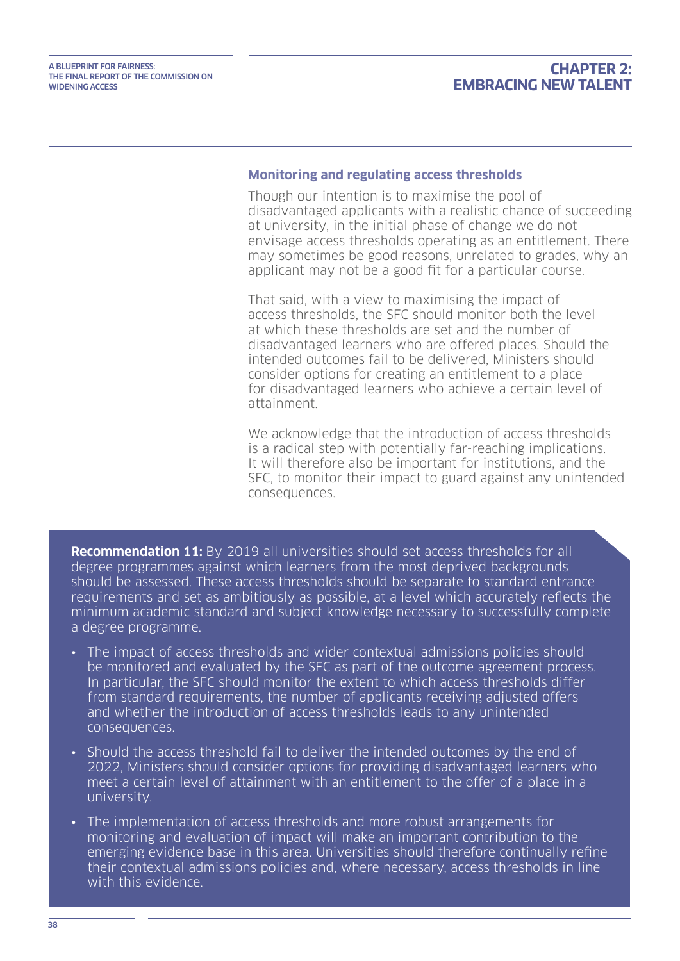# **CHAPTER 2: EMBRACING NEW TALENT**

### **Monitoring and regulating access thresholds**

Though our intention is to maximise the pool of disadvantaged applicants with a realistic chance of succeeding at university, in the initial phase of change we do not envisage access thresholds operating as an entitlement. There may sometimes be good reasons, unrelated to grades, why an applicant may not be a good fit for a particular course.

That said, with a view to maximising the impact of access thresholds, the SFC should monitor both the level at which these thresholds are set and the number of disadvantaged learners who are offered places. Should the intended outcomes fail to be delivered, Ministers should consider options for creating an entitlement to a place for disadvantaged learners who achieve a certain level of attainment.

We acknowledge that the introduction of access thresholds is a radical step with potentially far-reaching implications. It will therefore also be important for institutions, and the SFC, to monitor their impact to guard against any unintended consequences.

**Recommendation 11:** By 2019 all universities should set access thresholds for all degree programmes against which learners from the most deprived backgrounds should be assessed. These access thresholds should be separate to standard entrance requirements and set as ambitiously as possible, at a level which accurately reflects the minimum academic standard and subject knowledge necessary to successfully complete a degree programme.

- The impact of access thresholds and wider contextual admissions policies should be monitored and evaluated by the SFC as part of the outcome agreement process. In particular, the SFC should monitor the extent to which access thresholds differ from standard requirements, the number of applicants receiving adjusted offers and whether the introduction of access thresholds leads to any unintended consequences.
- Should the access threshold fail to deliver the intended outcomes by the end of 2022, Ministers should consider options for providing disadvantaged learners who meet a certain level of attainment with an entitlement to the offer of a place in a university.
- The implementation of access thresholds and more robust arrangements for monitoring and evaluation of impact will make an important contribution to the emerging evidence base in this area. Universities should therefore continually refine their contextual admissions policies and, where necessary, access thresholds in line with this evidence.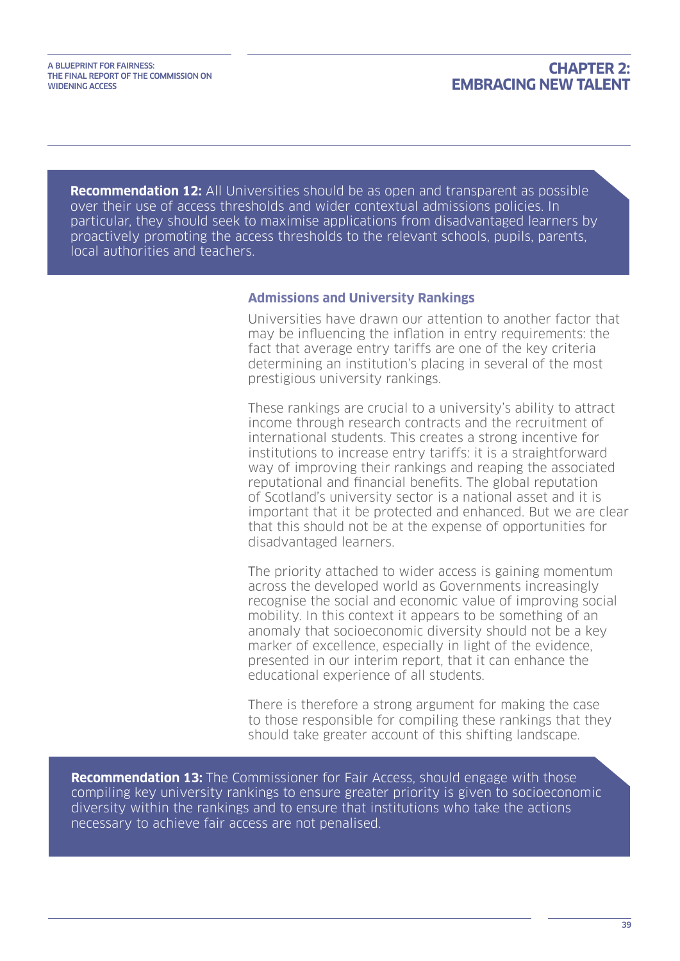**Recommendation 12:** All Universities should be as open and transparent as possible over their use of access thresholds and wider contextual admissions policies. In particular, they should seek to maximise applications from disadvantaged learners by proactively promoting the access thresholds to the relevant schools, pupils, parents, local authorities and teachers.

### **Admissions and University Rankings**

Universities have drawn our attention to another factor that may be influencing the inflation in entry requirements: the fact that average entry tariffs are one of the key criteria determining an institution's placing in several of the most prestigious university rankings.

These rankings are crucial to a university's ability to attract income through research contracts and the recruitment of international students. This creates a strong incentive for institutions to increase entry tariffs: it is a straightforward way of improving their rankings and reaping the associated reputational and financial benefits. The global reputation of Scotland's university sector is a national asset and it is important that it be protected and enhanced. But we are clear that this should not be at the expense of opportunities for disadvantaged learners.

The priority attached to wider access is gaining momentum across the developed world as Governments increasingly recognise the social and economic value of improving social mobility. In this context it appears to be something of an anomaly that socioeconomic diversity should not be a key marker of excellence, especially in light of the evidence, presented in our interim report, that it can enhance the educational experience of all students.

There is therefore a strong argument for making the case to those responsible for compiling these rankings that they should take greater account of this shifting landscape.

**Recommendation 13:** The Commissioner for Fair Access, should engage with those compiling key university rankings to ensure greater priority is given to socioeconomic diversity within the rankings and to ensure that institutions who take the actions necessary to achieve fair access are not penalised.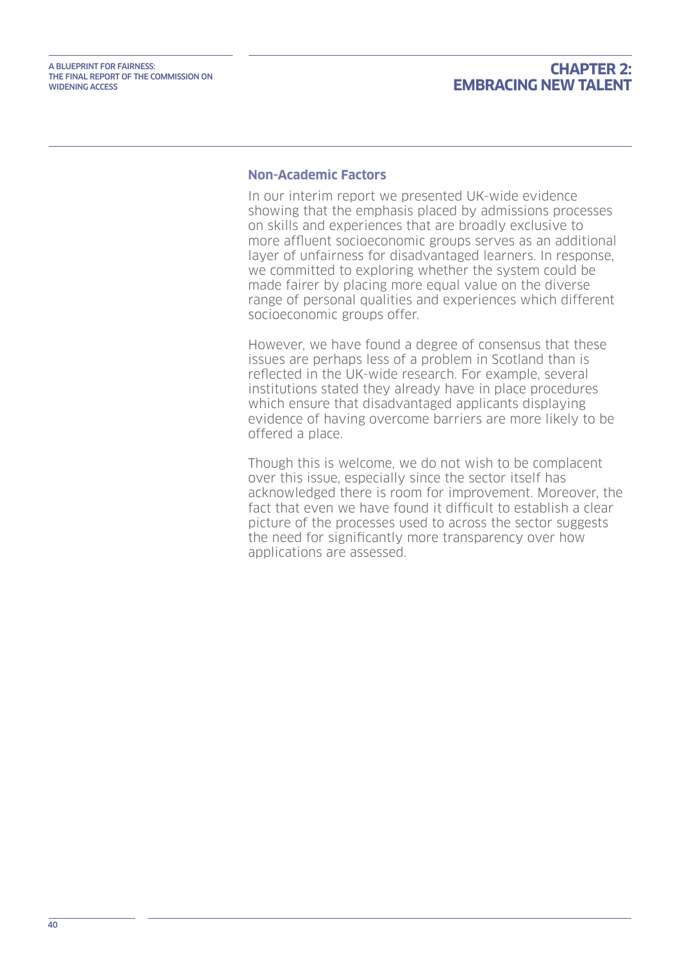# **CHAPTER 2: EMBRACING NEW TALENT**

### **Non-Academic Factors**

In our interim report we presented UK-wide evidence showing that the emphasis placed by admissions processes on skills and experiences that are broadly exclusive to more affluent socioeconomic groups serves as an additional layer of unfairness for disadvantaged learners. In response, we committed to exploring whether the system could be made fairer by placing more equal value on the diverse range of personal qualities and experiences which different socioeconomic groups offer.

However, we have found a degree of consensus that these issues are perhaps less of a problem in Scotland than is reflected in the UK-wide research. For example, several institutions stated they already have in place procedures which ensure that disadvantaged applicants displaying evidence of having overcome barriers are more likely to be offered a place.

Though this is welcome, we do not wish to be complacent over this issue, especially since the sector itself has acknowledged there is room for improvement. Moreover, the fact that even we have found it difficult to establish a clear picture of the processes used to across the sector suggests the need for significantly more transparency over how applications are assessed.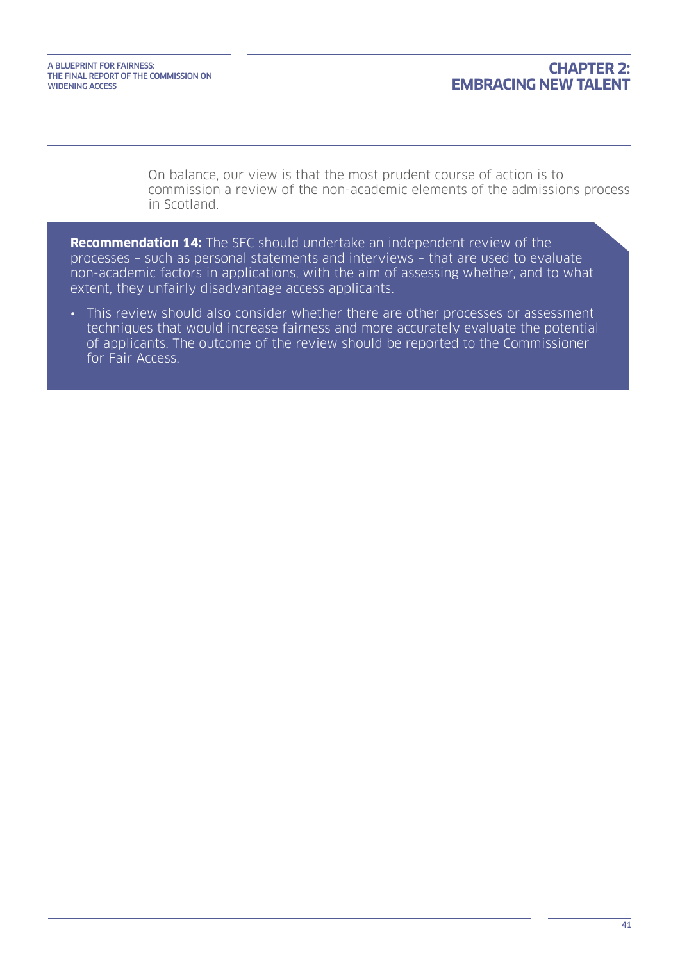On balance, our view is that the most prudent course of action is to commission a review of the non-academic elements of the admissions process in Scotland.

**Recommendation 14:** The SFC should undertake an independent review of the processes – such as personal statements and interviews – that are used to evaluate non-academic factors in applications, with the aim of assessing whether, and to what extent, they unfairly disadvantage access applicants.

• This review should also consider whether there are other processes or assessment techniques that would increase fairness and more accurately evaluate the potential of applicants. The outcome of the review should be reported to the Commissioner for Fair Access.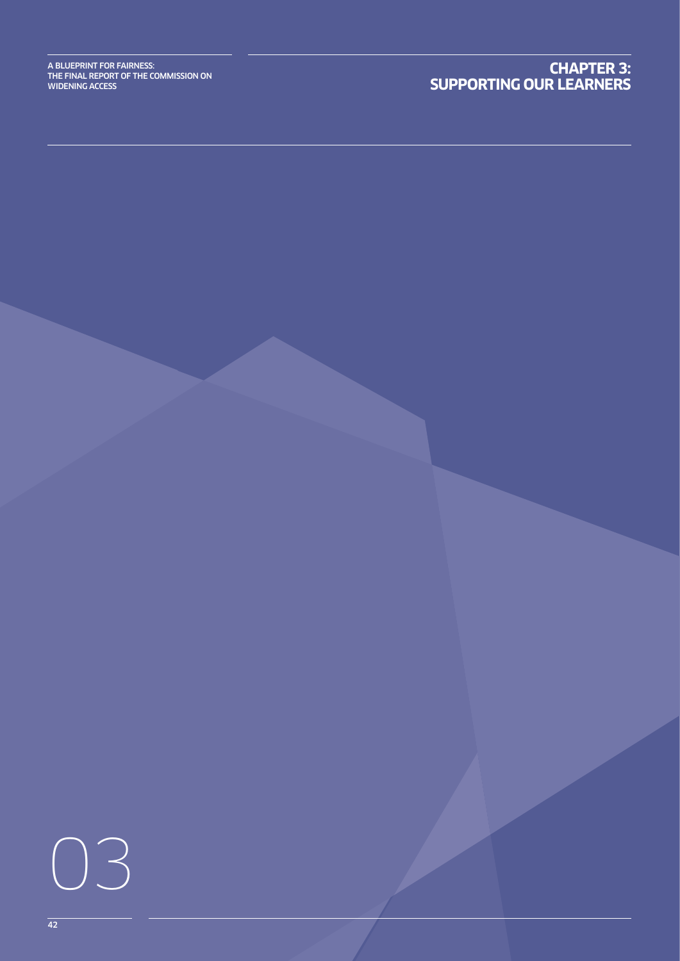# **CHAPTER 3: SUPPORTING OUR LEARNERS**

# 03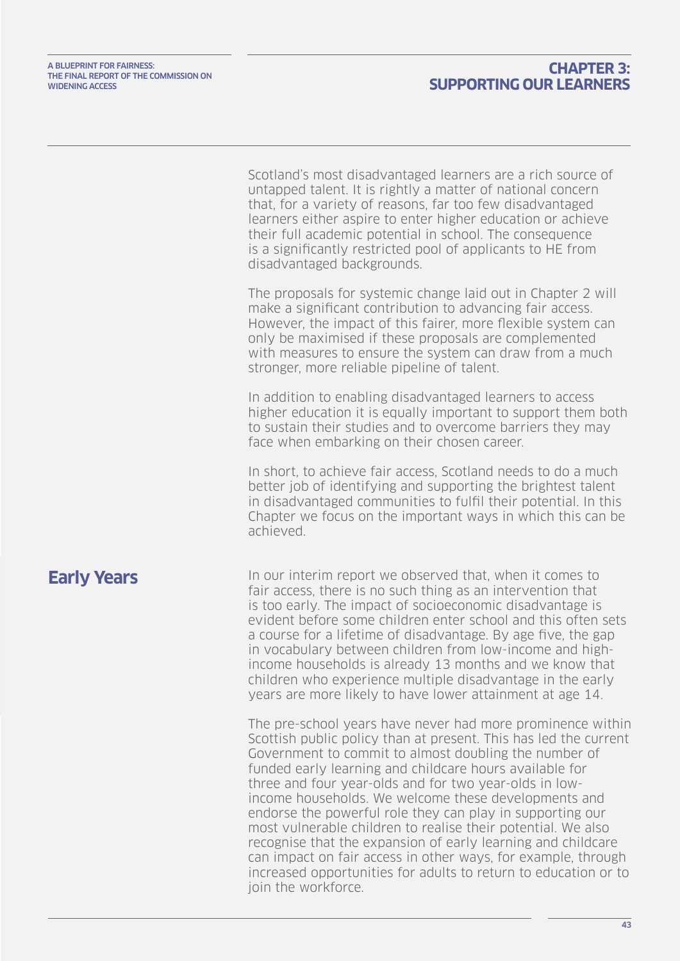Scotland's most disadvantaged learners are a rich source of untapped talent. It is rightly a matter of national concern that, for a variety of reasons, far too few disadvantaged learners either aspire to enter higher education or achieve their full academic potential in school. The consequence is a significantly restricted pool of applicants to HE from disadvantaged backgrounds.

The proposals for systemic change laid out in Chapter 2 will make a significant contribution to advancing fair access. However, the impact of this fairer, more flexible system can only be maximised if these proposals are complemented with measures to ensure the system can draw from a much stronger, more reliable pipeline of talent.

In addition to enabling disadvantaged learners to access higher education it is equally important to support them both to sustain their studies and to overcome barriers they may face when embarking on their chosen career.

In short, to achieve fair access, Scotland needs to do a much better job of identifying and supporting the brightest talent in disadvantaged communities to fulfil their potential. In this Chapter we focus on the important ways in which this can be achieved.

# **Early Years**

In our interim report we observed that, when it comes to fair access, there is no such thing as an intervention that is too early. The impact of socioeconomic disadvantage is evident before some children enter school and this often sets a course for a lifetime of disadvantage. By age five, the gap in vocabulary between children from low-income and highincome households is already 13 months and we know that children who experience multiple disadvantage in the early years are more likely to have lower attainment at age 14.

The pre-school years have never had more prominence within Scottish public policy than at present. This has led the current Government to commit to almost doubling the number of funded early learning and childcare hours available for three and four year-olds and for two year-olds in lowincome households. We welcome these developments and endorse the powerful role they can play in supporting our most vulnerable children to realise their potential. We also recognise that the expansion of early learning and childcare can impact on fair access in other ways, for example, through increased opportunities for adults to return to education or to join the workforce.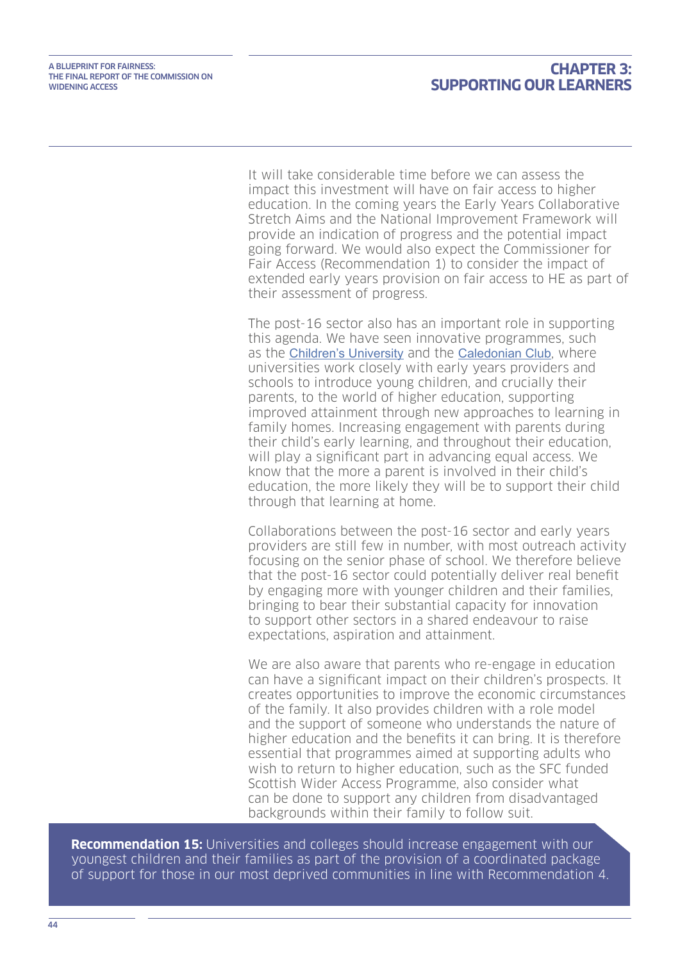**CHAPTER 3: SUPPORTING OUR LEARNERS**

A BLUEPRINT FOR FAIRNESS: THE FINAL REPORT OF THE COMMISSION ON WIDENING ACCESS

> It will take considerable time before we can assess the impact this investment will have on fair access to higher education. In the coming years the Early Years Collaborative Stretch Aims and the National Improvement Framework will provide an indication of progress and the potential impact going forward. We would also expect the Commissioner for Fair Access (Recommendation 1) to consider the impact of extended early years provision on fair access to HE as part of their assessment of progress.

The post-16 sector also has an important role in supporting this agenda. We have seen innovative programmes, such as the [Children's University](http://www.childrensuniversity.co.uk/home/work-with-us/local-cus/childrens-university-scotland/about/) and the [Caledonian Club](http://www.gcu.ac.uk/caledonianclub/), where universities work closely with early years providers and schools to introduce young children, and crucially their parents, to the world of higher education, supporting improved attainment through new approaches to learning in family homes. Increasing engagement with parents during their child's early learning, and throughout their education, will play a significant part in advancing equal access. We know that the more a parent is involved in their child's education, the more likely they will be to support their child through that learning at home.

Collaborations between the post-16 sector and early years providers are still few in number, with most outreach activity focusing on the senior phase of school. We therefore believe that the post-16 sector could potentially deliver real benefit by engaging more with younger children and their families, bringing to bear their substantial capacity for innovation to support other sectors in a shared endeavour to raise expectations, aspiration and attainment.

We are also aware that parents who re-engage in education can have a significant impact on their children's prospects. It creates opportunities to improve the economic circumstances of the family. It also provides children with a role model and the support of someone who understands the nature of higher education and the benefits it can bring. It is therefore essential that programmes aimed at supporting adults who wish to return to higher education, such as the SFC funded Scottish Wider Access Programme, also consider what can be done to support any children from disadvantaged backgrounds within their family to follow suit.

**Recommendation 15:** Universities and colleges should increase engagement with our youngest children and their families as part of the provision of a coordinated package of support for those in our most deprived communities in line with Recommendation 4.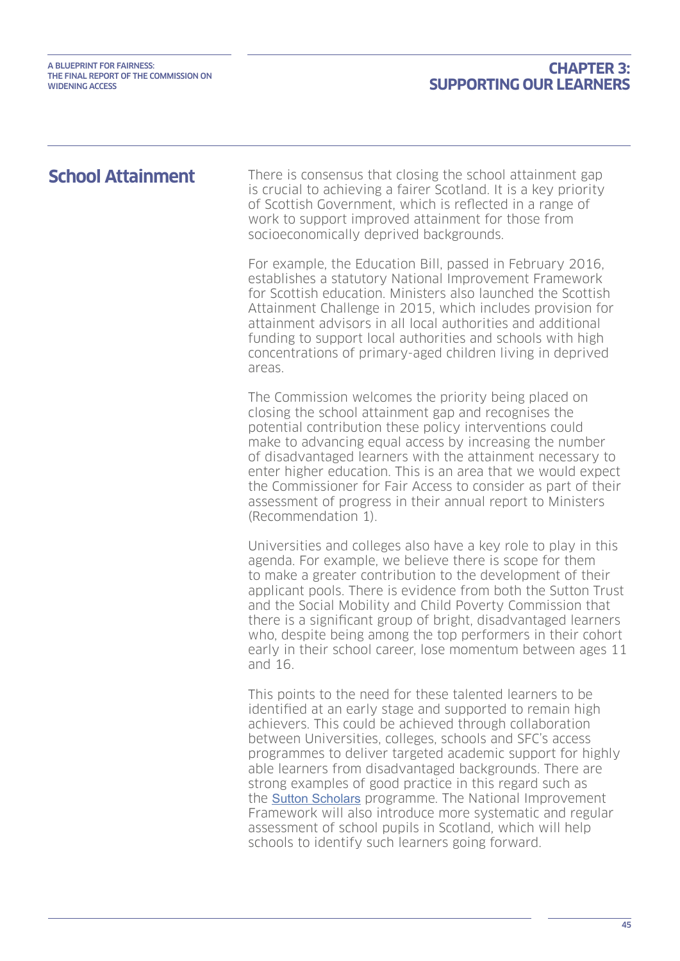# **CHAPTER 3: SUPPORTING OUR LEARNERS**

# **School Attainment**

There is consensus that closing the school attainment gap is crucial to achieving a fairer Scotland. It is a key priority of Scottish Government, which is reflected in a range of work to support improved attainment for those from socioeconomically deprived backgrounds.

For example, the Education Bill, passed in February 2016, establishes a statutory National Improvement Framework for Scottish education. Ministers also launched the Scottish Attainment Challenge in 2015, which includes provision for attainment advisors in all local authorities and additional funding to support local authorities and schools with high concentrations of primary-aged children living in deprived areas.

The Commission welcomes the priority being placed on closing the school attainment gap and recognises the potential contribution these policy interventions could make to advancing equal access by increasing the number of disadvantaged learners with the attainment necessary to enter higher education. This is an area that we would expect the Commissioner for Fair Access to consider as part of their assessment of progress in their annual report to Ministers (Recommendation 1).

Universities and colleges also have a key role to play in this agenda. For example, we believe there is scope for them to make a greater contribution to the development of their applicant pools. There is evidence from both the Sutton Trust and the Social Mobility and Child Poverty Commission that there is a significant group of bright, disadvantaged learners who, despite being among the top performers in their cohort early in their school career, lose momentum between ages 11 and 16.

This points to the need for these talented learners to be identified at an early stage and supported to remain high achievers. This could be achieved through collaboration between Universities, colleges, schools and SFC's access programmes to deliver targeted academic support for highly able learners from disadvantaged backgrounds. There are strong examples of good practice in this regard such as the [Sutton Scholars](http://www.suttontrust.com/programmes/sutton-scholars/) programme. The National Improvement Framework will also introduce more systematic and regular assessment of school pupils in Scotland, which will help schools to identify such learners going forward.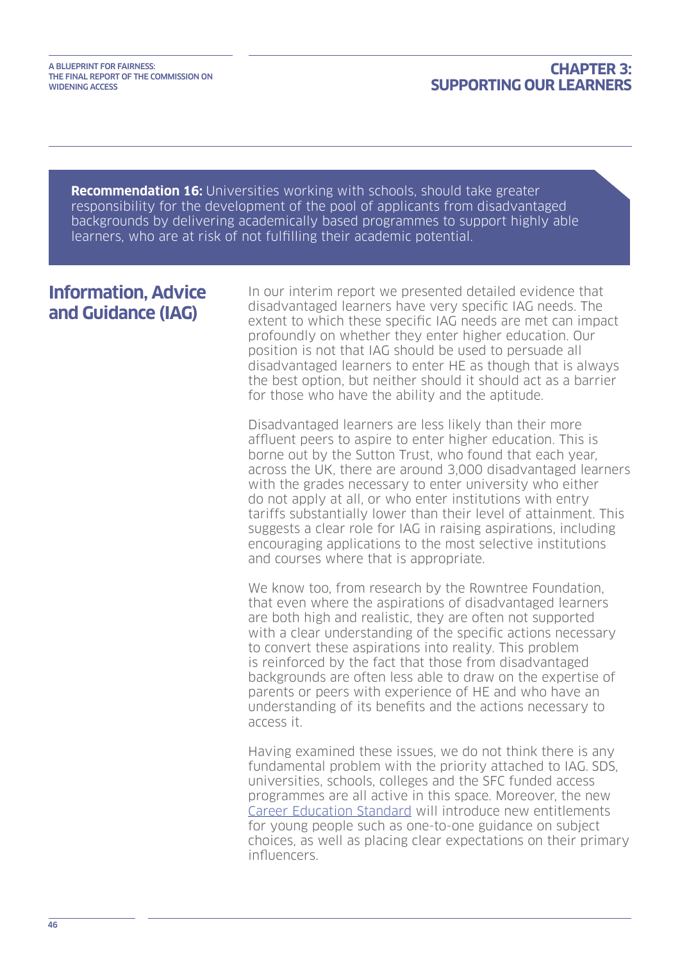# **CHAPTER 3: SUPPORTING OUR LEARNERS**

**Recommendation 16:** Universities working with schools, should take greater responsibility for the development of the pool of applicants from disadvantaged backgrounds by delivering academically based programmes to support highly able learners, who are at risk of not fulfilling their academic potential.

# **Information, Advice and Guidance (IAG)**

In our interim report we presented detailed evidence that disadvantaged learners have very specific IAG needs. The extent to which these specific IAG needs are met can impact profoundly on whether they enter higher education. Our position is not that IAG should be used to persuade all disadvantaged learners to enter HE as though that is always the best option, but neither should it should act as a barrier for those who have the ability and the aptitude.

Disadvantaged learners are less likely than their more affluent peers to aspire to enter higher education. This is borne out by the Sutton Trust, who found that each year, across the UK, there are around 3,000 disadvantaged learners with the grades necessary to enter university who either do not apply at all, or who enter institutions with entry tariffs substantially lower than their level of attainment. This suggests a clear role for IAG in raising aspirations, including encouraging applications to the most selective institutions and courses where that is appropriate.

We know too, from research by the Rowntree Foundation, that even where the aspirations of disadvantaged learners are both high and realistic, they are often not supported with a clear understanding of the specific actions necessary to convert these aspirations into reality. This problem is reinforced by the fact that those from disadvantaged backgrounds are often less able to draw on the expertise of parents or peers with experience of HE and who have an understanding of its benefits and the actions necessary to access it.

Having examined these issues, we do not think there is any fundamental problem with the priority attached to IAG. SDS, universities, schools, colleges and the SFC funded access programmes are all active in this space. Moreover, the new [Career Education Standard](http://www.educationscotland.gov.uk/learningandteaching/thecurriculum/dyw/careerseducation/index.asp) will introduce new entitlements for young people such as one-to-one guidance on subject choices, as well as placing clear expectations on their primary influencers.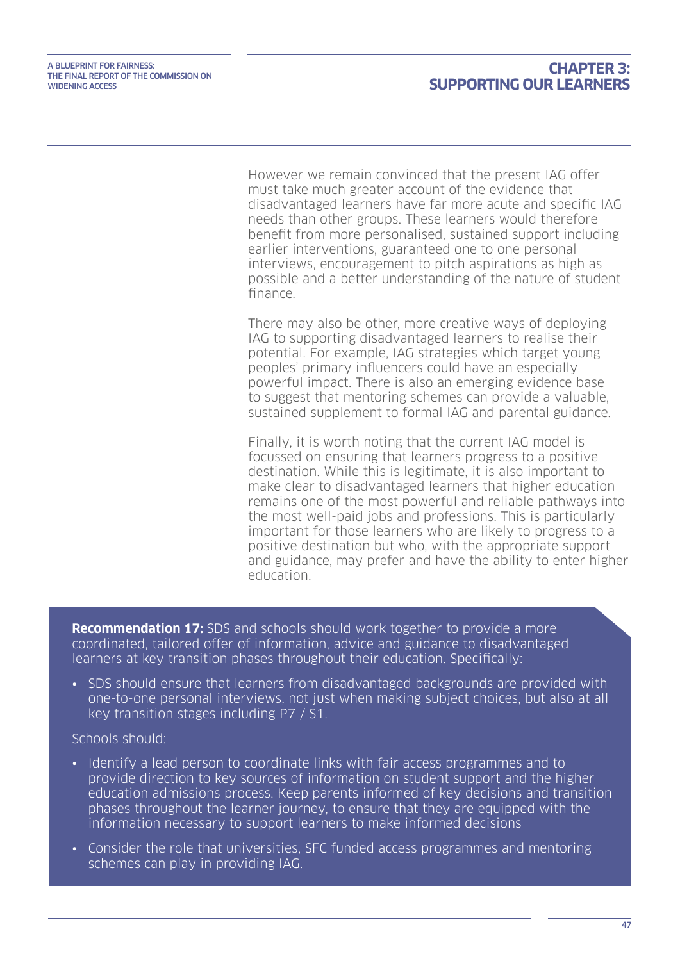# **CHAPTER 3: SUPPORTING OUR LEARNERS**

A BLUEPRINT FOR FAIRNESS: THE FINAL REPORT OF THE COMMISSION ON WIDENING ACCESS

> However we remain convinced that the present IAG offer must take much greater account of the evidence that disadvantaged learners have far more acute and specific IAG needs than other groups. These learners would therefore benefit from more personalised, sustained support including earlier interventions, guaranteed one to one personal interviews, encouragement to pitch aspirations as high as possible and a better understanding of the nature of student finance.

There may also be other, more creative ways of deploying IAG to supporting disadvantaged learners to realise their potential. For example, IAG strategies which target young peoples' primary influencers could have an especially powerful impact. There is also an emerging evidence base to suggest that mentoring schemes can provide a valuable, sustained supplement to formal IAG and parental guidance.

Finally, it is worth noting that the current IAG model is focussed on ensuring that learners progress to a positive destination. While this is legitimate, it is also important to make clear to disadvantaged learners that higher education remains one of the most powerful and reliable pathways into the most well-paid jobs and professions. This is particularly important for those learners who are likely to progress to a positive destination but who, with the appropriate support and guidance, may prefer and have the ability to enter higher education.

**Recommendation 17:** SDS and schools should work together to provide a more coordinated, tailored offer of information, advice and guidance to disadvantaged learners at key transition phases throughout their education. Specifically:

• SDS should ensure that learners from disadvantaged backgrounds are provided with one-to-one personal interviews, not just when making subject choices, but also at all key transition stages including P7 / S1.

Schools should:

- Identify a lead person to coordinate links with fair access programmes and to provide direction to key sources of information on student support and the higher education admissions process. Keep parents informed of key decisions and transition phases throughout the learner journey, to ensure that they are equipped with the information necessary to support learners to make informed decisions
- Consider the role that universities, SFC funded access programmes and mentoring schemes can play in providing IAG.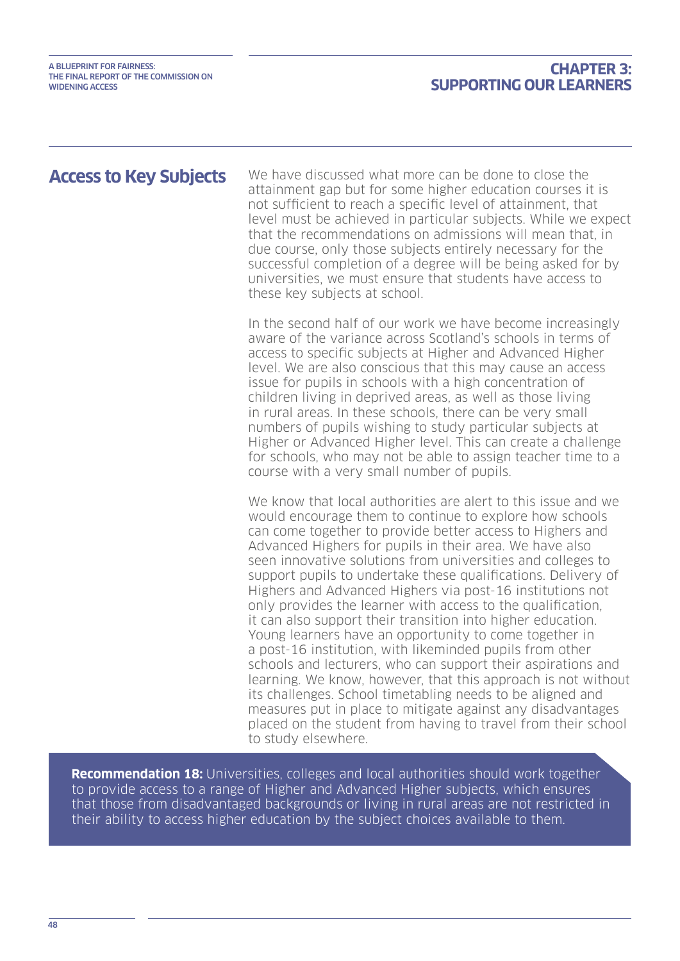# **CHAPTER 3: SUPPORTING OUR LEARNERS**

# **Access to Key Subjects**

We have discussed what more can be done to close the attainment gap but for some higher education courses it is not sufficient to reach a specific level of attainment, that level must be achieved in particular subjects. While we expect that the recommendations on admissions will mean that, in due course, only those subjects entirely necessary for the successful completion of a degree will be being asked for by universities, we must ensure that students have access to these key subjects at school.

In the second half of our work we have become increasingly aware of the variance across Scotland's schools in terms of access to specific subjects at Higher and Advanced Higher level. We are also conscious that this may cause an access issue for pupils in schools with a high concentration of children living in deprived areas, as well as those living in rural areas. In these schools, there can be very small numbers of pupils wishing to study particular subjects at Higher or Advanced Higher level. This can create a challenge for schools, who may not be able to assign teacher time to a course with a very small number of pupils.

We know that local authorities are alert to this issue and we would encourage them to continue to explore how schools can come together to provide better access to Highers and Advanced Highers for pupils in their area. We have also seen innovative solutions from universities and colleges to support pupils to undertake these qualifications. Delivery of Highers and Advanced Highers via post-16 institutions not only provides the learner with access to the qualification, it can also support their transition into higher education. Young learners have an opportunity to come together in a post-16 institution, with likeminded pupils from other schools and lecturers, who can support their aspirations and learning. We know, however, that this approach is not without its challenges. School timetabling needs to be aligned and measures put in place to mitigate against any disadvantages placed on the student from having to travel from their school to study elsewhere.

**Recommendation 18:** Universities, colleges and local authorities should work together to provide access to a range of Higher and Advanced Higher subjects, which ensures that those from disadvantaged backgrounds or living in rural areas are not restricted in their ability to access higher education by the subject choices available to them.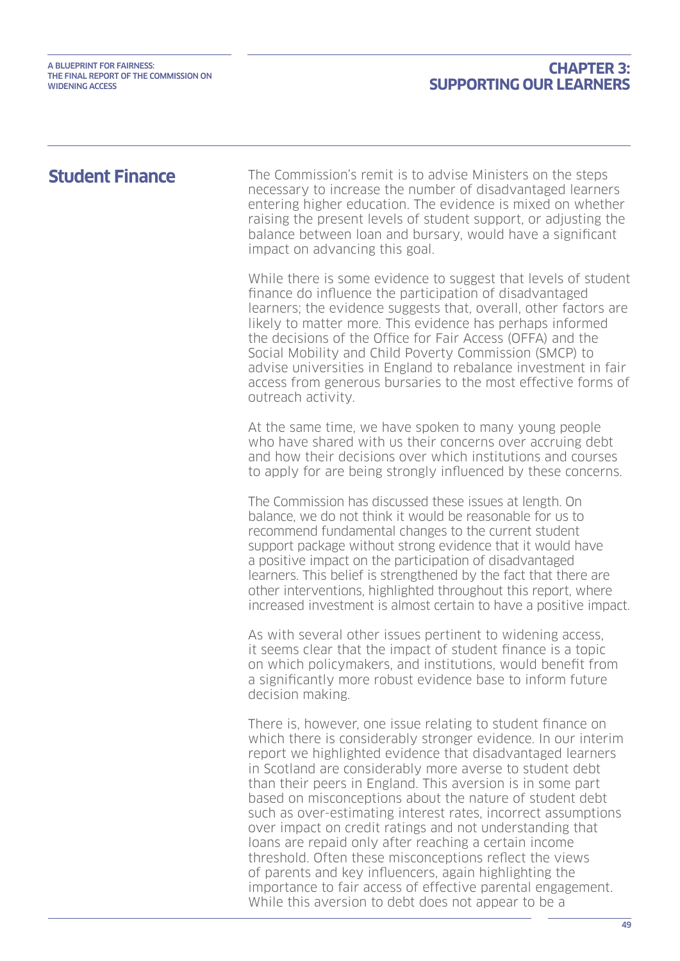# **CHAPTER 3: SUPPORTING OUR LEARNERS**

# **Student Finance**

The Commission's remit is to advise Ministers on the steps necessary to increase the number of disadvantaged learners entering higher education. The evidence is mixed on whether raising the present levels of student support, or adjusting the balance between loan and bursary, would have a significant impact on advancing this goal.

While there is some evidence to suggest that levels of student finance do influence the participation of disadvantaged learners; the evidence suggests that, overall, other factors are likely to matter more. This evidence has perhaps informed the decisions of the Office for Fair Access (OFFA) and the Social Mobility and Child Poverty Commission (SMCP) to advise universities in England to rebalance investment in fair access from generous bursaries to the most effective forms of outreach activity.

At the same time, we have spoken to many young people who have shared with us their concerns over accruing debt and how their decisions over which institutions and courses to apply for are being strongly influenced by these concerns.

The Commission has discussed these issues at length. On balance, we do not think it would be reasonable for us to recommend fundamental changes to the current student support package without strong evidence that it would have a positive impact on the participation of disadvantaged learners. This belief is strengthened by the fact that there are other interventions, highlighted throughout this report, where increased investment is almost certain to have a positive impact.

As with several other issues pertinent to widening access, it seems clear that the impact of student finance is a topic on which policymakers, and institutions, would benefit from a significantly more robust evidence base to inform future decision making.

There is, however, one issue relating to student finance on which there is considerably stronger evidence. In our interim report we highlighted evidence that disadvantaged learners in Scotland are considerably more averse to student debt than their peers in England. This aversion is in some part based on misconceptions about the nature of student debt such as over-estimating interest rates, incorrect assumptions over impact on credit ratings and not understanding that loans are repaid only after reaching a certain income threshold. Often these misconceptions reflect the views of parents and key influencers, again highlighting the importance to fair access of effective parental engagement. While this aversion to debt does not appear to be a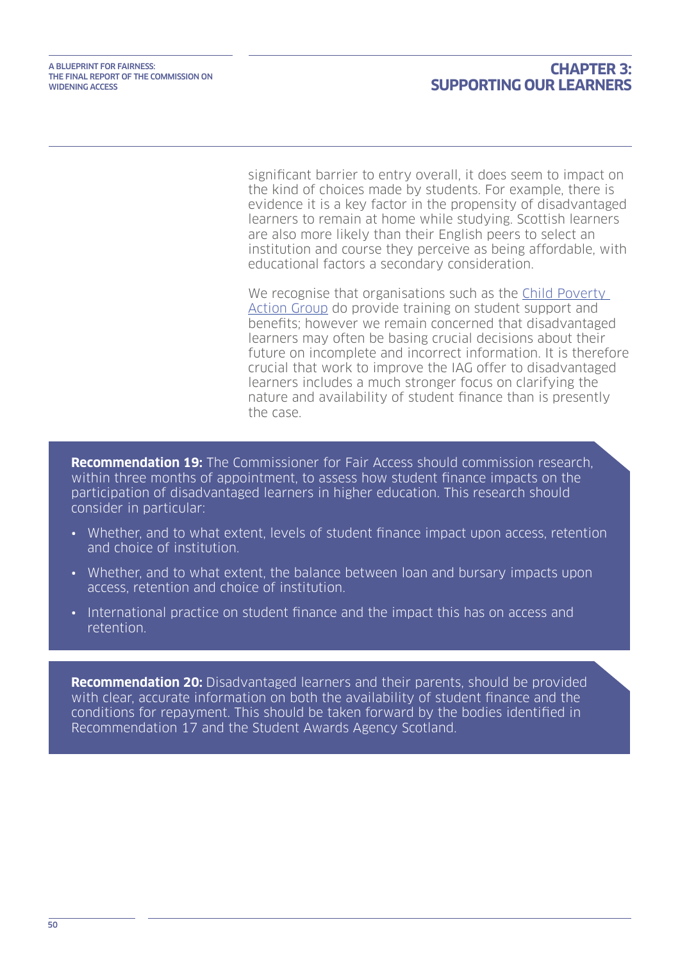**CHAPTER 3: SUPPORTING OUR LEARNERS**

A BLUEPRINT FOR FAIRNESS: THE FINAL REPORT OF THE COMMISSION ON WIDENING ACCESS

> significant barrier to entry overall, it does seem to impact on the kind of choices made by students. For example, there is evidence it is a key factor in the propensity of disadvantaged learners to remain at home while studying. Scottish learners are also more likely than their English peers to select an institution and course they perceive as being affordable, with educational factors a secondary consideration.

> We recognise that organisations such as the [Child Poverty](http://www.cpag.org.uk/)  [Action Group](http://www.cpag.org.uk/) do provide training on student support and benefits; however we remain concerned that disadvantaged learners may often be basing crucial decisions about their future on incomplete and incorrect information. It is therefore crucial that work to improve the IAG offer to disadvantaged learners includes a much stronger focus on clarifying the nature and availability of student finance than is presently the case.

**Recommendation 19:** The Commissioner for Fair Access should commission research, within three months of appointment, to assess how student finance impacts on the participation of disadvantaged learners in higher education. This research should consider in particular:

- Whether, and to what extent, levels of student finance impact upon access, retention and choice of institution.
- Whether, and to what extent, the balance between loan and bursary impacts upon access, retention and choice of institution.
- International practice on student finance and the impact this has on access and retention.

**Recommendation 20:** Disadvantaged learners and their parents, should be provided with clear, accurate information on both the availability of student finance and the conditions for repayment. This should be taken forward by the bodies identified in Recommendation 17 and the Student Awards Agency Scotland.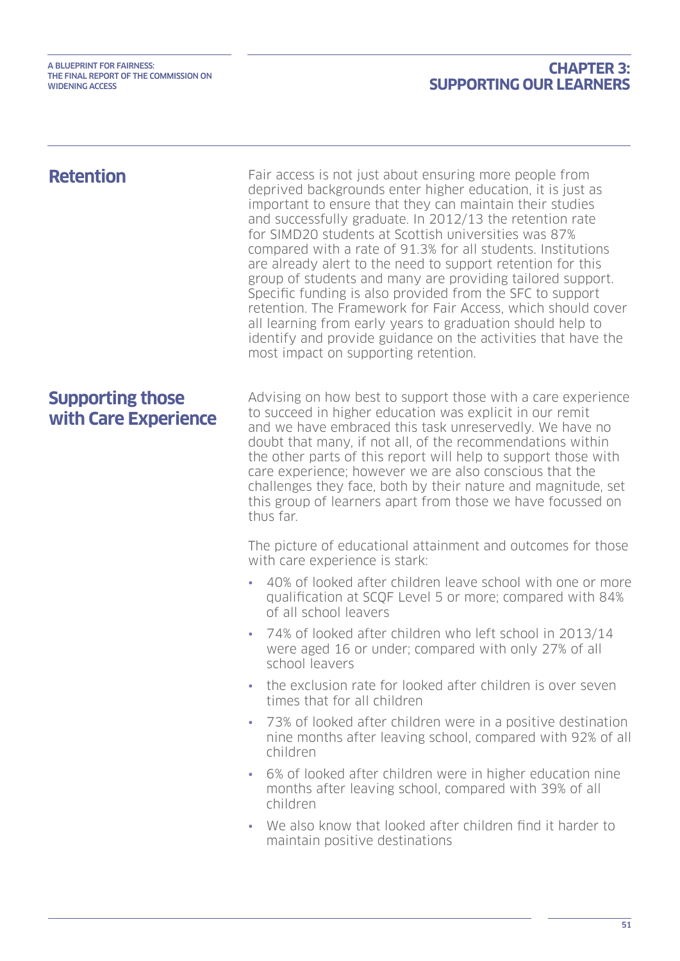# **CHAPTER 3: SUPPORTING OUR LEARNERS**

# **Retention**

Fair access is not just about ensuring more people from deprived backgrounds enter higher education, it is just as important to ensure that they can maintain their studies and successfully graduate. In 2012/13 the retention rate for SIMD20 students at Scottish universities was 87% compared with a rate of 91.3% for all students. Institutions are already alert to the need to support retention for this group of students and many are providing tailored support. Specific funding is also provided from the SFC to support retention. The Framework for Fair Access, which should cover all learning from early years to graduation should help to identify and provide guidance on the activities that have the most impact on supporting retention.

# **Supporting those with Care Experience**

Advising on how best to support those with a care experience to succeed in higher education was explicit in our remit and we have embraced this task unreservedly. We have no doubt that many, if not all, of the recommendations within the other parts of this report will help to support those with care experience; however we are also conscious that the challenges they face, both by their nature and magnitude, set this group of learners apart from those we have focussed on thus far.

The picture of educational attainment and outcomes for those with care experience is stark:

- 40% of looked after children leave school with one or more qualification at SCQF Level 5 or more; compared with 84% of all school leavers
- 74% of looked after children who left school in 2013/14 were aged 16 or under; compared with only 27% of all school leavers
- the exclusion rate for looked after children is over seven times that for all children
- 73% of looked after children were in a positive destination nine months after leaving school, compared with 92% of all children
- 6% of looked after children were in higher education nine months after leaving school, compared with 39% of all children
- We also know that looked after children find it harder to maintain positive destinations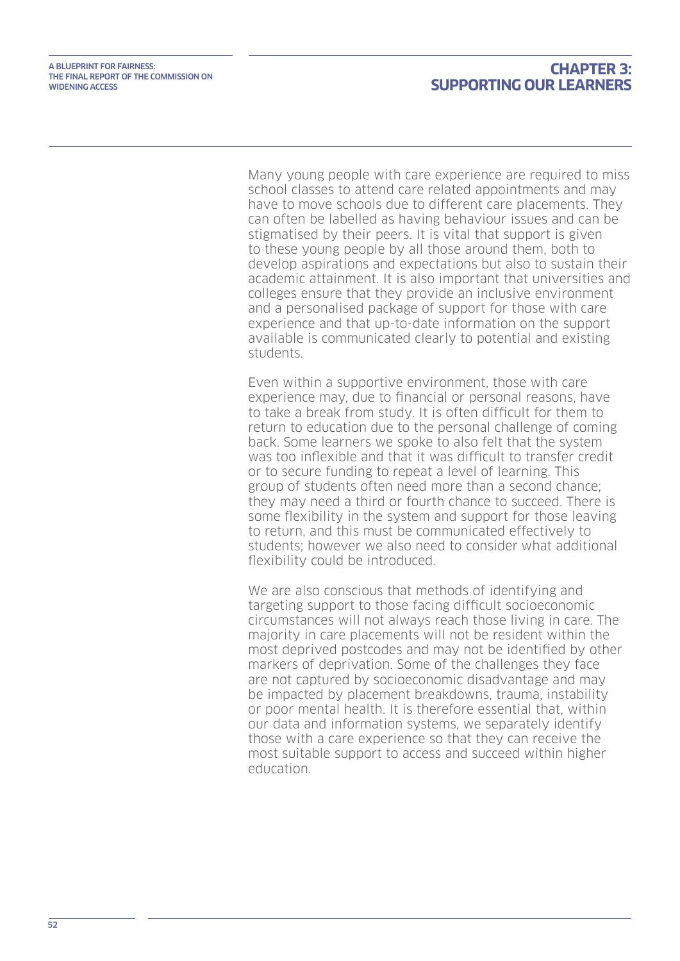# **CHAPTER 3: SUPPORTING OUR LEARNERS**

A BLUEPRINT FOR FAIRNESS: THE FINAL REPORT OF THE COMMISSION ON WIDENING ACCESS

> Many young people with care experience are required to miss school classes to attend care related appointments and may have to move schools due to different care placements. They can often be labelled as having behaviour issues and can be stigmatised by their peers. It is vital that support is given to these young people by all those around them, both to develop aspirations and expectations but also to sustain their academic attainment. It is also important that universities and colleges ensure that they provide an inclusive environment and a personalised package of support for those with care experience and that up-to-date information on the support available is communicated clearly to potential and existing students.

Even within a supportive environment, those with care experience may, due to financial or personal reasons, have to take a break from study. It is often difficult for them to return to education due to the personal challenge of coming back. Some learners we spoke to also felt that the system was too inflexible and that it was difficult to transfer credit or to secure funding to repeat a level of learning. This group of students often need more than a second chance; they may need a third or fourth chance to succeed. There is some flexibility in the system and support for those leaving to return, and this must be communicated effectively to students; however we also need to consider what additional flexibility could be introduced.

We are also conscious that methods of identifying and targeting support to those facing difficult socioeconomic circumstances will not always reach those living in care. The majority in care placements will not be resident within the most deprived postcodes and may not be identified by other markers of deprivation. Some of the challenges they face are not captured by socioeconomic disadvantage and may be impacted by placement breakdowns, trauma, instability or poor mental health. It is therefore essential that, within our data and information systems, we separately identify those with a care experience so that they can receive the most suitable support to access and succeed within higher education.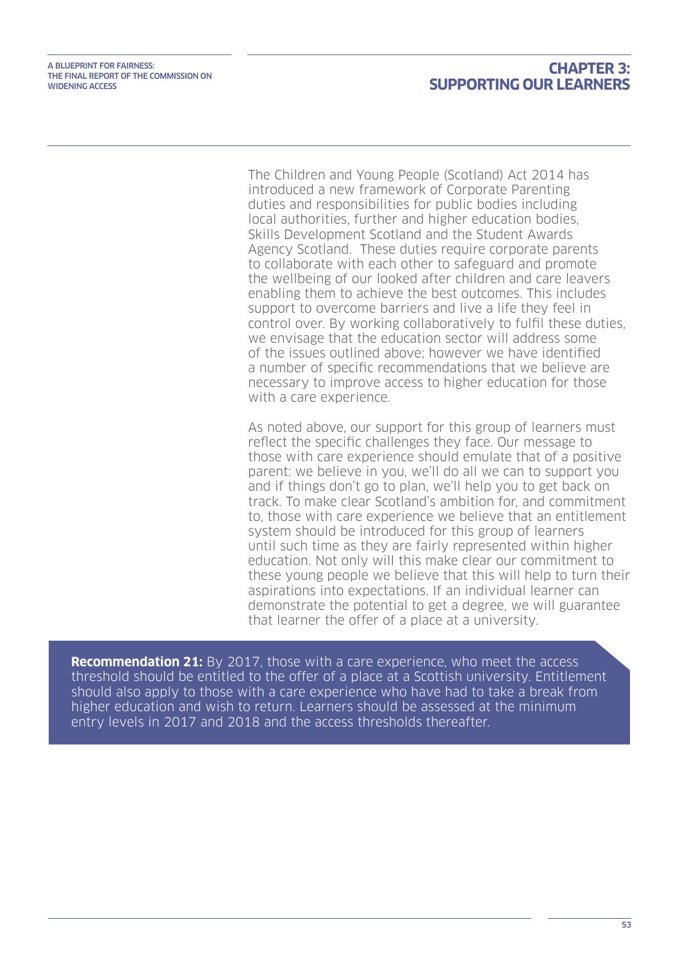### **CHAPTER 3: SUPPORTING OUR LEARNERS**

A BLUEPRINT FOR FAIRNESS: THE FINAL REPORT OF THE COMMISSION ON WIDENING ACCESS

> The Children and Young People (Scotland) Act 2014 has introduced a new framework of Corporate Parenting duties and responsibilities for public bodies including local authorities, further and higher education bodies, Skills Development Scotland and the Student Awards Agency Scotland. These duties require corporate parents to collaborate with each other to safeguard and promote the wellbeing of our looked after children and care leavers enabling them to achieve the best outcomes. This includes support to overcome barriers and live a life they feel in control over. By working collaboratively to fulfil these duties, we envisage that the education sector will address some of the issues outlined above; however we have identified a number of specific recommendations that we believe are necessary to improve access to higher education for those with a care experience.

As noted above, our support for this group of learners must reflect the specific challenges they face. Our message to those with care experience should emulate that of a positive parent: we believe in you, we'll do all we can to support you and if things don't go to plan, we'll help you to get back on track. To make clear Scotland's ambition for, and commitment to, those with care experience we believe that an entitlement system should be introduced for this group of learners until such time as they are fairly represented within higher education. Not only will this make clear our commitment to these young people we believe that this will help to turn their aspirations into expectations. If an individual learner can demonstrate the potential to get a degree, we will guarantee that learner the offer of a place at a university.

**Recommendation 21:** By 2017, those with a care experience, who meet the access threshold should be entitled to the offer of a place at a Scottish university. Entitlement should also apply to those with a care experience who have had to take a break from higher education and wish to return. Learners should be assessed at the minimum entry levels in 2017 and 2018 and the access thresholds thereafter.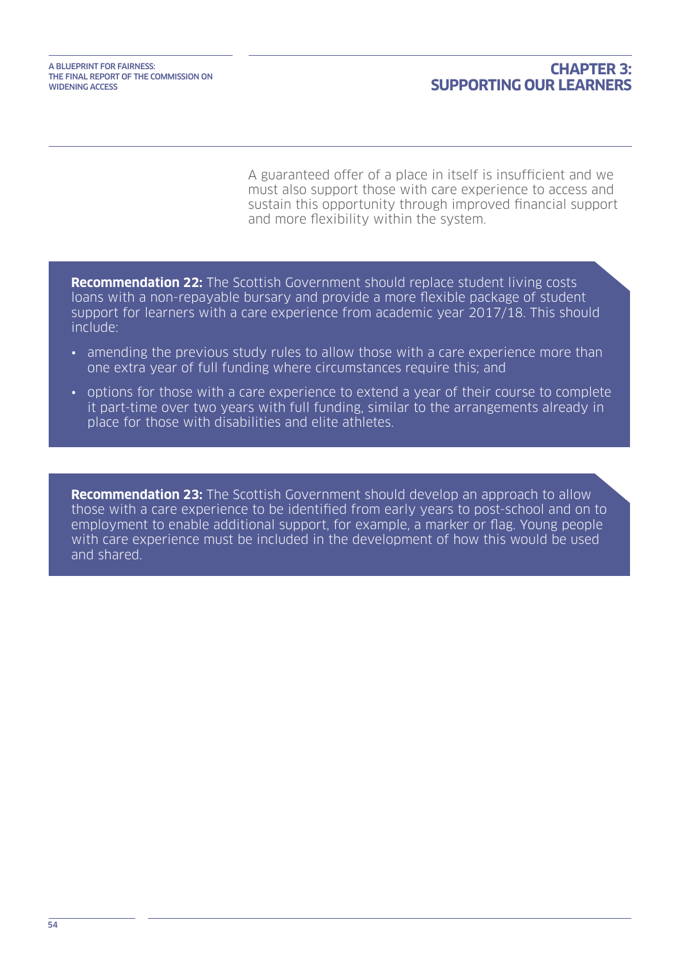# **CHAPTER 3: SUPPORTING OUR LEARNERS**

A guaranteed offer of a place in itself is insufficient and we must also support those with care experience to access and sustain this opportunity through improved financial support and more flexibility within the system.

**Recommendation 22:** The Scottish Government should replace student living costs loans with a non-repayable bursary and provide a more flexible package of student support for learners with a care experience from academic year 2017/18. This should include:

- amending the previous study rules to allow those with a care experience more than one extra year of full funding where circumstances require this; and
- options for those with a care experience to extend a year of their course to complete it part-time over two years with full funding, similar to the arrangements already in place for those with disabilities and elite athletes.

**Recommendation 23:** The Scottish Government should develop an approach to allow those with a care experience to be identified from early years to post-school and on to employment to enable additional support, for example, a marker or flag. Young people with care experience must be included in the development of how this would be used and shared.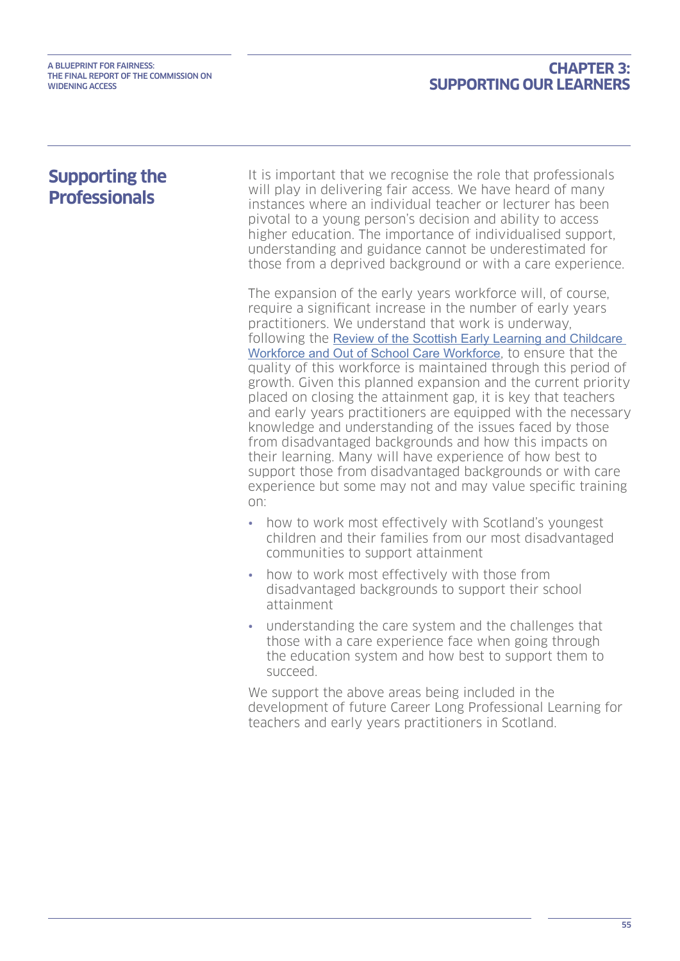### **CHAPTER 3: SUPPORTING OUR LEARNERS**

A BLUEPRINT FOR FAIRNESS: THE FINAL REPORT OF THE COMMISSION ON WIDENING ACCESS

# **Supporting the Professionals**

It is important that we recognise the role that professionals will play in delivering fair access. We have heard of many instances where an individual teacher or lecturer has been pivotal to a young person's decision and ability to access higher education. The importance of individualised support, understanding and guidance cannot be underestimated for those from a deprived background or with a care experience.

The expansion of the early years workforce will, of course, require a significant increase in the number of early years practitioners. We understand that work is underway, following the [Review of the Scottish Early Learning and Childcare](http://www.gov.scot/Topics/People/Young-People/early-years/WorkforceReview)  [Workforce and Out of School Care Workforce](http://www.gov.scot/Topics/People/Young-People/early-years/WorkforceReview), to ensure that the quality of this workforce is maintained through this period of growth. Given this planned expansion and the current priority placed on closing the attainment gap, it is key that teachers and early years practitioners are equipped with the necessary knowledge and understanding of the issues faced by those from disadvantaged backgrounds and how this impacts on their learning. Many will have experience of how best to support those from disadvantaged backgrounds or with care experience but some may not and may value specific training on:

- how to work most effectively with Scotland's youngest children and their families from our most disadvantaged communities to support attainment
- how to work most effectively with those from disadvantaged backgrounds to support their school attainment
- understanding the care system and the challenges that those with a care experience face when going through the education system and how best to support them to succeed.

We support the above areas being included in the development of future Career Long Professional Learning for teachers and early years practitioners in Scotland.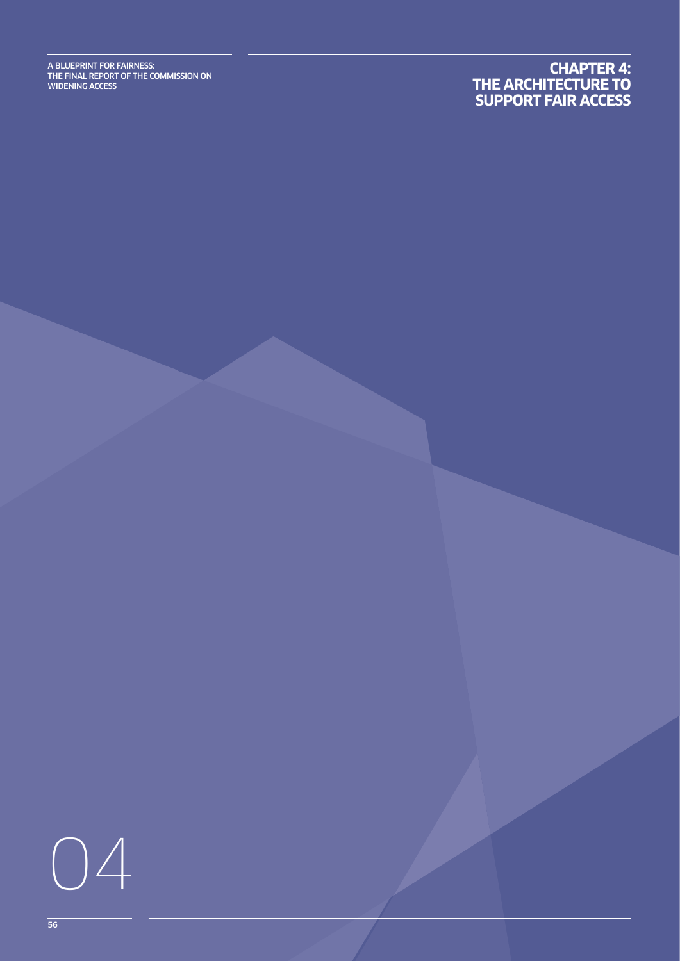# **CHAPTER 4: THE ARCHITECTURE TO SUPPORT FAIR ACCESS**

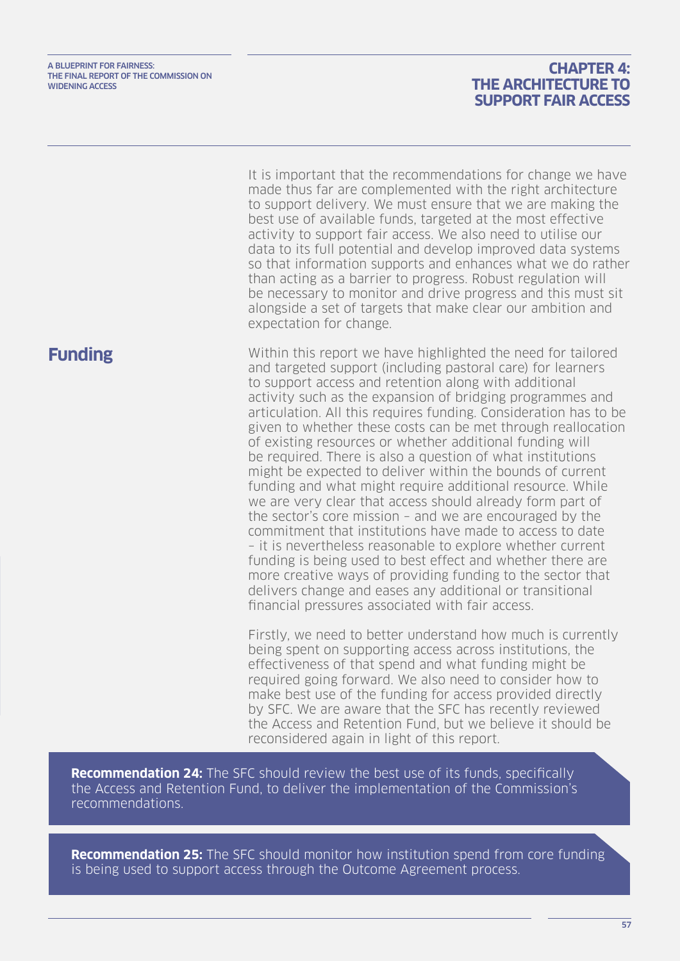# **Funding** It is important that the recommendations for change we have made thus far are complemented with the right architecture to support delivery. We must ensure that we are making the best use of available funds, targeted at the most effective activity to support fair access. We also need to utilise our data to its full potential and develop improved data systems so that information supports and enhances what we do rather than acting as a barrier to progress. Robust regulation will be necessary to monitor and drive progress and this must sit alongside a set of targets that make clear our ambition and expectation for change. Within this report we have highlighted the need for tailored and targeted support (including pastoral care) for learners to support access and retention along with additional activity such as the expansion of bridging programmes and articulation. All this requires funding. Consideration has to be given to whether these costs can be met through reallocation of existing resources or whether additional funding will be required. There is also a question of what institutions might be expected to deliver within the bounds of current funding and what might require additional resource. While we are very clear that access should already form part of the sector's core mission – and we are encouraged by the commitment that institutions have made to access to date – it is nevertheless reasonable to explore whether current funding is being used to best effect and whether there are more creative ways of providing funding to the sector that delivers change and eases any additional or transitional financial pressures associated with fair access.

Firstly, we need to better understand how much is currently being spent on supporting access across institutions, the effectiveness of that spend and what funding might be required going forward. We also need to consider how to make best use of the funding for access provided directly by SFC. We are aware that the SFC has recently reviewed the Access and Retention Fund, but we believe it should be reconsidered again in light of this report.

**Recommendation 24:** The SFC should review the best use of its funds, specifically the Access and Retention Fund, to deliver the implementation of the Commission's recommendations.

**Recommendation 25:** The SFC should monitor how institution spend from core funding is being used to support access through the Outcome Agreement process.

**CHAPTER 4:**

**THE ARCHITECTURE TO SUPPORT FAIR ACCESS**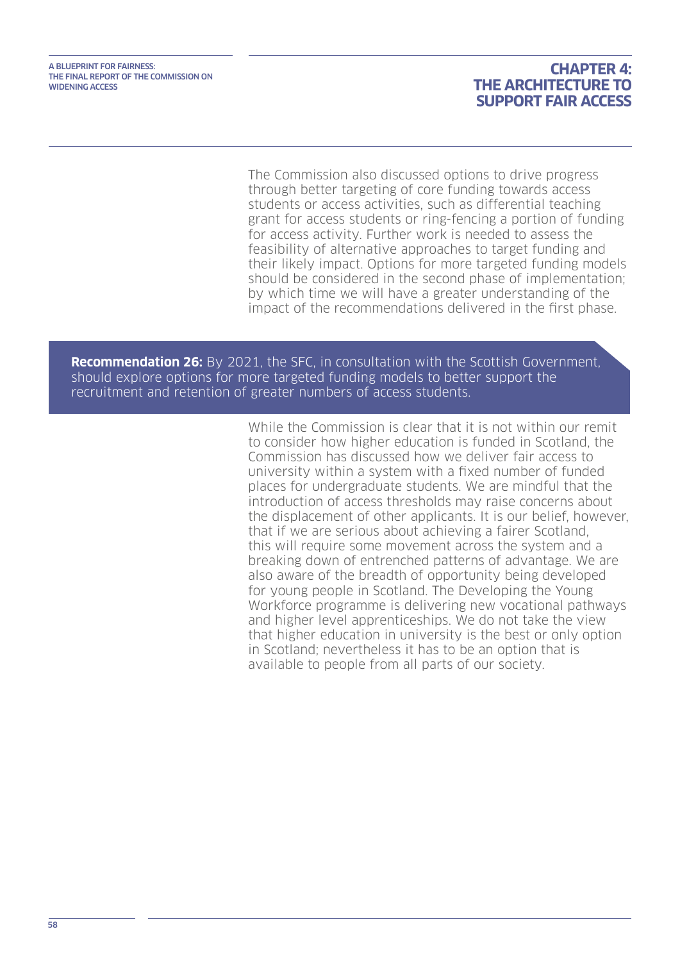# **CHAPTER 4: THE ARCHITECTURE TO SUPPORT FAIR ACCESS**

The Commission also discussed options to drive progress through better targeting of core funding towards access students or access activities, such as differential teaching grant for access students or ring-fencing a portion of funding for access activity. Further work is needed to assess the feasibility of alternative approaches to target funding and their likely impact. Options for more targeted funding models should be considered in the second phase of implementation; by which time we will have a greater understanding of the impact of the recommendations delivered in the first phase.

**Recommendation 26:** By 2021, the SFC, in consultation with the Scottish Government, should explore options for more targeted funding models to better support the recruitment and retention of greater numbers of access students.

> While the Commission is clear that it is not within our remit to consider how higher education is funded in Scotland, the Commission has discussed how we deliver fair access to university within a system with a fixed number of funded places for undergraduate students. We are mindful that the introduction of access thresholds may raise concerns about the displacement of other applicants. It is our belief, however, that if we are serious about achieving a fairer Scotland, this will require some movement across the system and a breaking down of entrenched patterns of advantage. We are also aware of the breadth of opportunity being developed for young people in Scotland. The Developing the Young Workforce programme is delivering new vocational pathways and higher level apprenticeships. We do not take the view that higher education in university is the best or only option in Scotland; nevertheless it has to be an option that is available to people from all parts of our society.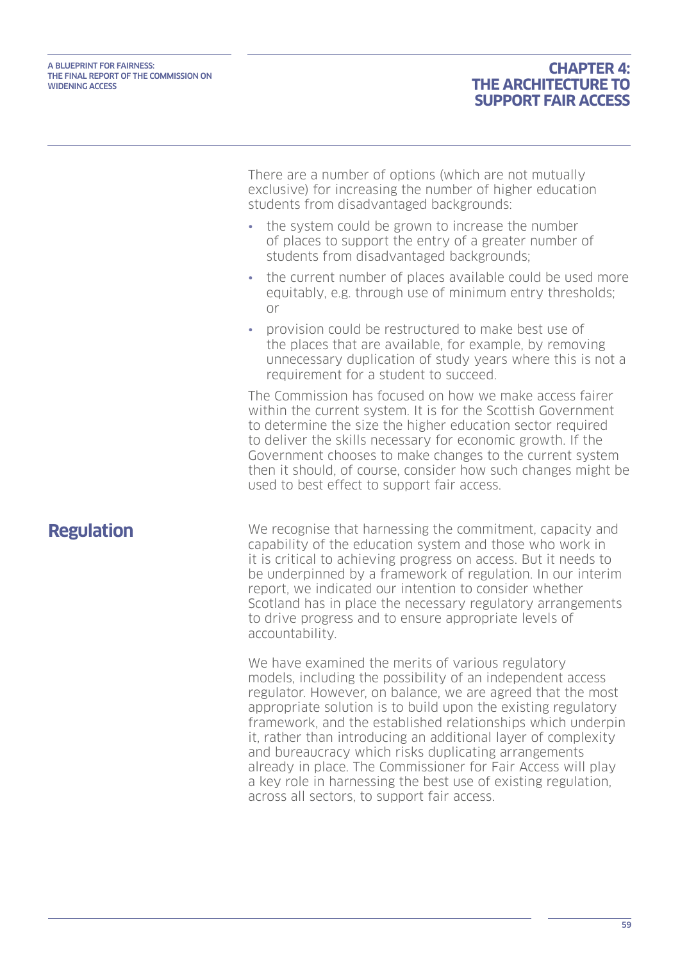# **CHAPTER 4: THE ARCHITECTURE TO SUPPORT FAIR ACCESS**

|                   | There are a number of options (which are not mutually<br>exclusive) for increasing the number of higher education<br>students from disadvantaged backgrounds:                                                                                                                                                                                                                                                                                                |
|-------------------|--------------------------------------------------------------------------------------------------------------------------------------------------------------------------------------------------------------------------------------------------------------------------------------------------------------------------------------------------------------------------------------------------------------------------------------------------------------|
|                   | the system could be grown to increase the number<br>of places to support the entry of a greater number of<br>students from disadvantaged backgrounds;                                                                                                                                                                                                                                                                                                        |
|                   | the current number of places available could be used more<br>equitably, e.g. through use of minimum entry thresholds;<br>or                                                                                                                                                                                                                                                                                                                                  |
|                   | provision could be restructured to make best use of<br>the places that are available, for example, by removing<br>unnecessary duplication of study years where this is not a<br>requirement for a student to succeed.                                                                                                                                                                                                                                        |
|                   | The Commission has focused on how we make access fairer<br>within the current system. It is for the Scottish Government<br>to determine the size the higher education sector required<br>to deliver the skills necessary for economic growth. If the<br>Government chooses to make changes to the current system<br>then it should, of course, consider how such changes might be<br>used to best effect to support fair access.                             |
| <b>Regulation</b> | We recognise that harnessing the commitment, capacity and<br>capability of the education system and those who work in<br>it is critical to achieving progress on access. But it needs to<br>be underpinned by a framework of regulation. In our interim<br>report, we indicated our intention to consider whether<br>Scotland has in place the necessary regulatory arrangements<br>to drive progress and to ensure appropriate levels of<br>accountability. |
|                   | We have examined the merits of various regulatory<br>models, including the possibility of an independent access<br>regulator. However, on balance, we are agreed that the most<br>appropriate solution is to build upon the existing regulatory                                                                                                                                                                                                              |

framework, and the established relationships which underpin it, rather than introducing an additional layer of complexity and bureaucracy which risks duplicating arrangements already in place. The Commissioner for Fair Access will play a key role in harnessing the best use of existing regulation, across all sectors, to support fair access.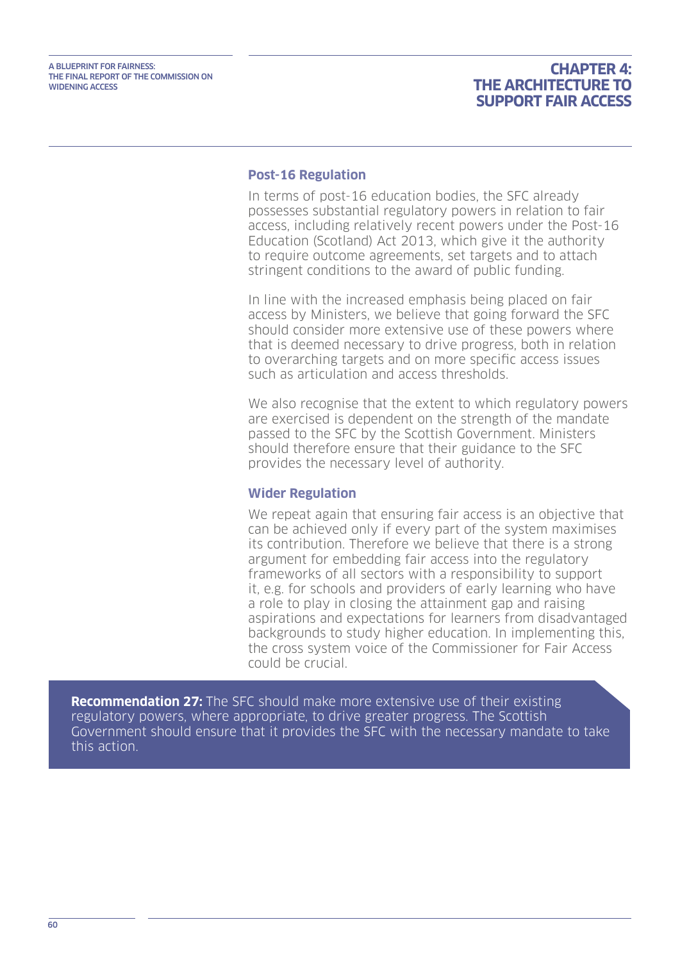# **CHAPTER 4: THE ARCHITECTURE TO SUPPORT FAIR ACCESS**

### **Post-16 Regulation**

In terms of post-16 education bodies, the SFC already possesses substantial regulatory powers in relation to fair access, including relatively recent powers under the Post-16 Education (Scotland) Act 2013, which give it the authority to require outcome agreements, set targets and to attach stringent conditions to the award of public funding.

In line with the increased emphasis being placed on fair access by Ministers, we believe that going forward the SFC should consider more extensive use of these powers where that is deemed necessary to drive progress, both in relation to overarching targets and on more specific access issues such as articulation and access thresholds.

We also recognise that the extent to which regulatory powers are exercised is dependent on the strength of the mandate passed to the SFC by the Scottish Government. Ministers should therefore ensure that their guidance to the SFC provides the necessary level of authority.

### **Wider Regulation**

We repeat again that ensuring fair access is an objective that can be achieved only if every part of the system maximises its contribution. Therefore we believe that there is a strong argument for embedding fair access into the regulatory frameworks of all sectors with a responsibility to support it, e.g. for schools and providers of early learning who have a role to play in closing the attainment gap and raising aspirations and expectations for learners from disadvantaged backgrounds to study higher education. In implementing this, the cross system voice of the Commissioner for Fair Access could be crucial.

**Recommendation 27:** The SFC should make more extensive use of their existing regulatory powers, where appropriate, to drive greater progress. The Scottish Government should ensure that it provides the SFC with the necessary mandate to take this action.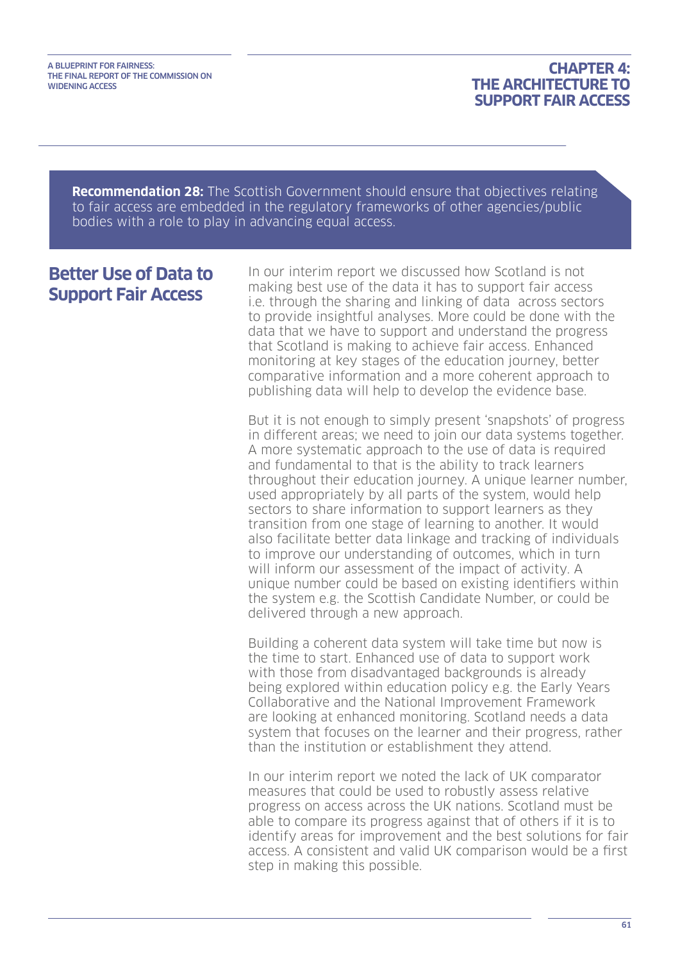# **CHAPTER 4: THE ARCHITECTURE TO SUPPORT FAIR ACCESS**

**Recommendation 28:** The Scottish Government should ensure that objectives relating to fair access are embedded in the regulatory frameworks of other agencies/public bodies with a role to play in advancing equal access.

# **Better Use of Data to Support Fair Access**

In our interim report we discussed how Scotland is not making best use of the data it has to support fair access i.e. through the sharing and linking of data across sectors to provide insightful analyses. More could be done with the data that we have to support and understand the progress that Scotland is making to achieve fair access. Enhanced monitoring at key stages of the education journey, better comparative information and a more coherent approach to publishing data will help to develop the evidence base.

But it is not enough to simply present 'snapshots' of progress in different areas; we need to join our data systems together. A more systematic approach to the use of data is required and fundamental to that is the ability to track learners throughout their education journey. A unique learner number, used appropriately by all parts of the system, would help sectors to share information to support learners as they transition from one stage of learning to another. It would also facilitate better data linkage and tracking of individuals to improve our understanding of outcomes, which in turn will inform our assessment of the impact of activity. A unique number could be based on existing identifiers within the system e.g. the Scottish Candidate Number, or could be delivered through a new approach.

Building a coherent data system will take time but now is the time to start. Enhanced use of data to support work with those from disadvantaged backgrounds is already being explored within education policy e.g. the Early Years Collaborative and the National Improvement Framework are looking at enhanced monitoring. Scotland needs a data system that focuses on the learner and their progress, rather than the institution or establishment they attend.

In our interim report we noted the lack of UK comparator measures that could be used to robustly assess relative progress on access across the UK nations. Scotland must be able to compare its progress against that of others if it is to identify areas for improvement and the best solutions for fair access. A consistent and valid UK comparison would be a first step in making this possible.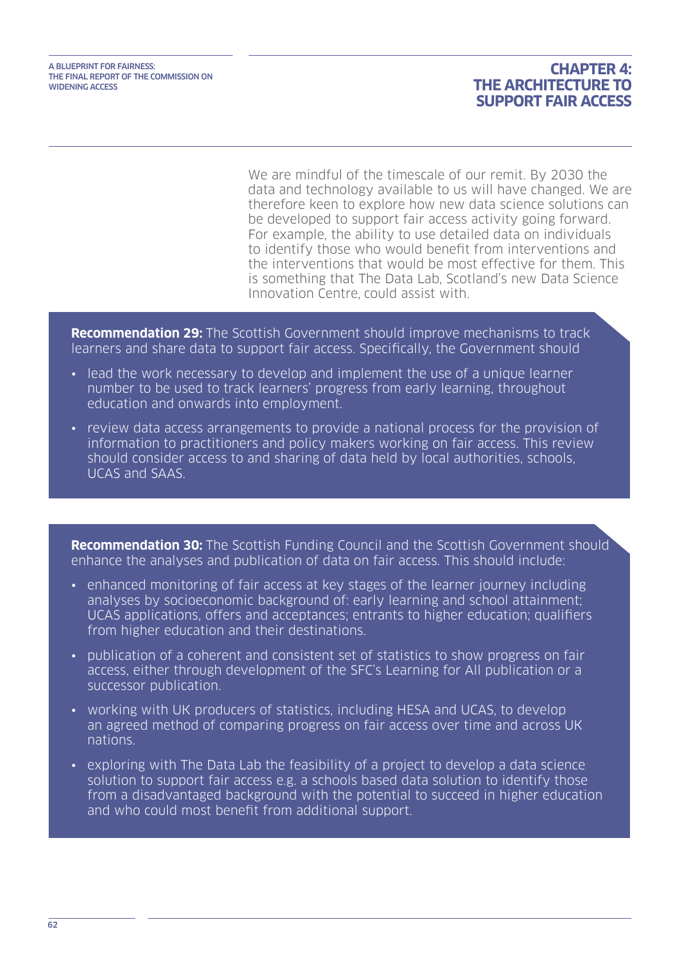# **CHAPTER 4: THE ARCHITECTURE TO SUPPORT FAIR ACCESS**

We are mindful of the timescale of our remit. By 2030 the data and technology available to us will have changed. We are therefore keen to explore how new data science solutions can be developed to support fair access activity going forward. For example, the ability to use detailed data on individuals to identify those who would benefit from interventions and the interventions that would be most effective for them. This is something that The Data Lab, Scotland's new Data Science Innovation Centre, could assist with.

**Recommendation 29:** The Scottish Government should improve mechanisms to track learners and share data to support fair access. Specifically, the Government should

- lead the work necessary to develop and implement the use of a unique learner number to be used to track learners' progress from early learning, throughout education and onwards into employment.
- review data access arrangements to provide a national process for the provision of information to practitioners and policy makers working on fair access. This review should consider access to and sharing of data held by local authorities, schools, UCAS and SAAS.

**Recommendation 30:** The Scottish Funding Council and the Scottish Government should enhance the analyses and publication of data on fair access. This should include:

- enhanced monitoring of fair access at key stages of the learner journey including analyses by socioeconomic background of: early learning and school attainment; UCAS applications, offers and acceptances; entrants to higher education; qualifiers from higher education and their destinations.
- publication of a coherent and consistent set of statistics to show progress on fair access, either through development of the SFC's Learning for All publication or a successor publication.
- working with UK producers of statistics, including HESA and UCAS, to develop an agreed method of comparing progress on fair access over time and across UK nations.
- exploring with The Data Lab the feasibility of a project to develop a data science solution to support fair access e.g. a schools based data solution to identify those from a disadvantaged background with the potential to succeed in higher education and who could most benefit from additional support.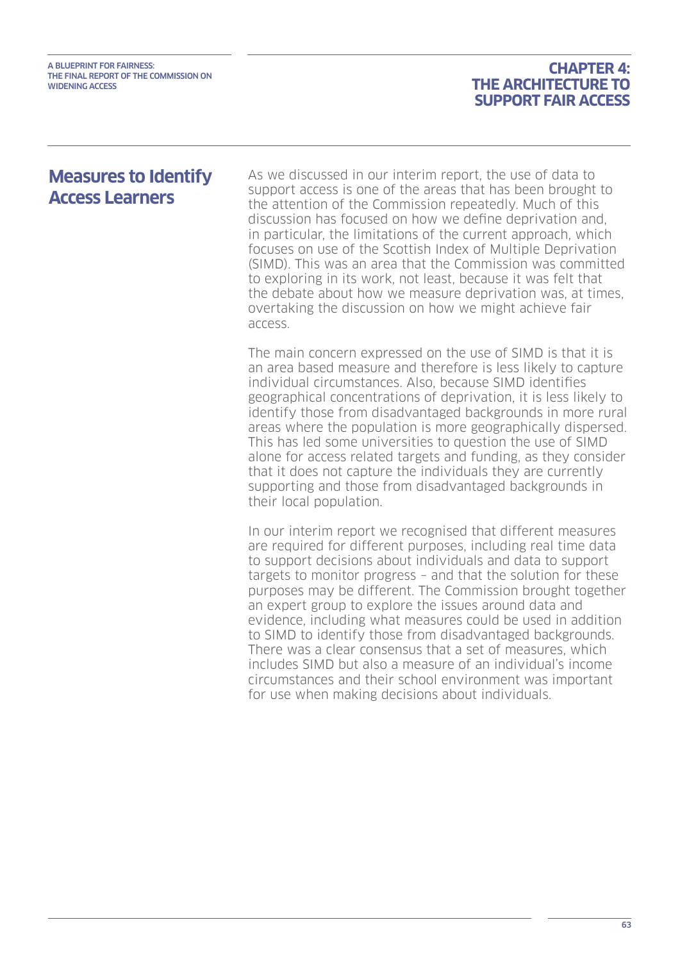# **CHAPTER 4: THE ARCHITECTURE TO SUPPORT FAIR ACCESS**

# **Measures to Identify Access Learners**

As we discussed in our interim report, the use of data to support access is one of the areas that has been brought to the attention of the Commission repeatedly. Much of this discussion has focused on how we define deprivation and, in particular, the limitations of the current approach, which focuses on use of the Scottish Index of Multiple Deprivation (SIMD). This was an area that the Commission was committed to exploring in its work, not least, because it was felt that the debate about how we measure deprivation was, at times, overtaking the discussion on how we might achieve fair access.

The main concern expressed on the use of SIMD is that it is an area based measure and therefore is less likely to capture individual circumstances. Also, because SIMD identifies geographical concentrations of deprivation, it is less likely to identify those from disadvantaged backgrounds in more rural areas where the population is more geographically dispersed. This has led some universities to question the use of SIMD alone for access related targets and funding, as they consider that it does not capture the individuals they are currently supporting and those from disadvantaged backgrounds in their local population.

In our interim report we recognised that different measures are required for different purposes, including real time data to support decisions about individuals and data to support targets to monitor progress – and that the solution for these purposes may be different. The Commission brought together an expert group to explore the issues around data and evidence, including what measures could be used in addition to SIMD to identify those from disadvantaged backgrounds. There was a clear consensus that a set of measures, which includes SIMD but also a measure of an individual's income circumstances and their school environment was important for use when making decisions about individuals.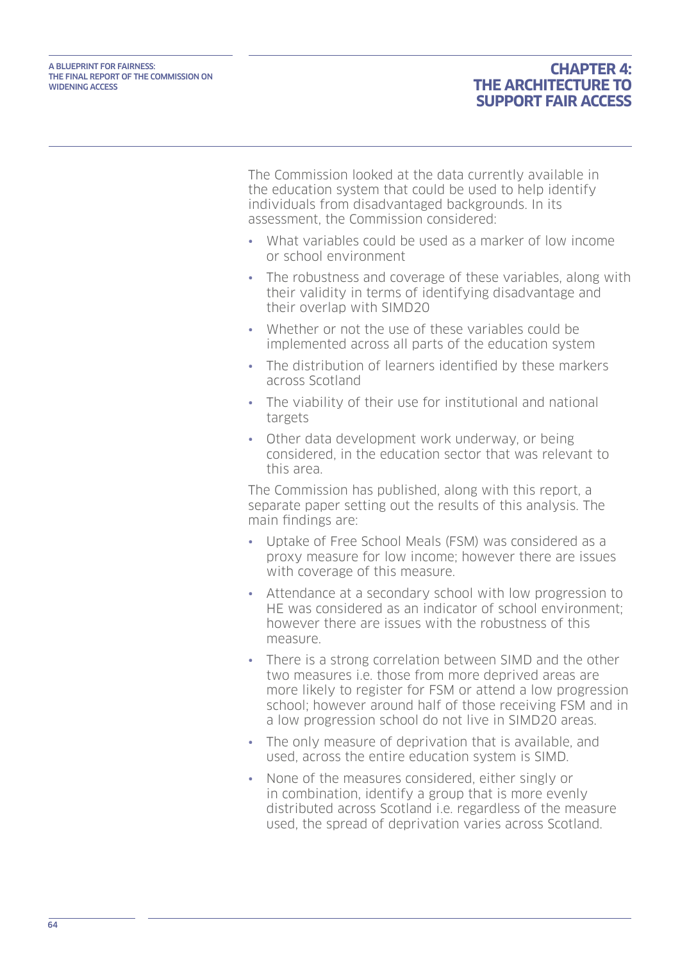# **CHAPTER 4: THE ARCHITECTURE TO SUPPORT FAIR ACCESS**

The Commission looked at the data currently available in the education system that could be used to help identify individuals from disadvantaged backgrounds. In its assessment, the Commission considered:

- What variables could be used as a marker of low income or school environment
- The robustness and coverage of these variables, along with their validity in terms of identifying disadvantage and their overlap with SIMD20
- Whether or not the use of these variables could be implemented across all parts of the education system
- The distribution of learners identified by these markers across Scotland
- The viability of their use for institutional and national targets
- Other data development work underway, or being considered, in the education sector that was relevant to this area.

The Commission has published, along with this report, a separate paper setting out the results of this analysis. The main findings are:

- Uptake of Free School Meals (FSM) was considered as a proxy measure for low income; however there are issues with coverage of this measure.
- Attendance at a secondary school with low progression to HE was considered as an indicator of school environment; however there are issues with the robustness of this measure.
- There is a strong correlation between SIMD and the other two measures i.e. those from more deprived areas are more likely to register for FSM or attend a low progression school; however around half of those receiving FSM and in a low progression school do not live in SIMD20 areas.
- The only measure of deprivation that is available, and used, across the entire education system is SIMD.
- None of the measures considered, either singly or in combination, identify a group that is more evenly distributed across Scotland i.e. regardless of the measure used, the spread of deprivation varies across Scotland.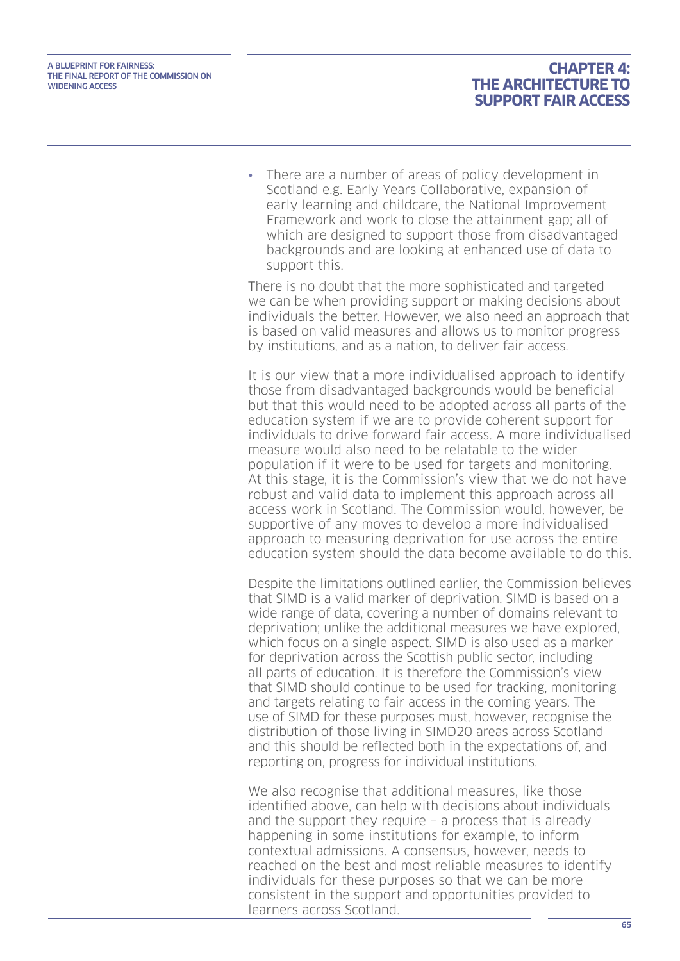# **CHAPTER 4: THE ARCHITECTURE TO SUPPORT FAIR ACCESS**

• There are a number of areas of policy development in Scotland e.g. Early Years Collaborative, expansion of early learning and childcare, the National Improvement Framework and work to close the attainment gap; all of which are designed to support those from disadvantaged backgrounds and are looking at enhanced use of data to support this.

There is no doubt that the more sophisticated and targeted we can be when providing support or making decisions about individuals the better. However, we also need an approach that is based on valid measures and allows us to monitor progress by institutions, and as a nation, to deliver fair access.

It is our view that a more individualised approach to identify those from disadvantaged backgrounds would be beneficial but that this would need to be adopted across all parts of the education system if we are to provide coherent support for individuals to drive forward fair access. A more individualised measure would also need to be relatable to the wider population if it were to be used for targets and monitoring. At this stage, it is the Commission's view that we do not have robust and valid data to implement this approach across all access work in Scotland. The Commission would, however, be supportive of any moves to develop a more individualised approach to measuring deprivation for use across the entire education system should the data become available to do this.

Despite the limitations outlined earlier, the Commission believes that SIMD is a valid marker of deprivation. SIMD is based on a wide range of data, covering a number of domains relevant to deprivation; unlike the additional measures we have explored, which focus on a single aspect. SIMD is also used as a marker for deprivation across the Scottish public sector, including all parts of education. It is therefore the Commission's view that SIMD should continue to be used for tracking, monitoring and targets relating to fair access in the coming years. The use of SIMD for these purposes must, however, recognise the distribution of those living in SIMD20 areas across Scotland and this should be reflected both in the expectations of, and reporting on, progress for individual institutions.

We also recognise that additional measures, like those identified above, can help with decisions about individuals and the support they require – a process that is already happening in some institutions for example, to inform contextual admissions. A consensus, however, needs to reached on the best and most reliable measures to identify individuals for these purposes so that we can be more consistent in the support and opportunities provided to learners across Scotland.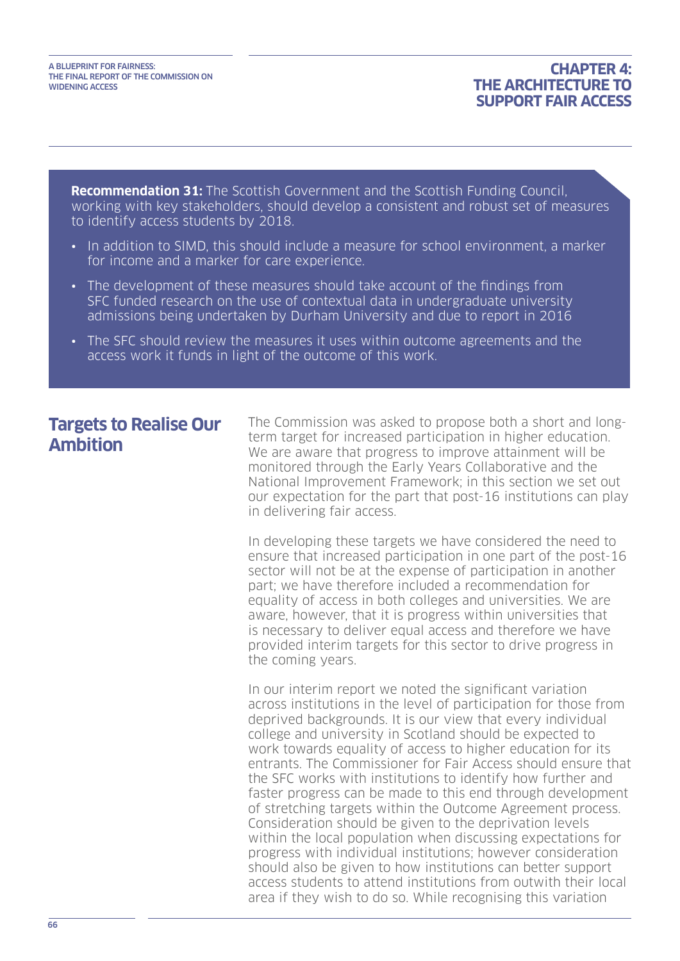# **CHAPTER 4: THE ARCHITECTURE TO SUPPORT FAIR ACCESS**

**Recommendation 31:** The Scottish Government and the Scottish Funding Council, working with key stakeholders, should develop a consistent and robust set of measures to identify access students by 2018.

- In addition to SIMD, this should include a measure for school environment, a marker for income and a marker for care experience.
- The development of these measures should take account of the findings from SFC funded research on the use of contextual data in undergraduate university admissions being undertaken by Durham University and due to report in 2016
- The SFC should review the measures it uses within outcome agreements and the access work it funds in light of the outcome of this work.

# **Targets to Realise Our Ambition**

The Commission was asked to propose both a short and longterm target for increased participation in higher education. We are aware that progress to improve attainment will be monitored through the Early Years Collaborative and the National Improvement Framework; in this section we set out our expectation for the part that post-16 institutions can play in delivering fair access.

In developing these targets we have considered the need to ensure that increased participation in one part of the post-16 sector will not be at the expense of participation in another part; we have therefore included a recommendation for equality of access in both colleges and universities. We are aware, however, that it is progress within universities that is necessary to deliver equal access and therefore we have provided interim targets for this sector to drive progress in the coming years.

In our interim report we noted the significant variation across institutions in the level of participation for those from deprived backgrounds. It is our view that every individual college and university in Scotland should be expected to work towards equality of access to higher education for its entrants. The Commissioner for Fair Access should ensure that the SFC works with institutions to identify how further and faster progress can be made to this end through development of stretching targets within the Outcome Agreement process. Consideration should be given to the deprivation levels within the local population when discussing expectations for progress with individual institutions; however consideration should also be given to how institutions can better support access students to attend institutions from outwith their local area if they wish to do so. While recognising this variation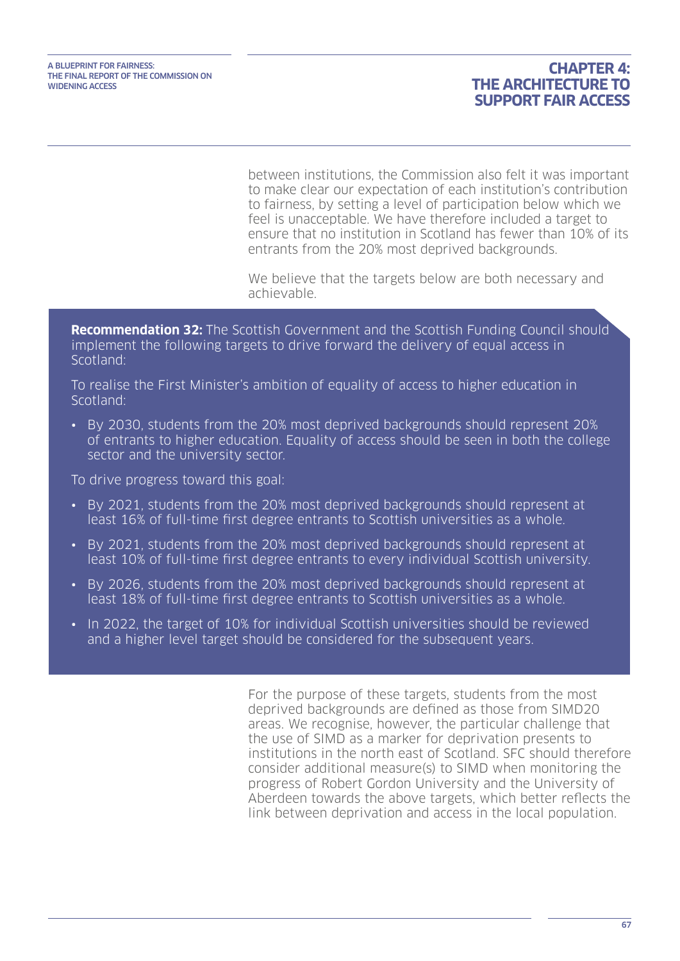# **CHAPTER 4: THE ARCHITECTURE TO SUPPORT FAIR ACCESS**

between institutions, the Commission also felt it was important to make clear our expectation of each institution's contribution to fairness, by setting a level of participation below which we feel is unacceptable. We have therefore included a target to ensure that no institution in Scotland has fewer than 10% of its entrants from the 20% most deprived backgrounds.

We believe that the targets below are both necessary and achievable.

**Recommendation 32:** The Scottish Government and the Scottish Funding Council should implement the following targets to drive forward the delivery of equal access in Scotland:

To realise the First Minister's ambition of equality of access to higher education in Scotland:

• By 2030, students from the 20% most deprived backgrounds should represent 20% of entrants to higher education. Equality of access should be seen in both the college sector and the university sector.

To drive progress toward this goal:

- By 2021, students from the 20% most deprived backgrounds should represent at least 16% of full-time first degree entrants to Scottish universities as a whole.
- By 2021, students from the 20% most deprived backgrounds should represent at least 10% of full-time first degree entrants to every individual Scottish university.
- By 2026, students from the 20% most deprived backgrounds should represent at least 18% of full-time first degree entrants to Scottish universities as a whole.
- In 2022, the target of 10% for individual Scottish universities should be reviewed and a higher level target should be considered for the subsequent years.

For the purpose of these targets, students from the most deprived backgrounds are defined as those from SIMD20 areas. We recognise, however, the particular challenge that the use of SIMD as a marker for deprivation presents to institutions in the north east of Scotland. SFC should therefore consider additional measure(s) to SIMD when monitoring the progress of Robert Gordon University and the University of Aberdeen towards the above targets, which better reflects the link between deprivation and access in the local population.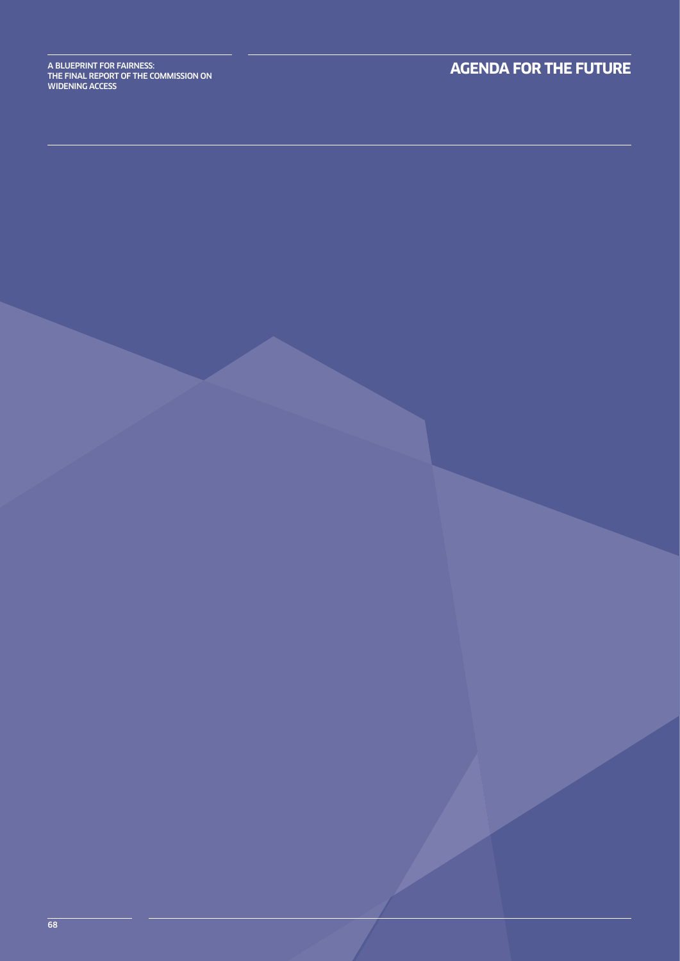THE FINAL REPORT OF THE COMMISSION ON WIDENING ACCESS

# **AGENDA FOR THE FUTURE**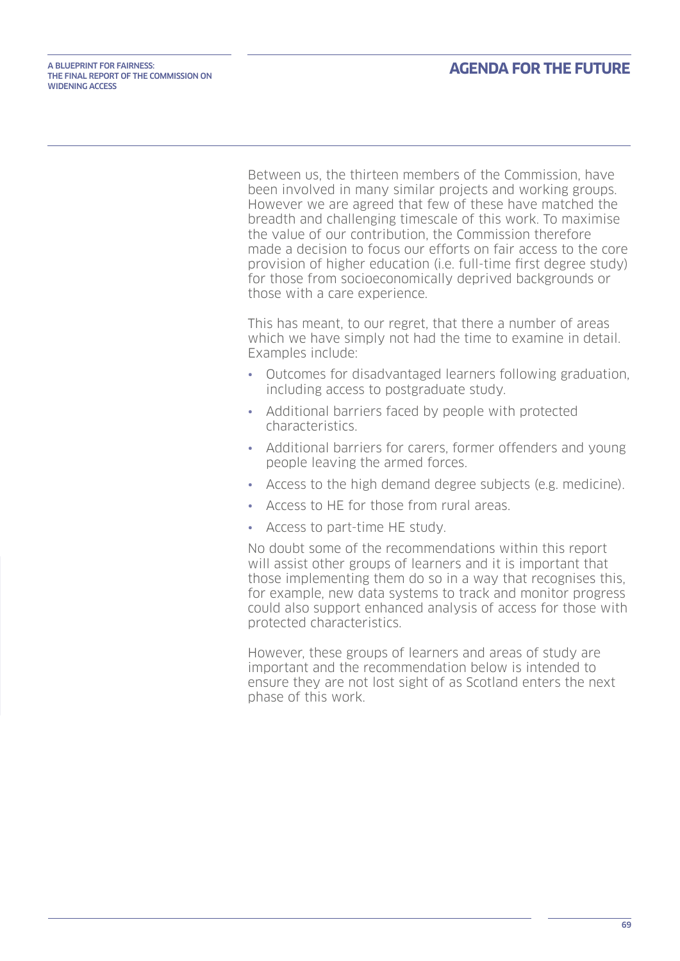THE FINAL REPORT OF THE COMMISSION ON WIDENING ACCESS

> Between us, the thirteen members of the Commission, have been involved in many similar projects and working groups. However we are agreed that few of these have matched the breadth and challenging timescale of this work. To maximise the value of our contribution, the Commission therefore made a decision to focus our efforts on fair access to the core provision of higher education (i.e. full-time first degree study) for those from socioeconomically deprived backgrounds or those with a care experience.

This has meant, to our regret, that there a number of areas which we have simply not had the time to examine in detail. Examples include:

- Outcomes for disadvantaged learners following graduation, including access to postgraduate study.
- Additional barriers faced by people with protected characteristics.
- Additional barriers for carers, former offenders and young people leaving the armed forces.
- Access to the high demand degree subjects (e.g. medicine).
- Access to HE for those from rural areas.
- Access to part-time HE study.

No doubt some of the recommendations within this report will assist other groups of learners and it is important that those implementing them do so in a way that recognises this, for example, new data systems to track and monitor progress could also support enhanced analysis of access for those with protected characteristics.

However, these groups of learners and areas of study are important and the recommendation below is intended to ensure they are not lost sight of as Scotland enters the next phase of this work.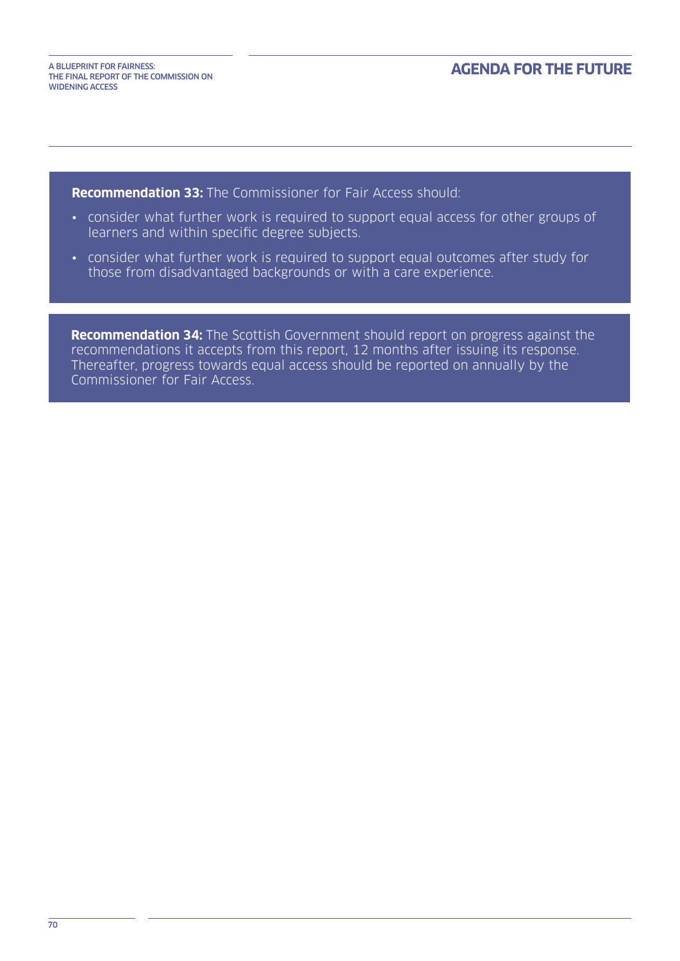**Recommendation 33:** The Commissioner for Fair Access should:

- consider what further work is required to support equal access for other groups of learners and within specific degree subjects.
- consider what further work is required to support equal outcomes after study for those from disadvantaged backgrounds or with a care experience.

**Recommendation 34:** The Scottish Government should report on progress against the recommendations it accepts from this report, 12 months after issuing its response. Thereafter, progress towards equal access should be reported on annually by the Commissioner for Fair Access.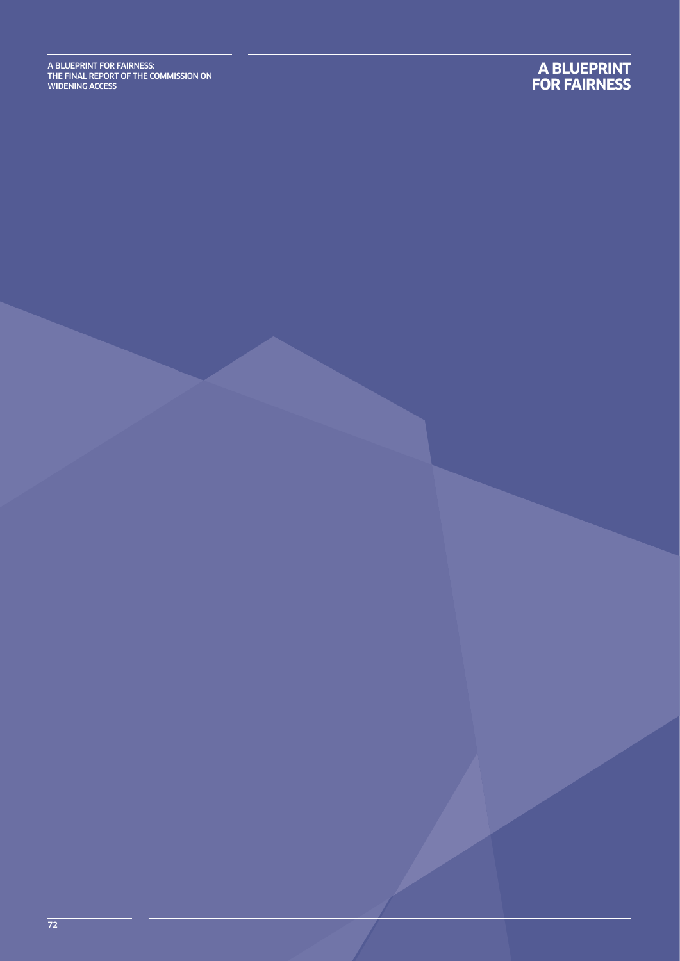## **A BLUEPRINT FOR FAIRNESS**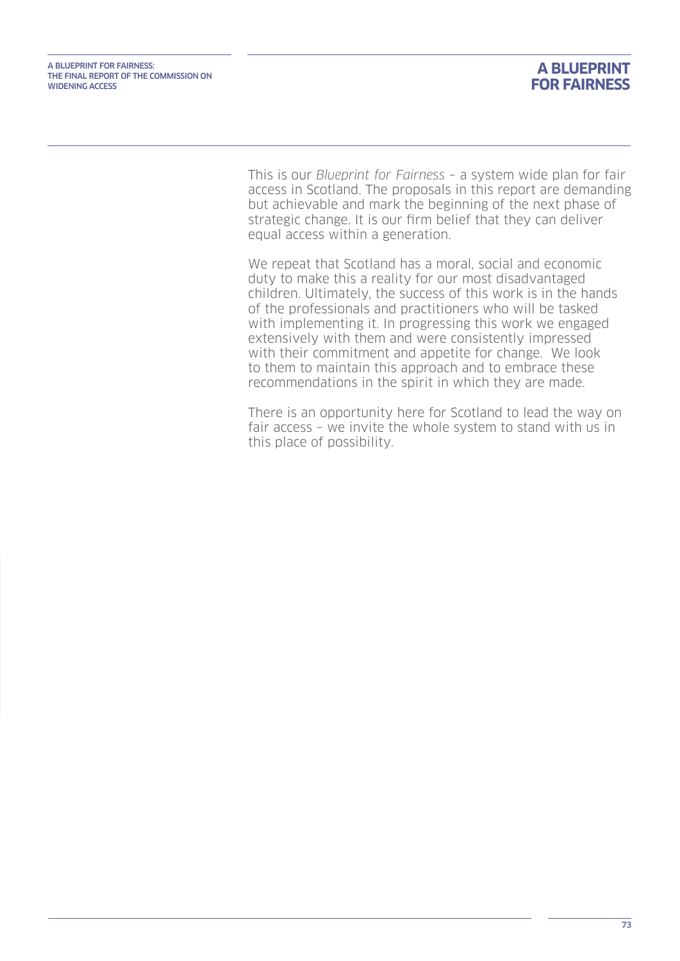### **A BLUEPRINT FOR FAIRNESS**

This is our Blueprint for Fairness – a system wide plan for fair access in Scotland. The proposals in this report are demanding but achievable and mark the beginning of the next phase of strategic change. It is our firm belief that they can deliver equal access within a generation.

We repeat that Scotland has a moral, social and economic duty to make this a reality for our most disadvantaged children. Ultimately, the success of this work is in the hands of the professionals and practitioners who will be tasked with implementing it. In progressing this work we engaged extensively with them and were consistently impressed with their commitment and appetite for change. We look to them to maintain this approach and to embrace these recommendations in the spirit in which they are made.

There is an opportunity here for Scotland to lead the way on fair access – we invite the whole system to stand with us in this place of possibility.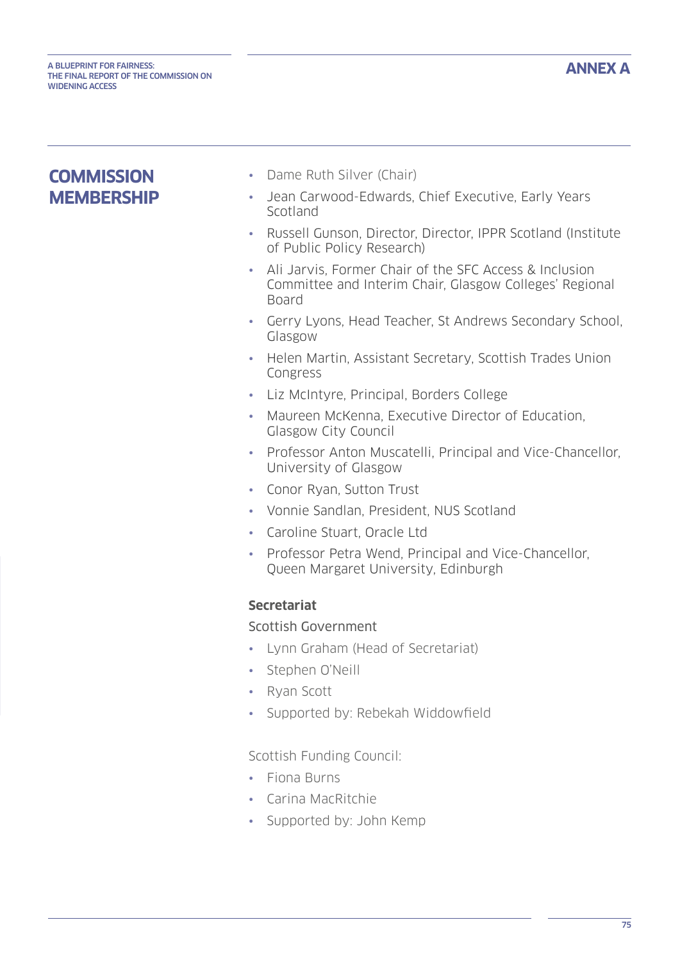A BLUEPRINT FOR FAIRNESS: A BLUEPRINT FOR FAIRNESS:<br>
THE FINAL REPORT OF THE COMMISSION ON WIDENING ACCESS

## **COMMISSION MEMBERSHIP**

- Dame Ruth Silver (Chair)
- Jean Carwood-Edwards, Chief Executive, Early Years Scotland
- Russell Gunson, Director, Director, IPPR Scotland (Institute of Public Policy Research)
- Ali Jarvis, Former Chair of the SFC Access & Inclusion Committee and Interim Chair, Glasgow Colleges' Regional Board
- Gerry Lyons, Head Teacher, St Andrews Secondary School, Glasgow
- Helen Martin, Assistant Secretary, Scottish Trades Union Congress
- Liz McIntyre, Principal, Borders College
- Maureen McKenna, Executive Director of Education, Glasgow City Council
- Professor Anton Muscatelli, Principal and Vice-Chancellor, University of Glasgow
- Conor Ryan, Sutton Trust
- Vonnie Sandlan, President, NUS Scotland
- Caroline Stuart, Oracle Ltd
- Professor Petra Wend, Principal and Vice-Chancellor, Queen Margaret University, Edinburgh

## **Secretariat**

### Scottish Government

- Lynn Graham (Head of Secretariat)
- Stephen O'Neill
- Ryan Scott
- Supported by: Rebekah Widdowfield

Scottish Funding Council:

- Fiona Burns
- Carina MacRitchie
- Supported by: John Kemp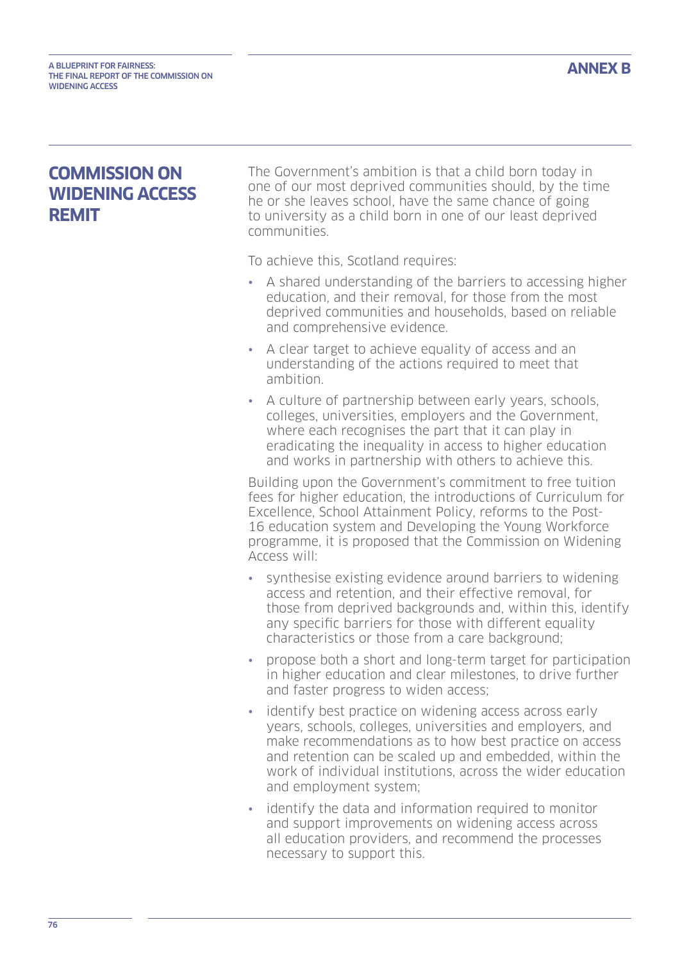## **COMMISSION ON WIDENING ACCESS REMIT**

The Government's ambition is that a child born today in one of our most deprived communities should, by the time he or she leaves school, have the same chance of going to university as a child born in one of our least deprived communities.

To achieve this, Scotland requires:

- A shared understanding of the barriers to accessing higher education, and their removal, for those from the most deprived communities and households, based on reliable and comprehensive evidence.
- A clear target to achieve equality of access and an understanding of the actions required to meet that ambition.
- A culture of partnership between early years, schools, colleges, universities, employers and the Government, where each recognises the part that it can play in eradicating the inequality in access to higher education and works in partnership with others to achieve this.

Building upon the Government's commitment to free tuition fees for higher education, the introductions of Curriculum for Excellence, School Attainment Policy, reforms to the Post-16 education system and Developing the Young Workforce programme, it is proposed that the Commission on Widening Access will:

- synthesise existing evidence around barriers to widening access and retention, and their effective removal, for those from deprived backgrounds and, within this, identify any specific barriers for those with different equality characteristics or those from a care background;
- propose both a short and long-term target for participation in higher education and clear milestones, to drive further and faster progress to widen access;
- identify best practice on widening access across early years, schools, colleges, universities and employers, and make recommendations as to how best practice on access and retention can be scaled up and embedded, within the work of individual institutions, across the wider education and employment system;
- identify the data and information required to monitor and support improvements on widening access across all education providers, and recommend the processes necessary to support this.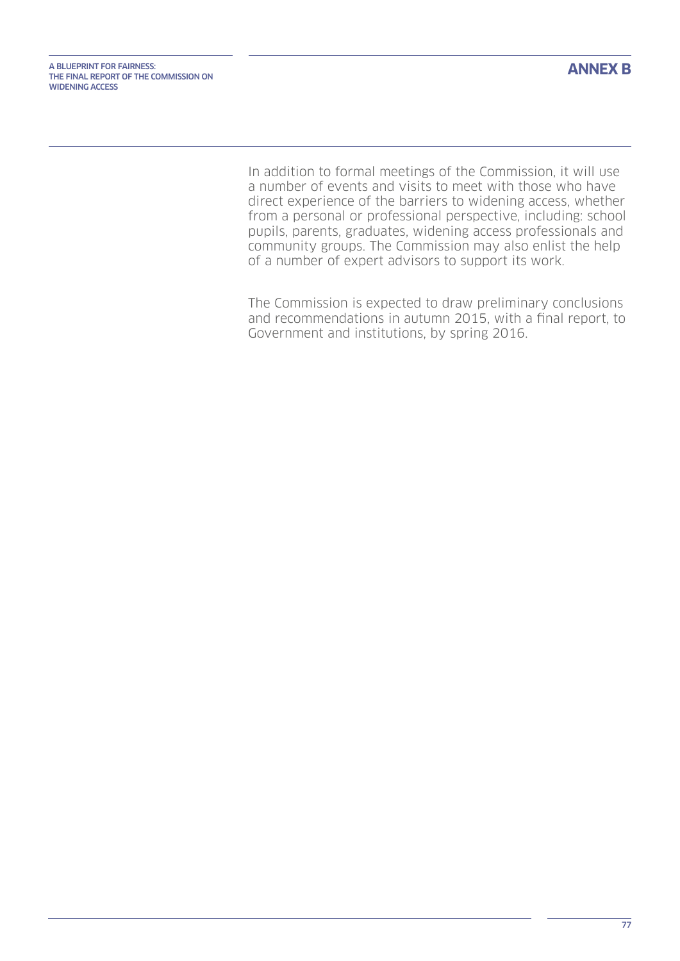In addition to formal meetings of the Commission, it will use a number of events and visits to meet with those who have direct experience of the barriers to widening access, whether from a personal or professional perspective, including: school pupils, parents, graduates, widening access professionals and community groups. The Commission may also enlist the help of a number of expert advisors to support its work.

The Commission is expected to draw preliminary conclusions and recommendations in autumn 2015, with a final report, to Government and institutions, by spring 2016.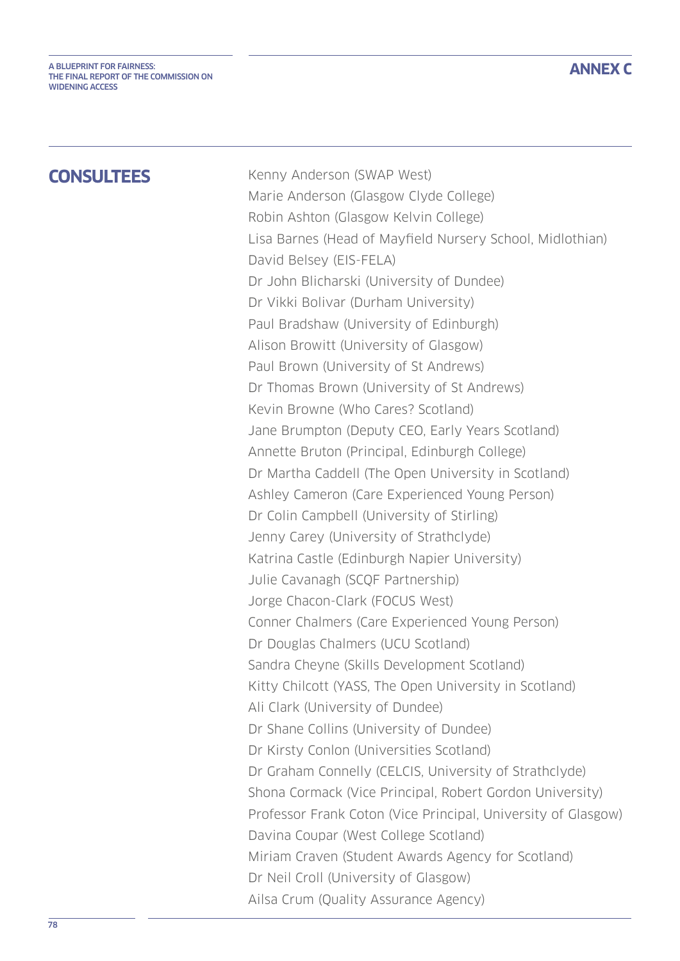## **CONSULTEES**

Kenny Anderson (SWAP West) Marie Anderson (Glasgow Clyde College) Robin Ashton (Glasgow Kelvin College) Lisa Barnes (Head of Mayfield Nursery School, Midlothian) David Belsey (EIS-FELA) Dr John Blicharski (University of Dundee) Dr Vikki Bolivar (Durham University) Paul Bradshaw (University of Edinburgh) Alison Browitt (University of Glasgow) Paul Brown (University of St Andrews) Dr Thomas Brown (University of St Andrews) Kevin Browne (Who Cares? Scotland) Jane Brumpton (Deputy CEO, Early Years Scotland) Annette Bruton (Principal, Edinburgh College) Dr Martha Caddell (The Open University in Scotland) Ashley Cameron (Care Experienced Young Person) Dr Colin Campbell (University of Stirling) Jenny Carey (University of Strathclyde) Katrina Castle (Edinburgh Napier University) Julie Cavanagh (SCQF Partnership) Jorge Chacon-Clark (FOCUS West) Conner Chalmers (Care Experienced Young Person) Dr Douglas Chalmers (UCU Scotland) Sandra Cheyne (Skills Development Scotland) Kitty Chilcott (YASS, The Open University in Scotland) Ali Clark (University of Dundee) Dr Shane Collins (University of Dundee) Dr Kirsty Conlon (Universities Scotland) Dr Graham Connelly (CELCIS, University of Strathclyde) Shona Cormack (Vice Principal, Robert Gordon University) Professor Frank Coton (Vice Principal, University of Glasgow) Davina Coupar (West College Scotland) Miriam Craven (Student Awards Agency for Scotland) Dr Neil Croll (University of Glasgow) Ailsa Crum (Quality Assurance Agency)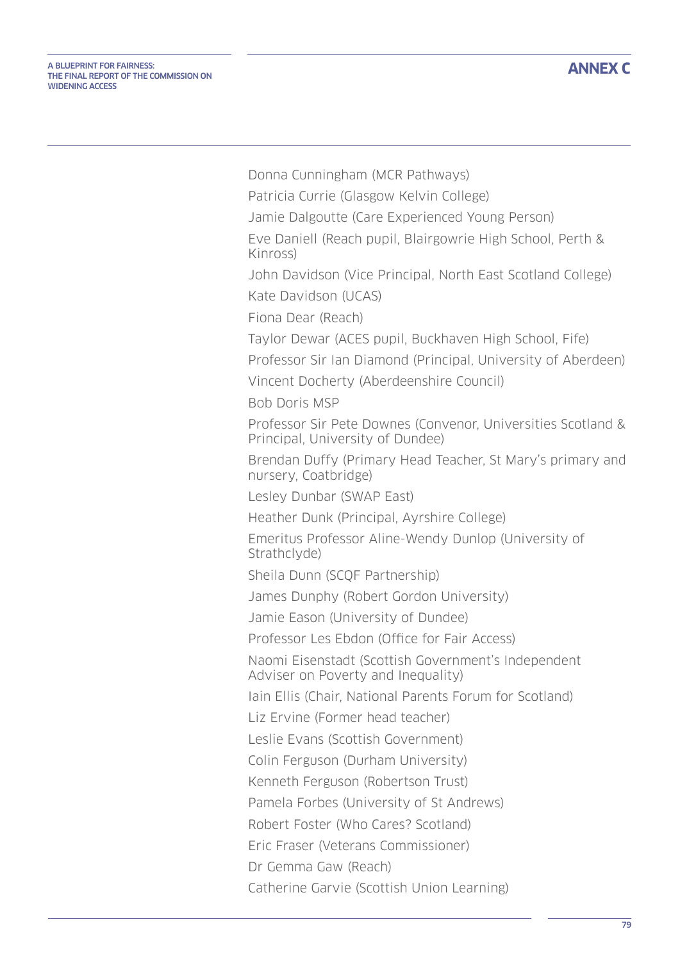Donna Cunningham (MCR Pathways)

Patricia Currie (Glasgow Kelvin College)

Jamie Dalgoutte (Care Experienced Young Person)

Eve Daniell (Reach pupil, Blairgowrie High School, Perth & Kinross)

John Davidson (Vice Principal, North East Scotland College) Kate Davidson (UCAS)

Fiona Dear (Reach)

Taylor Dewar (ACES pupil, Buckhaven High School, Fife)

Professor Sir Ian Diamond (Principal, University of Aberdeen)

Vincent Docherty (Aberdeenshire Council)

Bob Doris MSP

Professor Sir Pete Downes (Convenor, Universities Scotland & Principal, University of Dundee)

Brendan Duffy (Primary Head Teacher, St Mary's primary and nursery, Coatbridge)

Lesley Dunbar (SWAP East)

Heather Dunk (Principal, Ayrshire College)

Emeritus Professor Aline-Wendy Dunlop (University of Strathclyde)

Sheila Dunn (SCQF Partnership)

James Dunphy (Robert Gordon University)

Jamie Eason (University of Dundee)

Professor Les Ebdon (Office for Fair Access)

Naomi Eisenstadt (Scottish Government's Independent Adviser on Poverty and Inequality)

Iain Ellis (Chair, National Parents Forum for Scotland)

Liz Ervine (Former head teacher)

Leslie Evans (Scottish Government)

Colin Ferguson (Durham University)

Kenneth Ferguson (Robertson Trust)

Pamela Forbes (University of St Andrews)

Robert Foster (Who Cares? Scotland)

Eric Fraser (Veterans Commissioner)

Dr Gemma Gaw (Reach)

Catherine Garvie (Scottish Union Learning)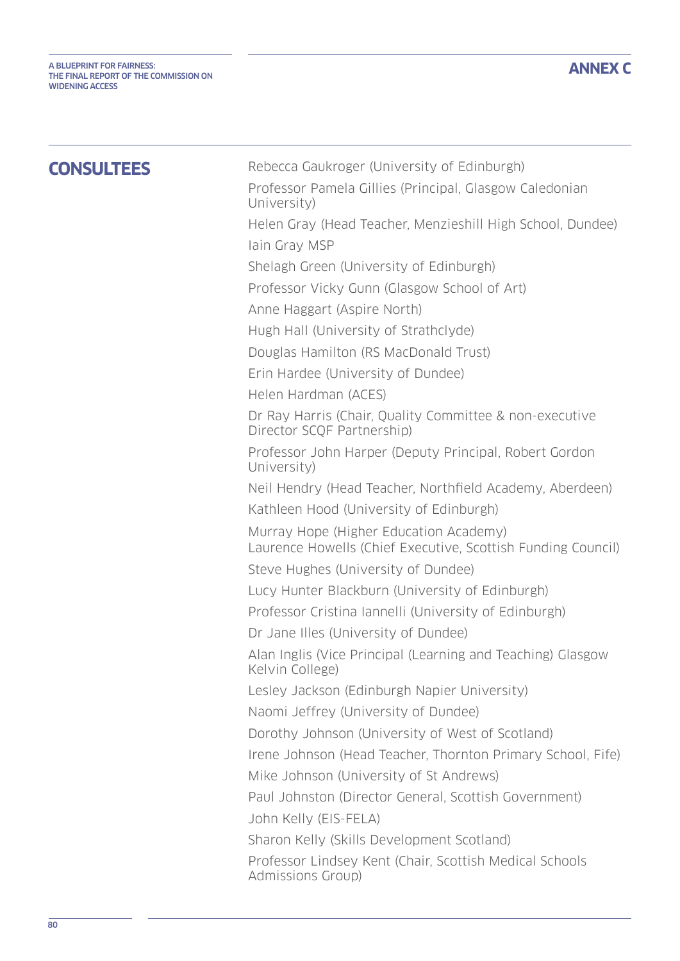| <b>CONSULTEES</b> | Rebecca Gaukroger (University of Edinburgh)                                                            |
|-------------------|--------------------------------------------------------------------------------------------------------|
|                   | Professor Pamela Gillies (Principal, Glasgow Caledonian<br>University)                                 |
|                   | Helen Gray (Head Teacher, Menzieshill High School, Dundee)                                             |
|                   | Iain Gray MSP                                                                                          |
|                   | Shelagh Green (University of Edinburgh)                                                                |
|                   | Professor Vicky Gunn (Glasgow School of Art)                                                           |
|                   | Anne Haggart (Aspire North)                                                                            |
|                   | Hugh Hall (University of Strathclyde)                                                                  |
|                   | Douglas Hamilton (RS MacDonald Trust)                                                                  |
|                   | Erin Hardee (University of Dundee)                                                                     |
|                   | Helen Hardman (ACES)                                                                                   |
|                   | Dr Ray Harris (Chair, Quality Committee & non-executive<br>Director SCQF Partnership)                  |
|                   | Professor John Harper (Deputy Principal, Robert Gordon<br>University)                                  |
|                   | Neil Hendry (Head Teacher, Northfield Academy, Aberdeen)                                               |
|                   | Kathleen Hood (University of Edinburgh)                                                                |
|                   | Murray Hope (Higher Education Academy)<br>Laurence Howells (Chief Executive, Scottish Funding Council) |
|                   | Steve Hughes (University of Dundee)                                                                    |
|                   | Lucy Hunter Blackburn (University of Edinburgh)                                                        |
|                   | Professor Cristina Jannelli (University of Edinburgh)                                                  |
|                   | Dr Jane Illes (University of Dundee)                                                                   |
|                   | Alan Inglis (Vice Principal (Learning and Teaching) Glasgow<br>Kelvin College)                         |
|                   | Lesley Jackson (Edinburgh Napier University)                                                           |
|                   | Naomi Jeffrey (University of Dundee)                                                                   |
|                   | Dorothy Johnson (University of West of Scotland)                                                       |
|                   | Irene Johnson (Head Teacher, Thornton Primary School, Fife)                                            |
|                   | Mike Johnson (University of St Andrews)                                                                |
|                   | Paul Johnston (Director General, Scottish Government)                                                  |
|                   | John Kelly (EIS-FELA)                                                                                  |
|                   | Sharon Kelly (Skills Development Scotland)                                                             |
|                   | Professor Lindsey Kent (Chair, Scottish Medical Schools<br>Admissions Group)                           |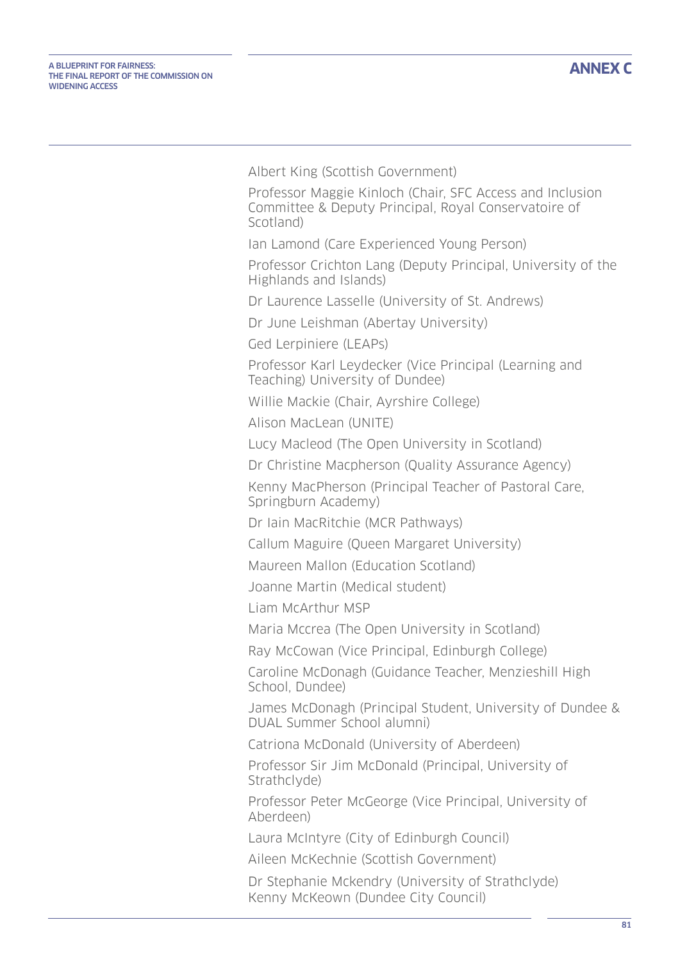Albert King (Scottish Government)

Professor Maggie Kinloch (Chair, SFC Access and Inclusion Committee & Deputy Principal, Royal Conservatoire of Scotland)

Ian Lamond (Care Experienced Young Person)

Professor Crichton Lang (Deputy Principal, University of the Highlands and Islands)

Dr Laurence Lasselle (University of St. Andrews)

Dr June Leishman (Abertay University)

Ged Lerpiniere (LEAPs)

Professor Karl Leydecker (Vice Principal (Learning and Teaching) University of Dundee)

Willie Mackie (Chair, Ayrshire College)

Alison MacLean (UNITE)

Lucy Macleod (The Open University in Scotland)

Dr Christine Macpherson (Quality Assurance Agency)

Kenny MacPherson (Principal Teacher of Pastoral Care, Springburn Academy)

Dr Iain MacRitchie (MCR Pathways)

Callum Maguire (Queen Margaret University)

Maureen Mallon (Education Scotland)

Joanne Martin (Medical student)

Liam McArthur MSP

Maria Mccrea (The Open University in Scotland)

Ray McCowan (Vice Principal, Edinburgh College)

Caroline McDonagh (Guidance Teacher, Menzieshill High School, Dundee)

James McDonagh (Principal Student, University of Dundee & DUAL Summer School alumni)

Catriona McDonald (University of Aberdeen)

Professor Sir Jim McDonald (Principal, University of Strathclyde)

Professor Peter McGeorge (Vice Principal, University of Aberdeen)

Laura McIntyre (City of Edinburgh Council)

Aileen McKechnie (Scottish Government)

Dr Stephanie Mckendry (University of Strathclyde) Kenny McKeown (Dundee City Council)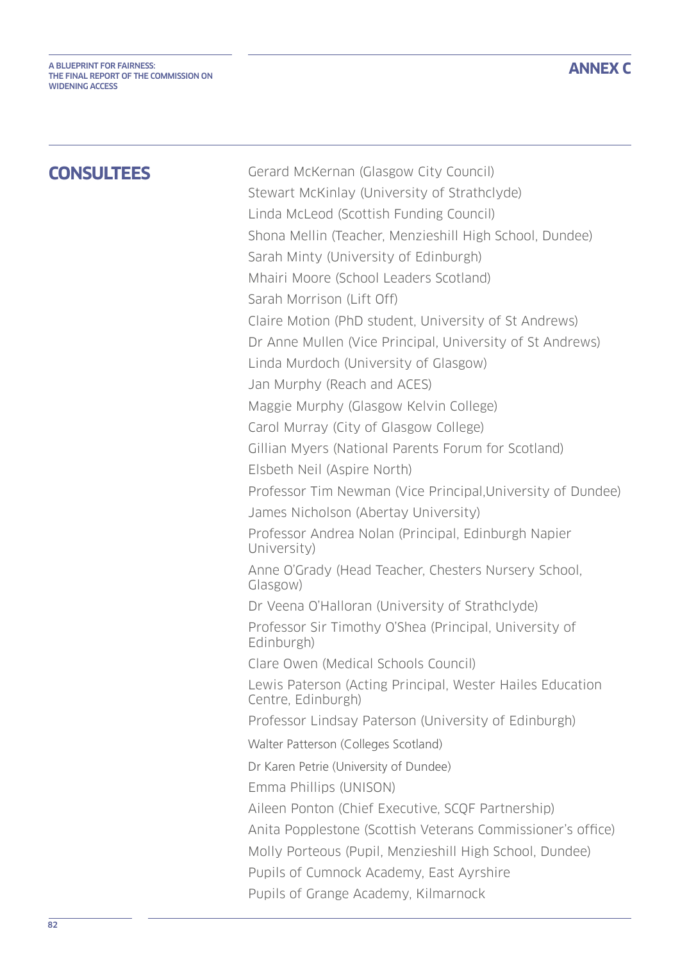| <b>CONSULTEES</b> | Gerard McKernan (Glasgow City Council)<br>Stewart McKinlay (University of Strathclyde)<br>Linda McLeod (Scottish Funding Council)<br>Shona Mellin (Teacher, Menzieshill High School, Dundee)<br>Sarah Minty (University of Edinburgh)<br>Mhairi Moore (School Leaders Scotland)<br>Sarah Morrison (Lift Off)<br>Claire Motion (PhD student, University of St Andrews) |
|-------------------|-----------------------------------------------------------------------------------------------------------------------------------------------------------------------------------------------------------------------------------------------------------------------------------------------------------------------------------------------------------------------|
|                   | Dr Anne Mullen (Vice Principal, University of St Andrews)<br>Linda Murdoch (University of Glasgow)                                                                                                                                                                                                                                                                    |
|                   | Jan Murphy (Reach and ACES)                                                                                                                                                                                                                                                                                                                                           |
|                   | Maggie Murphy (Glasgow Kelvin College)                                                                                                                                                                                                                                                                                                                                |
|                   | Carol Murray (City of Glasgow College)                                                                                                                                                                                                                                                                                                                                |
|                   | Gillian Myers (National Parents Forum for Scotland)                                                                                                                                                                                                                                                                                                                   |
|                   | Elsbeth Neil (Aspire North)                                                                                                                                                                                                                                                                                                                                           |
|                   | Professor Tim Newman (Vice Principal, University of Dundee)                                                                                                                                                                                                                                                                                                           |
|                   | James Nicholson (Abertay University)                                                                                                                                                                                                                                                                                                                                  |
|                   | Professor Andrea Nolan (Principal, Edinburgh Napier<br>University)                                                                                                                                                                                                                                                                                                    |
|                   | Anne O'Grady (Head Teacher, Chesters Nursery School,<br>Glasgow)                                                                                                                                                                                                                                                                                                      |
|                   | Dr Veena O'Halloran (University of Strathclyde)                                                                                                                                                                                                                                                                                                                       |
|                   | Professor Sir Timothy O'Shea (Principal, University of<br>Edinburgh)                                                                                                                                                                                                                                                                                                  |
|                   | Clare Owen (Medical Schools Council)                                                                                                                                                                                                                                                                                                                                  |
|                   | Lewis Paterson (Acting Principal, Wester Hailes Education<br>Centre, Edinburgh)                                                                                                                                                                                                                                                                                       |
|                   | Professor Lindsay Paterson (University of Edinburgh)                                                                                                                                                                                                                                                                                                                  |
|                   | Walter Patterson (Colleges Scotland)                                                                                                                                                                                                                                                                                                                                  |
|                   | Dr Karen Petrie (University of Dundee)                                                                                                                                                                                                                                                                                                                                |
|                   | Emma Phillips (UNISON)                                                                                                                                                                                                                                                                                                                                                |
|                   | Aileen Ponton (Chief Executive, SCQF Partnership)                                                                                                                                                                                                                                                                                                                     |
|                   | Anita Popplestone (Scottish Veterans Commissioner's office)                                                                                                                                                                                                                                                                                                           |
|                   | Molly Porteous (Pupil, Menzieshill High School, Dundee)                                                                                                                                                                                                                                                                                                               |
|                   | Pupils of Cumnock Academy, East Ayrshire                                                                                                                                                                                                                                                                                                                              |
|                   | Pupils of Grange Academy, Kilmarnock                                                                                                                                                                                                                                                                                                                                  |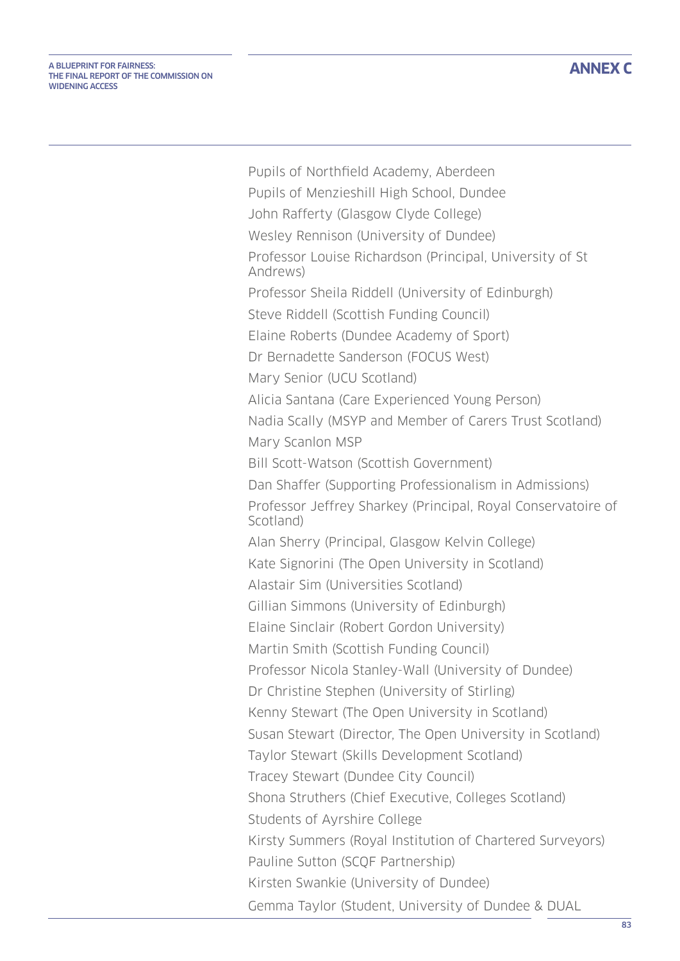> Pupils of Northfield Academy, Aberdeen Pupils of Menzieshill High School, Dundee John Rafferty (Glasgow Clyde College) Wesley Rennison (University of Dundee) Professor Louise Richardson (Principal, University of St Andrews) Professor Sheila Riddell (University of Edinburgh) Steve Riddell (Scottish Funding Council) Elaine Roberts (Dundee Academy of Sport) Dr Bernadette Sanderson (FOCUS West) Mary Senior (UCU Scotland) Alicia Santana (Care Experienced Young Person) Nadia Scally (MSYP and Member of Carers Trust Scotland) Mary Scanlon MSP Bill Scott-Watson (Scottish Government) Dan Shaffer (Supporting Professionalism in Admissions) Professor Jeffrey Sharkey (Principal, Royal Conservatoire of Scotland) Alan Sherry (Principal, Glasgow Kelvin College) Kate Signorini (The Open University in Scotland) Alastair Sim (Universities Scotland) Gillian Simmons (University of Edinburgh) Elaine Sinclair (Robert Gordon University) Martin Smith (Scottish Funding Council) Professor Nicola Stanley-Wall (University of Dundee) Dr Christine Stephen (University of Stirling) Kenny Stewart (The Open University in Scotland) Susan Stewart (Director, The Open University in Scotland) Taylor Stewart (Skills Development Scotland) Tracey Stewart (Dundee City Council) Shona Struthers (Chief Executive, Colleges Scotland) Students of Ayrshire College Kirsty Summers (Royal Institution of Chartered Surveyors) Pauline Sutton (SCQF Partnership) Kirsten Swankie (University of Dundee) Gemma Taylor (Student, University of Dundee & DUAL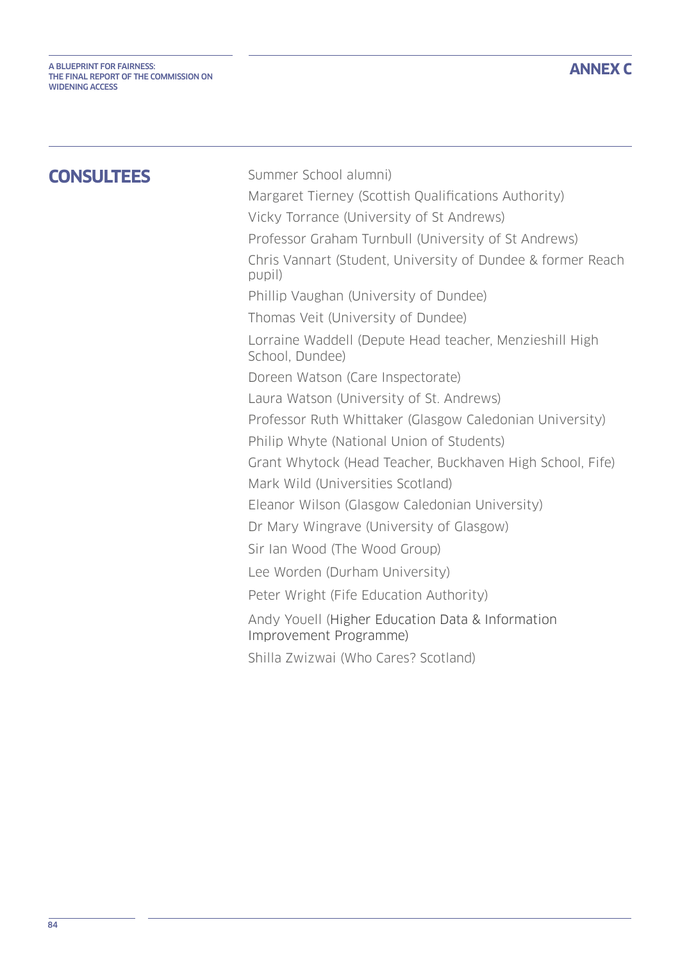## **CONSULTEES**

Summer School alumni)

Margaret Tierney (Scottish Qualifications Authority)

Vicky Torrance (University of St Andrews)

Professor Graham Turnbull (University of St Andrews)

Chris Vannart (Student, University of Dundee & former Reach pupil)

Phillip Vaughan (University of Dundee)

Thomas Veit (University of Dundee)

Lorraine Waddell (Depute Head teacher, Menzieshill High School, Dundee)

Doreen Watson (Care Inspectorate)

Laura Watson (University of St. Andrews)

Professor Ruth Whittaker (Glasgow Caledonian University)

Philip Whyte (National Union of Students)

Grant Whytock (Head Teacher, Buckhaven High School, Fife)

Mark Wild (Universities Scotland)

Eleanor Wilson (Glasgow Caledonian University)

Dr Mary Wingrave (University of Glasgow)

Sir Ian Wood (The Wood Group)

Lee Worden (Durham University)

Peter Wright (Fife Education Authority)

Andy Youell (Higher Education Data & Information Improvement Programme)

Shilla Zwizwai (Who Cares? Scotland)